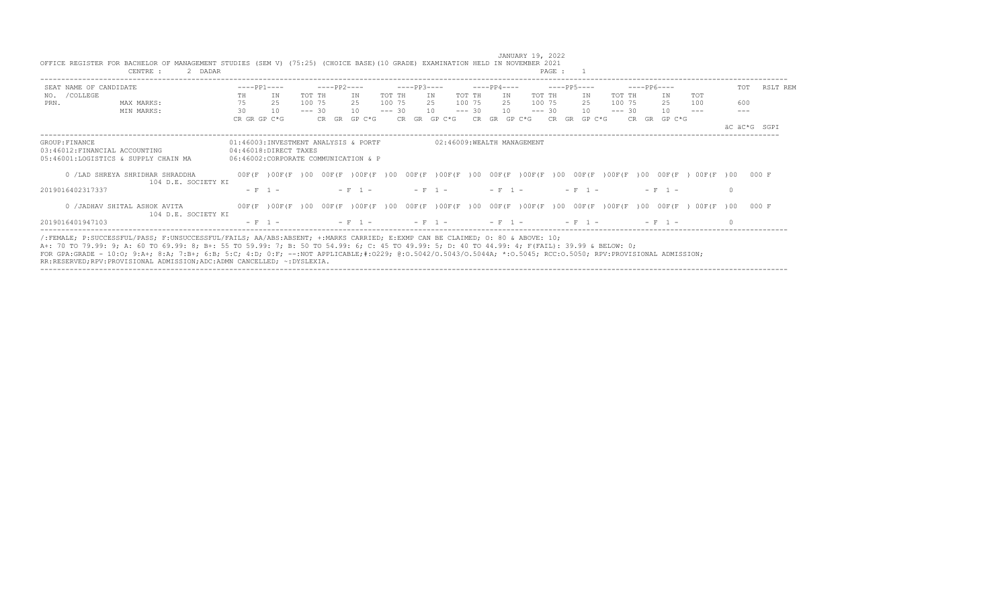|                  | CENTRE :<br>2 DADAR                                                                                                                                                                                                                                                                                                                                                                                                                                                                                                        |                                                               |           |          |             |                                                                                                                                                                                                                                                                          |          |             |              |                 |                                                                                                                                                                                                                                                                                                         |            | PAGE :          |             |           |                 |           |            |                 |              |
|------------------|----------------------------------------------------------------------------------------------------------------------------------------------------------------------------------------------------------------------------------------------------------------------------------------------------------------------------------------------------------------------------------------------------------------------------------------------------------------------------------------------------------------------------|---------------------------------------------------------------|-----------|----------|-------------|--------------------------------------------------------------------------------------------------------------------------------------------------------------------------------------------------------------------------------------------------------------------------|----------|-------------|--------------|-----------------|---------------------------------------------------------------------------------------------------------------------------------------------------------------------------------------------------------------------------------------------------------------------------------------------------------|------------|-----------------|-------------|-----------|-----------------|-----------|------------|-----------------|--------------|
|                  | SEAT NAME OF CANDIDATE                                                                                                                                                                                                                                                                                                                                                                                                                                                                                                     | $---PP1---$                                                   |           |          | $---PP2---$ |                                                                                                                                                                                                                                                                          |          | $---PP3---$ |              |                 | $---PP4---$                                                                                                                                                                                                                                                                                             |            |                 | $---PP5---$ |           | $---PP6---$     |           |            | TOT             | RSLT REM     |
| /COLLEGE<br>NO.  |                                                                                                                                                                                                                                                                                                                                                                                                                                                                                                                            | TH.                                                           | ΙN        | TOT TH   |             | TN                                                                                                                                                                                                                                                                       | TOT TH   |             | TN           | TOT TH          | IN.                                                                                                                                                                                                                                                                                                     | TOT TH     |                 | ΙN          | TOT TH    |                 | ΙN        | TOT        |                 |              |
| PRN.             | MAX MARKS:                                                                                                                                                                                                                                                                                                                                                                                                                                                                                                                 | 75                                                            | 25        | 100 75   |             | 2.5                                                                                                                                                                                                                                                                      | 100 75   |             | 2.5          | 100 75          | 2.5                                                                                                                                                                                                                                                                                                     | 100 75     |                 | 2.5         | 100 75    |                 | 2.5       | 100        | 600             |              |
|                  | MIN MARKS:                                                                                                                                                                                                                                                                                                                                                                                                                                                                                                                 | 30                                                            | 10        | $--- 30$ |             | 10                                                                                                                                                                                                                                                                       | $--- 30$ |             | 10           | $--- 30$        | 10                                                                                                                                                                                                                                                                                                      | $--- 30$   |                 | 10          | $--- 30$  |                 | 10        |            |                 |              |
|                  |                                                                                                                                                                                                                                                                                                                                                                                                                                                                                                                            | CR GR GP C*G                                                  |           |          | CR GR       | GP C*G                                                                                                                                                                                                                                                                   |          |             | CR GR GP C*G | CR.             | GR                                                                                                                                                                                                                                                                                                      | GP C*G     | CR.<br>GR       | GP C*G      |           | CR.             | GR GP C*G |            |                 |              |
|                  |                                                                                                                                                                                                                                                                                                                                                                                                                                                                                                                            |                                                               |           |          |             |                                                                                                                                                                                                                                                                          |          |             |              |                 |                                                                                                                                                                                                                                                                                                         |            |                 |             |           |                 |           |            |                 | äC äC*G SGPT |
| GROUP: FINANCE   |                                                                                                                                                                                                                                                                                                                                                                                                                                                                                                                            | 01:46003:INVESTMENT ANALYSIS & PORTF<br>04:46018:DIRECT TAXES |           |          |             |                                                                                                                                                                                                                                                                          |          |             |              |                 | 02:46009:WEALTH MANAGEMENT                                                                                                                                                                                                                                                                              |            |                 |             |           |                 |           |            |                 |              |
|                  | 03:46012: FINANCIAL ACCOUNTING<br>05:46001:LOGISTICS & SUPPLY CHAIN MA                                                                                                                                                                                                                                                                                                                                                                                                                                                     | 06:46002:CORPORATE COMMUNICATION & P                          |           |          |             |                                                                                                                                                                                                                                                                          |          |             |              |                 |                                                                                                                                                                                                                                                                                                         |            |                 |             |           |                 |           |            |                 |              |
|                  |                                                                                                                                                                                                                                                                                                                                                                                                                                                                                                                            |                                                               |           |          |             |                                                                                                                                                                                                                                                                          |          |             |              |                 |                                                                                                                                                                                                                                                                                                         |            |                 |             |           |                 |           |            |                 |              |
|                  | 0 / LAD SHREYA SHRIDHAR SHRADDHA                                                                                                                                                                                                                                                                                                                                                                                                                                                                                           |                                                               |           |          |             | $00F(F)00F(F)000F(F)00F(F)00000F(F)00F(F)00000F(F)00F(F)0000F(F)00F(F)00F(F)00F(F)00F(F)00F(F)00F(F)00F(F)00F(F)00F(F)00F(F)00F(F)00F(F)00F(F)00F(F)00F(F)00F(F)00F(F)00F(F)00F(F)00F(F)00F(F)00F(F)00F(F)00F(F)00F(F)00F(F)00F(F)00F(F)00F(F)00F(F)00F(F)00F(F)00F(F)0$ |          |             |              |                 |                                                                                                                                                                                                                                                                                                         |            |                 |             |           |                 | $00F$ (F  | 00F(F)00   |                 | 000 F        |
|                  | 104 D.E. SOCIETY KI                                                                                                                                                                                                                                                                                                                                                                                                                                                                                                        |                                                               |           |          |             |                                                                                                                                                                                                                                                                          |          |             |              |                 |                                                                                                                                                                                                                                                                                                         |            |                 |             |           |                 |           |            |                 |              |
| 2019016402317337 |                                                                                                                                                                                                                                                                                                                                                                                                                                                                                                                            | $- F 1 -$                                                     |           |          |             | $- F 1 -$                                                                                                                                                                                                                                                                |          |             | $- F 1 -$    |                 | $- F 1 -$                                                                                                                                                                                                                                                                                               |            |                 | $- F - 1 -$ |           |                 | $- F 1 -$ |            | $\Omega$        |              |
|                  | 0 / JADHAV SHITAL ASHOK AVITA<br>104 D.E. SOCIETY KI                                                                                                                                                                                                                                                                                                                                                                                                                                                                       |                                                               |           |          |             | 00F(F) 00F(F) 00 00F(F) 00F(F) 00                                                                                                                                                                                                                                        |          |             | 00F(F)00F(F) | 00 <sup>1</sup> | 00F (F                                                                                                                                                                                                                                                                                                  | $00F$ $(F$ | 00 <sup>1</sup> | $00F$ (F    | $000F$ (F | 00 <sup>1</sup> | $00F$ (F  | $00F$ $(F$ | 00 <sup>1</sup> | 000 F        |
| 2019016401947103 |                                                                                                                                                                                                                                                                                                                                                                                                                                                                                                                            |                                                               | $- F 1 -$ |          |             | $- F 1 -$                                                                                                                                                                                                                                                                |          |             |              |                 | $- F 1 - 2 F 1 - 3 F 1 - 3 F 1 - 3 F 1 - 3 F 1 - 3 F 1 - 3 F 1 - 3 F 1 - 3 F 1 - 3 F 1 - 3 F 1 - 3 F 1 - 3 F 1 - 3 F 1 - 3 F 1 - 3 F 1 - 3 F 1 - 3 F 1 - 3 F 1 - 3 F 1 - 3 F 1 - 3 F 1 - 3 F 1 - 3 F 1 - 3 F 1 - 3 F 1 - 3 F 1 - 3 F 1 - 3 F 1 - 3 F 1 - 3 F 1 - 3 F 1 - 3 F 1 - 3 F 1 - 3 F 1 - 3 F 1$ |            |                 | $- F - 1 -$ |           |                 | $- F 1 -$ |            | $\cap$          |              |
|                  | (:FEMALE; P:SUCCESSFUL/PASS; F:UNSUCCESSFUL/FAILS; AA/ABS:ABSENT; +:MARKS CARRIED; E:EXMP CAN BE CLAIMED; 0: 80 & ABOVE: 10;<br>A+: 70 TO 79.99: 9; A: 60 TO 69.99: 8; B+: 55 TO 59.99: 7; B: 50 TO 54.99: 6; C: 45 TO 49.99: 5; D: 40 TO 44.99: 4; F(FAIL): 39.99 & BELOW: 0;<br>FOR GPA:GRADE - 10:0; 9:A+; 8:A; 7:B+; 6:B; 5:C; 4:D; 0:F; --:NOT APPLICABLE;#:0229; 0:0.5042/0.5043/0.5044A; *:0.5045; RCC:0.5050; RPV:PROVISIONAL ADMISSION;<br>RR:RESERVED;RPV:PROVISIONAL ADMISSION;ADC:ADMN CANCELLED; ~: DYSLEXIA. |                                                               |           |          |             |                                                                                                                                                                                                                                                                          |          |             |              |                 |                                                                                                                                                                                                                                                                                                         |            |                 |             |           |                 |           |            |                 |              |

 JANUARY 19, 2022 OFFICE REGISTER FOR BACHELOR OF MANAGEMENT STUDIES (SEM V) (75:25) (CHOICE BASE)(10 GRADE) EXAMINATION HELD IN NOVEMBER 2021 CENTRE : 2 DADAR **PAGE : 1**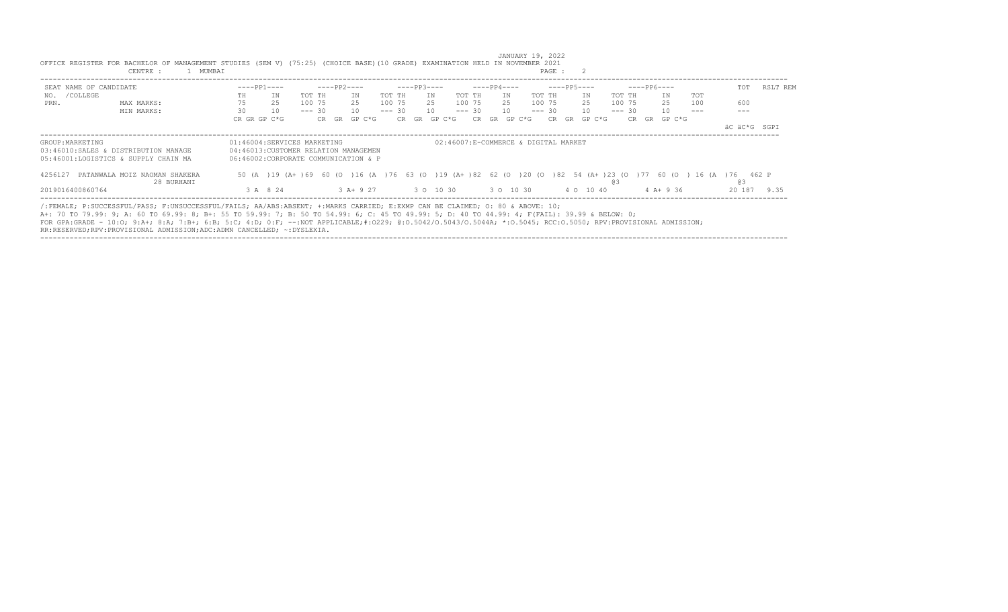|                        | CENTRE :<br>1 MUMBAI                                                                                                                                                                                                                                                                                                                                                                                                                                                                                                       |                             |                                                                               |                |                                                                                                                            | PAGE :         |                  |                 |
|------------------------|----------------------------------------------------------------------------------------------------------------------------------------------------------------------------------------------------------------------------------------------------------------------------------------------------------------------------------------------------------------------------------------------------------------------------------------------------------------------------------------------------------------------------|-----------------------------|-------------------------------------------------------------------------------|----------------|----------------------------------------------------------------------------------------------------------------------------|----------------|------------------|-----------------|
| SEAT NAME OF CANDIDATE |                                                                                                                                                                                                                                                                                                                                                                                                                                                                                                                            | $---PP1---$                 | $---PP2---$                                                                   | $---PP3---$    | ----PP4----                                                                                                                | $---PP5---$    | $---PP6---$      | RSLT REM<br>TOT |
| /COLLEGE<br>NO.        |                                                                                                                                                                                                                                                                                                                                                                                                                                                                                                                            | IN<br>TH                    | TOT TH<br>TN                                                                  | TOT TH<br>TN   | TOT TH<br>TN<br>TOT TH                                                                                                     | TN<br>TOT TH   | <b>TOT</b><br>TN |                 |
| PRN.                   | MAX MARKS:                                                                                                                                                                                                                                                                                                                                                                                                                                                                                                                 | 25                          | 100 75<br>25                                                                  | 100 75<br>25   | 100 75<br>100 75<br>25                                                                                                     | 25<br>100 75   | 25<br>100        | 600             |
|                        | MIN MARKS:                                                                                                                                                                                                                                                                                                                                                                                                                                                                                                                 | 30<br>10                    | $--- 30$<br>10                                                                | $--- 30$<br>10 | $--- 30$<br>10<br>$--- 30$                                                                                                 | 10<br>$--- 30$ | 10               |                 |
|                        |                                                                                                                                                                                                                                                                                                                                                                                                                                                                                                                            | CR GR GP C*G                | CR GR<br>GP C*G                                                               | CR GR GP C*G   | GP C*G<br>CR.<br><b>GR</b>                                                                                                 | CR GR GP C*G   | CR GR GP C*G     |                 |
|                        |                                                                                                                                                                                                                                                                                                                                                                                                                                                                                                                            |                             |                                                                               |                |                                                                                                                            |                |                  | äC äC*G SGPI    |
| GROUP: MARKETING       | 03:46010:SALES & DISTRIBUTION MANAGE<br>05:46001:LOGISTICS & SUPPLY CHAIN MA                                                                                                                                                                                                                                                                                                                                                                                                                                               | 01:46004:SERVICES MARKETING | 04:46013: CUSTOMER RELATION MANAGEMEN<br>06:46002:CORPORATE COMMUNICATION & P |                | 02:46007:E-COMMERCE & DIGITAL MARKET                                                                                       |                |                  |                 |
| 4256127                | PATANWALA MOIZ NAOMAN SHAKERA<br>28 BURHANI                                                                                                                                                                                                                                                                                                                                                                                                                                                                                |                             |                                                                               |                | 50 (A ) 19 (A+ ) 69 60 (O ) 16 (A ) 76 63 (O ) 19 (A+ ) 82 62 (O ) 20 (O ) 82 54 (A+ ) 23 (O ) 77 60 (O ) 16 (A ) 76 462 P | eз             |                  | eз              |
| 2019016400860764       |                                                                                                                                                                                                                                                                                                                                                                                                                                                                                                                            | 3 A 8 24                    | 3 A+ 9 27                                                                     |                | 3 0 10 30 30 10 30                                                                                                         | 4 0 10 40      | $4$ A+ 9 36      | 20 187<br>9.35  |
|                        | /:FEMALE: P:SUCCESSFUL/PASS: F:UNSUCCESSFUL/FAILS: AA/ABS:ABSENT: +:MARKS CARRIED: E:EXMP CAN BE CLAIMED: 0: 80 & ABOVE: 10;<br>A+: 70 TO 79.99: 9; A: 60 TO 69.99: 8; B+: 55 TO 59.99: 7; B: 50 TO 54.99: 6; C: 45 TO 49.99: 5; D: 40 TO 44.99: 4; F(FAIL): 39.99 & BELOW: 0;<br>FOR GPA:GRADE - 10:0; 9:A+; 8:A; 7:B+; 6:B; 5:C; 4:D; 0:F; --:NOT APPLICABLE;#:0229; 0:0.5042/0.5043/0.5044A; *:0.5045; RCC:0.5050; RPV:PROVISIONAL ADMISSION;<br>RR:RESERVED;RPV:PROVISIONAL ADMISSION;ADC:ADMN CANCELLED; ~: DYSLEXIA. |                             |                                                                               |                |                                                                                                                            |                |                  |                 |

----------------------------------------------------------------------------------------------------------------------------------------------------------------------------------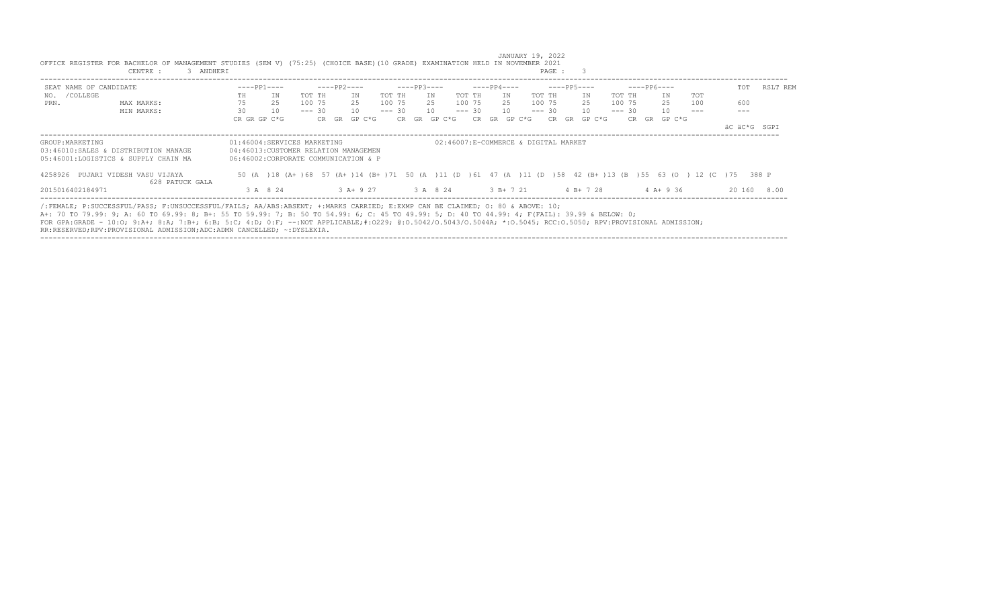| SEAT NAME OF CANDIDATE                                                                                                                                                                                                                                                         |                                                                                                                                                                |    | $---PP1---$                                                                   |          | ----PP2----                               |        | $---PP3---$ |              |        | $---PP4---$  |    |           |        | $---PP5---$  |        | $---PP6---$ |              |     | TOT                                                                                                                 | RSLT REM |
|--------------------------------------------------------------------------------------------------------------------------------------------------------------------------------------------------------------------------------------------------------------------------------|----------------------------------------------------------------------------------------------------------------------------------------------------------------|----|-------------------------------------------------------------------------------|----------|-------------------------------------------|--------|-------------|--------------|--------|--------------|----|-----------|--------|--------------|--------|-------------|--------------|-----|---------------------------------------------------------------------------------------------------------------------|----------|
| NO. / COLLEGE                                                                                                                                                                                                                                                                  |                                                                                                                                                                | TH | IN                                                                            | TOT TH   | TN                                        | TOT TH |             | IN           | TOT TH |              | TN |           | TOT TH | IN           | TOT TH |             | TN           | TOT |                                                                                                                     |          |
| PRN.                                                                                                                                                                                                                                                                           | MAX MARKS:                                                                                                                                                     | 75 | 25                                                                            | 100 75   | 25                                        | 100 75 |             | 25 100 75    |        |              |    | 25 100 75 |        | 25           |        | 100 75      | 25           | 100 | 600                                                                                                                 |          |
|                                                                                                                                                                                                                                                                                | MIN MARKS:                                                                                                                                                     | 30 | 10                                                                            | $--- 30$ | 10                                        |        |             | $--- 30 10$  |        | $--- 30 10$  |    |           |        | $--- 30 10$  |        | $--- 30$    | 10           |     |                                                                                                                     |          |
|                                                                                                                                                                                                                                                                                |                                                                                                                                                                |    | CR GR GP C*G                                                                  |          | CR GR GP C*G                              |        |             | CR GR GP C*G |        | CR GR GP C*G |    |           |        | CR GR GP C*G |        |             | CR GR GP C*G |     |                                                                                                                     |          |
|                                                                                                                                                                                                                                                                                |                                                                                                                                                                |    |                                                                               |          |                                           |        |             |              |        |              |    |           |        |              |        |             |              |     | äC äC*G SGPI                                                                                                        |          |
| 03:46010:SALES & DISTRIBUTION MANAGE<br>05:46001:LOGISTICS & SUPPLY CHAIN MA                                                                                                                                                                                                   |                                                                                                                                                                |    | 04:46013: CUSTOMER RELATION MANAGEMEN<br>06:46002:CORPORATE COMMUNICATION & P |          |                                           |        |             |              |        |              |    |           |        |              |        |             |              |     |                                                                                                                     |          |
| 4258926 PUJARI VIDESH VASU VIJAYA                                                                                                                                                                                                                                              | 628 PATUCK GALA                                                                                                                                                |    |                                                                               |          |                                           |        |             |              |        |              |    |           |        |              |        |             |              |     | 50 (A) 18 (A+ ) 68 57 (A+ ) 14 (B+ ) 71 50 (A) 11 (D) 61 47 (A) 11 (D) 58 42 (B+ ) 13 (B) 55 63 (O) 12 (C) 75 388 P |          |
| 2015016402184971                                                                                                                                                                                                                                                               |                                                                                                                                                                |    | 3 A 8 24                                                                      |          | 3 A + 9 27 3 A 8 24 3 B + 7 21 4 B + 7 28 |        |             |              |        |              |    |           |        |              |        |             | $4A+9.36$    |     | 20 160                                                                                                              | 8.00     |
| /:FEMALE; P:SUCCESSFUL/PASS; F:UNSUCCESSFUL/FAILS; AA/ABS:ABSENT; +:MARKS CARRIED; E:EXMP CAN BE CLAIMED; O: 80 & ABOVE: 10;<br>A+: 70 TO 79.99: 9; A: 60 TO 69.99: 8; B+: 55 TO 59.99: 7; B: 50 TO 54.99: 6; C: 45 TO 49.99: 5; D: 40 TO 44.99: 4; F(FAIL): 39.99 & BELOW: 0; | FOR GPA:GRADE - 10:0; 9:A+; 8:A; 7:B+; 6:B; 5:C; 4:D; 0:F; --:NOT APPLICABLE;#:0229; 0:0.5042/0.5043/0.5044A; *:0.5045; RCC:0.5050; RPV:PROVISIONAL ADMISSION; |    |                                                                               |          |                                           |        |             |              |        |              |    |           |        |              |        |             |              |     |                                                                                                                     |          |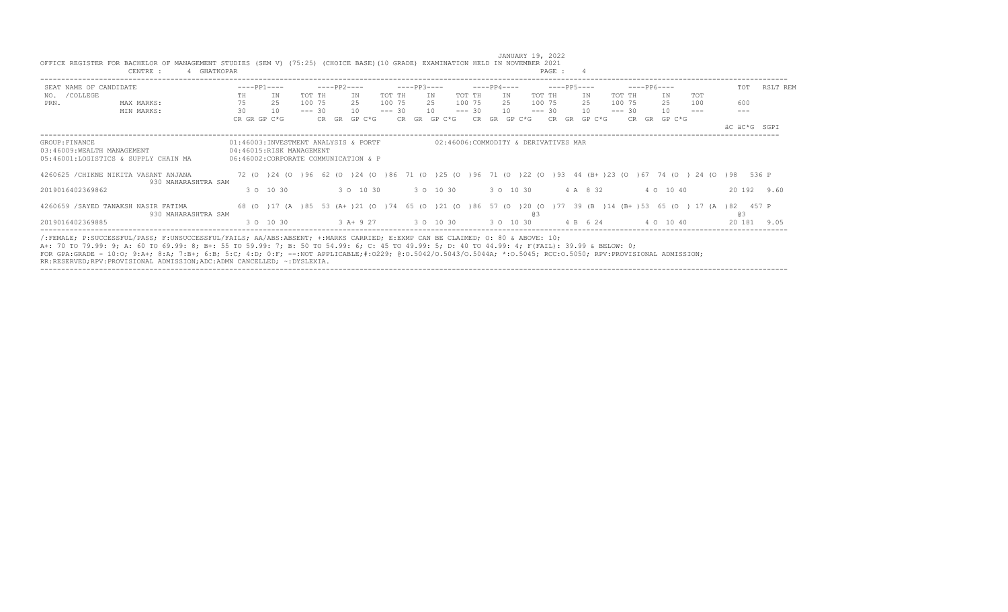|                            | CENTRE :<br>4 GHATKOPAR                                                                                                                                                                                                                                                                                                                                                                                                                          |              |                          |          |       |                                                                                                                         |          |             |                                      |          |             |           |    | PAGE :      |           |          |  |              |     |              |             |
|----------------------------|--------------------------------------------------------------------------------------------------------------------------------------------------------------------------------------------------------------------------------------------------------------------------------------------------------------------------------------------------------------------------------------------------------------------------------------------------|--------------|--------------------------|----------|-------|-------------------------------------------------------------------------------------------------------------------------|----------|-------------|--------------------------------------|----------|-------------|-----------|----|-------------|-----------|----------|--|--------------|-----|--------------|-------------|
| SEAT NAME OF CANDIDATE     |                                                                                                                                                                                                                                                                                                                                                                                                                                                  |              | $---PP1---$              |          |       | $---PP2---$                                                                                                             |          | $---PP3---$ |                                      |          | $---PP4---$ |           |    | ----PP5---- |           |          |  | $---PP6---$  |     | TOT          | RSLT REM    |
| NO. / COLLEGE              |                                                                                                                                                                                                                                                                                                                                                                                                                                                  | TH           | ΙN                       | TOT TH   |       | ΙN                                                                                                                      | TOT TH   |             | IN                                   | TOT TH   |             | IN        |    | TOT TH      | IN        | TOT TH   |  | IN           | TOT |              |             |
| PRN.                       | MAX MARKS:                                                                                                                                                                                                                                                                                                                                                                                                                                       | 75           | 25                       | 100 75   |       | 25                                                                                                                      | 100 75   |             | 25                                   | 100 75   |             | 25        |    | 100 75      | 25        | 100 75   |  | 25           | 100 | 600          |             |
|                            | MIN MARKS:                                                                                                                                                                                                                                                                                                                                                                                                                                       | 30           | 10                       | $--- 30$ |       | 10                                                                                                                      | $--- 30$ |             | 10                                   | $--- 30$ |             | 10        |    | $--- 30$    | 10        | $--- 30$ |  | 10           |     |              |             |
|                            |                                                                                                                                                                                                                                                                                                                                                                                                                                                  | CR GR GP C*G |                          |          | CR GR | GP C*G                                                                                                                  |          |             | CR GR GP C*G                         | CR.      |             | GR GP C*G |    | CR.         | GR GP C*G |          |  | CR GR GP C*G |     |              |             |
|                            |                                                                                                                                                                                                                                                                                                                                                                                                                                                  |              |                          |          |       |                                                                                                                         |          |             |                                      |          |             |           |    |             |           |          |  |              |     | äC äC*G SGPI |             |
| GROUP: FINANCE             |                                                                                                                                                                                                                                                                                                                                                                                                                                                  |              |                          |          |       | 01:46003:INVESTMENT ANALYSIS & PORTF                                                                                    |          |             | 02:46006:COMMODITY & DERIVATIVES MAR |          |             |           |    |             |           |          |  |              |     |              |             |
| 03:46009:WEALTH MANAGEMENT |                                                                                                                                                                                                                                                                                                                                                                                                                                                  |              | 04:46015:RISK MANAGEMENT |          |       |                                                                                                                         |          |             |                                      |          |             |           |    |             |           |          |  |              |     |              |             |
|                            | 05:46001:LOGISTICS & SUPPLY CHAIN MA                                                                                                                                                                                                                                                                                                                                                                                                             |              |                          |          |       | 06:46002:CORPORATE COMMUNICATION & P                                                                                    |          |             |                                      |          |             |           |    |             |           |          |  |              |     |              |             |
|                            | 4260625 / CHIKNE NIKITA VASANT ANJANA<br>930 MAHARASHTRA SAM                                                                                                                                                                                                                                                                                                                                                                                     |              |                          |          |       | 72 (0 ) 24 (0 ) 96 62 (0 ) 24 (0 ) 86 71 (0 ) 25 (0 ) 96 71 (0 ) 22 (0 ) 93 44 (B+) 23 (0 ) 67 74 (0 ) 24 (0 ) 98 536 P |          |             |                                      |          |             |           |    |             |           |          |  |              |     |              |             |
| 2019016402369862           |                                                                                                                                                                                                                                                                                                                                                                                                                                                  |              | 3 0 10 30                |          |       | 3 0 10 30                                                                                                               |          |             | 3 0 10 30                            |          |             | 3 0 10 30 |    |             | 4 A 8 32  |          |  | 4 0 10 40    |     |              | 20 192 9.60 |
|                            | 4260659 / SAYED TANAKSH NASIR FATIMA<br>930 MAHARASHTRA SAM                                                                                                                                                                                                                                                                                                                                                                                      |              |                          |          |       | 68 (0) 17 (A) 85 53 (A+) 21 (0) 74 65 (0) 21 (0) 86 57 (0) 20 (0) 77 39 (B) 14 (B+) 53 65 (0) 17 (A) 82 457 P           |          |             |                                      |          |             |           | eз |             |           |          |  |              |     | eз           |             |
| 2019016402369885           |                                                                                                                                                                                                                                                                                                                                                                                                                                                  |              | 3 0 10 30                |          |       | 3 A + 9 27 3 0 10 30                                                                                                    |          |             |                                      |          | 3 0 10 30   |           |    |             | 4 B 6 24  |          |  | 4 0 10 40    |     |              | 20 181 9.05 |
|                            | /:FEMALE; P:SUCCESSFUL/PASS; F:UNSUCCESSFUL/FAILS; AA/ABS:ABSENT; +:MARKS CARRIED; E:EXMP CAN BE CLAIMED; O: 80 & ABOVE: 10;<br>A+: 70 TO 79.99: 9; A: 60 TO 69.99: 8; B+: 55 TO 59.99: 7; B: 50 TO 54.99: 6; C: 45 TO 49.99: 5; D: 40 TO 44.99: 4; F(FAIL): 39.99 & BELOW: 0;<br>FOR GPA:GRADE - 10:0; 9:A+; 8:A; 7:B+; 6:B; 5:C; 4:D; 0:F; --:NOT APPLICABLE;#:0229; 0:0.5042/0.5043/0.5044A; *:0.5045; RCC:0.5050; RPV:PROVISIONAL ADMISSION; |              |                          |          |       |                                                                                                                         |          |             |                                      |          |             |           |    |             |           |          |  |              |     |              |             |

 JANUARY 19, 2022 OFFICE REGISTER FOR BACHELOR OF MANAGEMENT STUDIES (SEM V) (75:25) (CHOICE BASE)(10 GRADE) EXAMINATION HELD IN NOVEMBER 2021

RR:RESERVED;RPV:PROVISIONAL ADMISSION;ADC:ADMN CANCELLED; ~:DYSLEXIA. ----------------------------------------------------------------------------------------------------------------------------------------------------------------------------------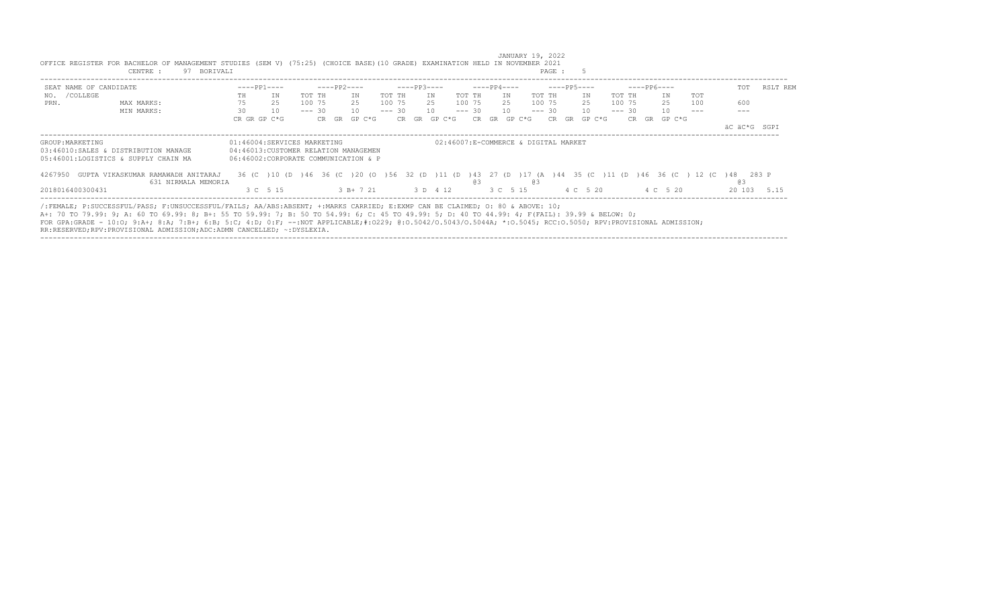|                        | 97<br>CENTRE :<br>BORIVALI                                                                                                                                                                                                                                                                                                                                                                                                                                                                                                 |    |                                                                                                              |          |       |             |          |              |          |          |             |     |                                      | PAGE :      |              |          |             |              |     |              |          |
|------------------------|----------------------------------------------------------------------------------------------------------------------------------------------------------------------------------------------------------------------------------------------------------------------------------------------------------------------------------------------------------------------------------------------------------------------------------------------------------------------------------------------------------------------------|----|--------------------------------------------------------------------------------------------------------------|----------|-------|-------------|----------|--------------|----------|----------|-------------|-----|--------------------------------------|-------------|--------------|----------|-------------|--------------|-----|--------------|----------|
| SEAT NAME OF CANDIDATE |                                                                                                                                                                                                                                                                                                                                                                                                                                                                                                                            |    | $---PP1---$                                                                                                  |          |       | $---PP2---$ |          | $---PP3---$  |          |          | $---PP4---$ |     |                                      | $---PP5---$ |              |          | $---PP6---$ |              |     | TOT          | RSLT REM |
| /COLLEGE<br>NO.        |                                                                                                                                                                                                                                                                                                                                                                                                                                                                                                                            | TH | IN                                                                                                           | TOT TH   |       | ΙN          | TOT TH   |              | IN       | TOT TH   |             | TN  | TOT TH                               |             | TN           | TOT TH   |             | IN           | TOT |              |          |
| PRN.                   | MAX MARKS:                                                                                                                                                                                                                                                                                                                                                                                                                                                                                                                 | 75 | 25                                                                                                           | 100 75   |       | 2.5         | 100 75   |              | 25       | 100 75   |             | 2.5 | 100 75                               |             | 2.5          | 100 75   |             | 25           | 100 | 600          |          |
|                        | MIN MARKS:                                                                                                                                                                                                                                                                                                                                                                                                                                                                                                                 | 30 | 10                                                                                                           | $--- 30$ |       | 10          | $--- 30$ |              | 10       | $--- 30$ |             | 10  | $--- 30$                             |             | 10           | $--- 30$ |             | 10           |     |              |          |
|                        |                                                                                                                                                                                                                                                                                                                                                                                                                                                                                                                            |    | CR GR GP C*G                                                                                                 |          | CR GR | GP C*G      |          | CR GR GP C*G |          | CR.      | GR GP C*G   |     |                                      |             | CR GR GP C*G |          |             | CR GR GP C*G |     |              |          |
|                        |                                                                                                                                                                                                                                                                                                                                                                                                                                                                                                                            |    |                                                                                                              |          |       |             |          |              |          |          |             |     |                                      |             |              |          |             |              |     | äC äC*G SGPI |          |
| GROUP: MARKETING       | 03:46010:SALES & DISTRIBUTION MANAGE<br>05:46001:LOGISTICS & SUPPLY CHAIN MA                                                                                                                                                                                                                                                                                                                                                                                                                                               |    | 01:46004:SERVICES MARKETING<br>04:46013: CUSTOMER RELATION MANAGEMEN<br>06:46002:CORPORATE COMMUNICATION & P |          |       |             |          |              |          |          |             |     | 02:46007:E-COMMERCE & DIGITAL MARKET |             |              |          |             |              |     |              |          |
| 4267950                | GUPTA VIKASKUMAR RAMAWADH ANITARAJ<br>631 NIRMALA MEMORIA                                                                                                                                                                                                                                                                                                                                                                                                                                                                  |    | 36 (C) 10 (D) 46 36 (C) 20 (O) 56 32 (D) 11 (D) 43 27 (D) 17 (A) 44 35 (C) 11 (D) 46 36 (C) 12 (C) 48 283 P  |          |       |             |          |              |          | eз       |             |     | eз                                   |             |              |          |             |              |     | G3           |          |
| 2018016400300431       |                                                                                                                                                                                                                                                                                                                                                                                                                                                                                                                            |    | 3 C 5 15                                                                                                     |          |       | $3 B+721$   |          |              | 3 D 4 12 |          | 3 C 5 15    |     |                                      |             | 4 C 5 20     |          |             | 4 C 5 20     |     | 20 103       | 5 15     |
|                        | /:FEMALE; P:SUCCESSFUL/PASS; F:UNSUCCESSFUL/FAILS; AA/ABS:ABSENT; +:MARKS CARRIED; E:EXMP CAN BE CLAIMED; O: 80 & ABOVE: 10;<br>A+: 70 TO 79.99: 9; A: 60 TO 69.99: 8; B+: 55 TO 59.99: 7; B: 50 TO 54.99: 6; C: 45 TO 49.99: 5; D: 40 TO 44.99: 4; F(FAIL): 39.99 & BELOW: 0;<br>FOR GPA:GRADE - 10:0; 9:A+; 8:A; 7:B+; 6:B; 5:C; 4:D; 0:F; --:NOT APPLICABLE;#:0229; 0:0.5042/0.5043/0.5044A; *:0.5045; RCC:0.5050; RPV:PROVISIONAL ADMISSION;<br>RR:RESERVED;RPV:PROVISIONAL ADMISSION;ADC:ADMN CANCELLED; ~: DYSLEXIA. |    |                                                                                                              |          |       |             |          |              |          |          |             |     |                                      |             |              |          |             |              |     |              |          |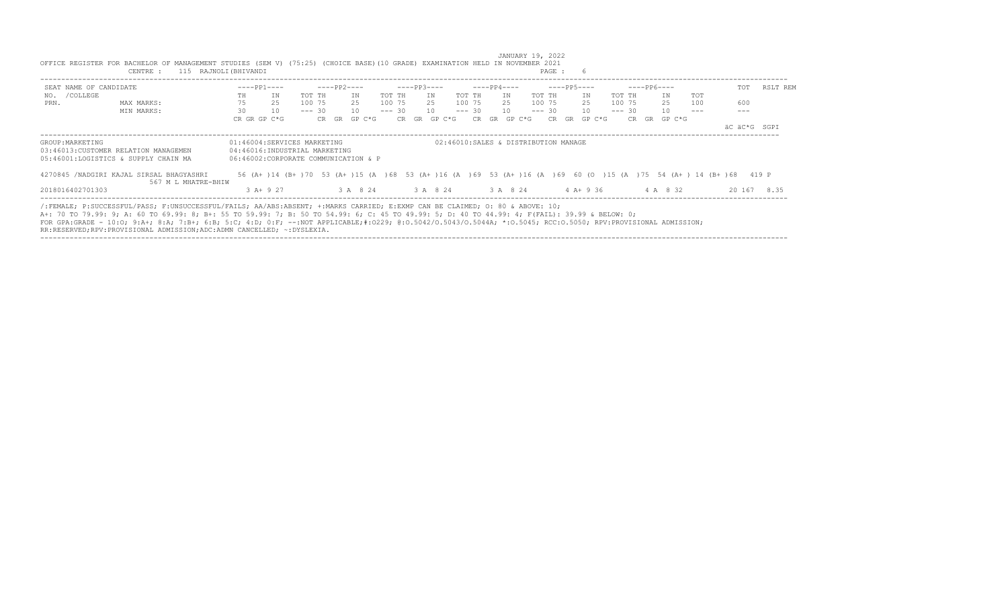| SEAT NAME OF CANDIDATE |                                                                                                                                                                                                                                                                                                                                                                                                                                                  |    | $---PP1---$                                                                                                                                                                                 |          | ----PP2---- |    |              |          | $---PP3---$ |              |         | $---PP4---$  |        | $---PP5---$ |     |              |          | $---PP6---$ |                                                |     | TOT | RSLT REM     |  |
|------------------------|--------------------------------------------------------------------------------------------------------------------------------------------------------------------------------------------------------------------------------------------------------------------------------------------------------------------------------------------------------------------------------------------------------------------------------------------------|----|---------------------------------------------------------------------------------------------------------------------------------------------------------------------------------------------|----------|-------------|----|--------------|----------|-------------|--------------|---------|--------------|--------|-------------|-----|--------------|----------|-------------|------------------------------------------------|-----|-----|--------------|--|
| NO. / COLLEGE          |                                                                                                                                                                                                                                                                                                                                                                                                                                                  | TH | IN                                                                                                                                                                                          | TOT TH   |             | TN |              | TOT TH   |             | IN           | TOT TH  | TN           | TOT TH |             | IN  |              | TOT TH   |             | TN                                             | TOT |     |              |  |
| PRN.                   | MAX MARKS:                                                                                                                                                                                                                                                                                                                                                                                                                                       | 75 | 25                                                                                                                                                                                          | 100 75   |             | 25 |              | 100 75   |             | 25           | 100 75  | 25           |        | 100 75      | 2.5 |              | 100 75   |             | 2.5                                            | 100 | 600 |              |  |
|                        | MIN MARKS:                                                                                                                                                                                                                                                                                                                                                                                                                                       | 30 | 10                                                                                                                                                                                          | $--- 30$ |             | 10 |              | $--- 30$ |             | 10           | $---30$ | 10           |        | $--- 30 10$ |     |              | $--- 30$ |             | 10                                             |     |     |              |  |
|                        |                                                                                                                                                                                                                                                                                                                                                                                                                                                  |    | CR GR GP C*G                                                                                                                                                                                |          |             |    | CR GR GP C*G |          |             | CR GR GP C*G |         | CR GR GP C*G |        |             |     | CR GR GP C*G |          |             | CR GR GP C*G                                   |     |     |              |  |
|                        |                                                                                                                                                                                                                                                                                                                                                                                                                                                  |    |                                                                                                                                                                                             |          |             |    |              |          |             |              |         |              |        |             |     |              |          |             |                                                |     |     | äC äC*G SGPI |  |
|                        | 03:46013: CUSTOMER RELATION MANAGEMEN<br>05:46001:LOGISTICS & SUPPLY CHAIN MA<br>4270845 /NADGIRI KAJAL SIRSAL BHAGYASHRI                                                                                                                                                                                                                                                                                                                        |    | 04:46016:INDUSTRIAL MARKETING<br>06:46002:CORPORATE COMMUNICATION & P<br>56 (A+ )14 (B+ )70 53 (A+ )15 (A )68 53 (A+ )16 (A )69 53 (A+ )16 (A )69 60 (O )15 (A )75 54 (A+ )14 (B+ )68 419 P |          |             |    |              |          |             |              |         |              |        |             |     |              |          |             |                                                |     |     |              |  |
|                        | 567 M L MHATRE-BHIW                                                                                                                                                                                                                                                                                                                                                                                                                              |    |                                                                                                                                                                                             |          |             |    |              |          |             |              |         |              |        |             |     |              |          |             |                                                |     |     |              |  |
| 2018016402701303       |                                                                                                                                                                                                                                                                                                                                                                                                                                                  |    | $3 A+9 27$                                                                                                                                                                                  |          |             |    |              |          |             |              |         |              |        |             |     |              |          |             | 3 A 8 24 3 A 8 24 3 A 8 24 4 A + 9 36 4 A 8 32 |     |     | 20 167 8.35  |  |
|                        | /:FEMALE; P:SUCCESSFUL/PASS; F:UNSUCCESSFUL/FAILS; AA/ABS:ABSENT; +:MARKS CARRIED; E:EXMP CAN BE CLAIMED; O: 80 & ABOVE: 10;<br>A+: 70 TO 79.99: 9; A: 60 TO 69.99: 8; B+: 55 TO 59.99: 7; B: 50 TO 54.99: 6; C: 45 TO 49.99: 5; D: 40 TO 44.99: 4; F(FAIL): 39.99 & BELOW: 0;<br>FOR GPA:GRADE - 10:0; 9:A+; 8:A; 7:B+; 6:B; 5:C; 4:D; 0:F; --:NOT APPLICABLE;#:0229; 0:0.5042/0.5043/0.5044A; *:0.5045; RCC:0.5050; RPV:PROVISIONAL ADMISSION; |    |                                                                                                                                                                                             |          |             |    |              |          |             |              |         |              |        |             |     |              |          |             |                                                |     |     |              |  |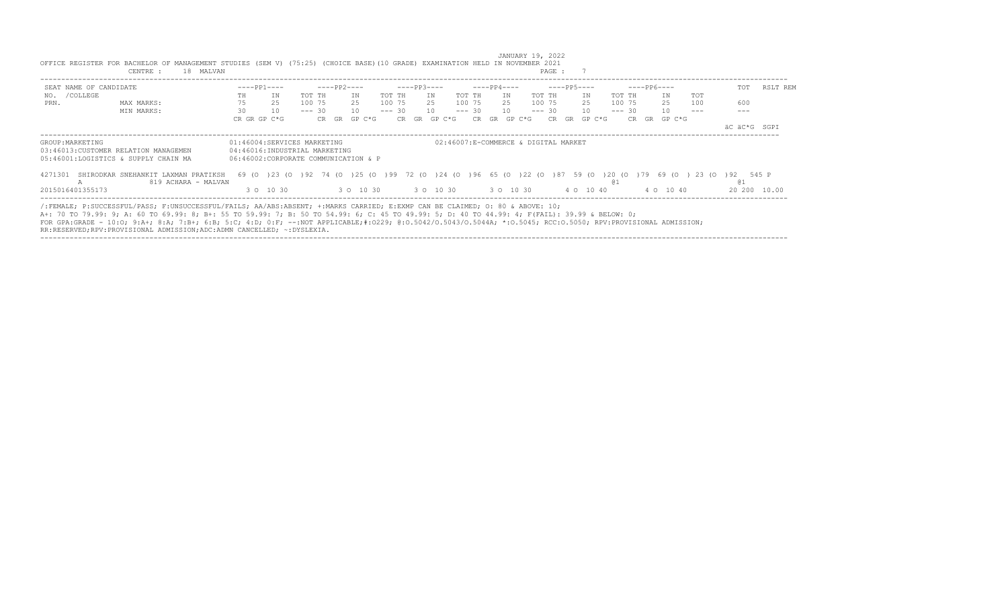|                        | CENTRE :<br>18 MALVAN                                                                                                                                          |              |                                                                                   |          |                                |     |        |          |       |             |        |          |     |             |        |                                      | PAGE :      |    |           |            |          |    |             |                        |              |     |          |
|------------------------|----------------------------------------------------------------------------------------------------------------------------------------------------------------|--------------|-----------------------------------------------------------------------------------|----------|--------------------------------|-----|--------|----------|-------|-------------|--------|----------|-----|-------------|--------|--------------------------------------|-------------|----|-----------|------------|----------|----|-------------|------------------------|--------------|-----|----------|
| SEAT NAME OF CANDIDATE |                                                                                                                                                                |              | $---PP1---$                                                                       |          | $---PP2---$                    |     |        |          |       | $---PP3---$ |        |          |     | $---PP4---$ |        |                                      | $---PP5---$ |    |           |            |          |    | $---PP6---$ |                        |              | TOT | RSLT REM |
| NO. / COLLEGE          |                                                                                                                                                                | TH           | IN                                                                                | TOT TH   |                                | ΙN  |        | TOT TH   |       | IN          |        | TOT TH   |     | IN          |        | TOT TH                               |             |    | IN        |            | TOT TH   |    | IN          | TOT                    |              |     |          |
| PRN.                   | MAX MARKS:                                                                                                                                                     | 75           | 25                                                                                | 100 75   |                                | 2.5 |        | 100 75   |       |             | 25     | 100 75   |     | 2.5         |        | 100 75                               |             |    | 25        |            | 100 75   |    | 25          | 100                    | 600          |     |          |
|                        | MIN MARKS:                                                                                                                                                     | 30           | 10                                                                                | $--- 30$ |                                | 10  |        | $--- 30$ |       | 10          |        | $--- 30$ |     | 10          |        | $--- 30$                             |             |    | 10        |            | $--- 30$ |    | 10          |                        |              |     |          |
|                        |                                                                                                                                                                | CR GR GP C*G |                                                                                   |          | CR GR                          |     | GP C*G |          | CR GR |             | GP C*G |          | CR. | GR          | GP C*G |                                      | CR          | GR | GP C*G    |            | CR.      | GR | GP C*G      |                        |              |     |          |
|                        |                                                                                                                                                                |              |                                                                                   |          |                                |     |        |          |       |             |        |          |     |             |        |                                      |             |    |           |            |          |    |             |                        | äC äC*G SGPI |     |          |
| GROUP: MARKETING       |                                                                                                                                                                |              | 01:46004:SERVICES MARKETING                                                       |          |                                |     |        |          |       |             |        |          |     |             |        | 02:46007:E-COMMERCE & DIGITAL MARKET |             |    |           |            |          |    |             |                        |              |     |          |
|                        | 03:46013:CUSTOMER RELATION MANAGEMEN                                                                                                                           |              | 04:46016:INDUSTRIAL MARKETING                                                     |          |                                |     |        |          |       |             |        |          |     |             |        |                                      |             |    |           |            |          |    |             |                        |              |     |          |
|                        | 05:46001:LOGISTICS & SUPPLY CHAIN MA                                                                                                                           |              | 06:46002:CORPORATE COMMUNICATION & P                                              |          |                                |     |        |          |       |             |        |          |     |             |        |                                      |             |    |           |            |          |    |             |                        |              |     |          |
| 4271301                | SHIRODKAR SNEHANKIT LAXMAN PRATIKSH<br>819 ACHARA - MALVAN                                                                                                     |              | 69 (0 ) 23 (0 ) 92 74 (0 ) 25 (0 ) 99 72 (0 ) 24 (0 ) 96 65 (0 ) 22 (0 ) 87 59 (0 |          |                                |     |        |          |       |             |        |          |     |             |        |                                      |             |    |           | 120 (0 179 |          |    |             | 69 (0) 23 (0) 92 545 P | @ 1          |     |          |
| 2015016401355173       |                                                                                                                                                                |              | 3 0 10 30                                                                         |          | 3 0 10 30 30 10 30 30 30 10 30 |     |        |          |       |             |        |          |     |             |        |                                      |             |    | 4 0 10 40 |            |          |    | 4 0 10 40   |                        | 20 200       |     | 10.00    |
|                        |                                                                                                                                                                |              |                                                                                   |          |                                |     |        |          |       |             |        |          |     |             |        |                                      |             |    |           |            |          |    |             |                        |              |     |          |
|                        | /:FEMALE; P:SUCCESSFUL/PASS; F:UNSUCCESSFUL/FAILS; AA/ABS:ABSENT; +:MARKS CARRIED; E:EXMP CAN BE CLAIMED; O: 80 & ABOVE: 10;                                   |              |                                                                                   |          |                                |     |        |          |       |             |        |          |     |             |        |                                      |             |    |           |            |          |    |             |                        |              |     |          |
|                        | A+: 70 TO 79.99: 9; A: 60 TO 69.99: 8; B+: 55 TO 59.99: 7; B: 50 TO 54.99: 6; C: 45 TO 49.99: 5; D: 40 TO 44.99: 4; F(FAIL): 39.99 & BELOW: 0;                 |              |                                                                                   |          |                                |     |        |          |       |             |        |          |     |             |        |                                      |             |    |           |            |          |    |             |                        |              |     |          |
|                        | FOR GPA:GRADE - 10:0; 9:A+; 8:A; 7:B+; 6:B; 5:C; 4:D; 0:F; --:NOT APPLICABLE;#:0229; 0:0.5042/0.5043/0.5044A; *:0.5045; RCC:0.5050; RPV:PROVISIONAL ADMISSION; |              |                                                                                   |          |                                |     |        |          |       |             |        |          |     |             |        |                                      |             |    |           |            |          |    |             |                        |              |     |          |
|                        | RR:RESERVED;RPV:PROVISIONAL ADMISSION;ADC:ADMN CANCELLED; ~:DYSLEXIA.                                                                                          |              |                                                                                   |          |                                |     |        |          |       |             |        |          |     |             |        |                                      |             |    |           |            |          |    |             |                        |              |     |          |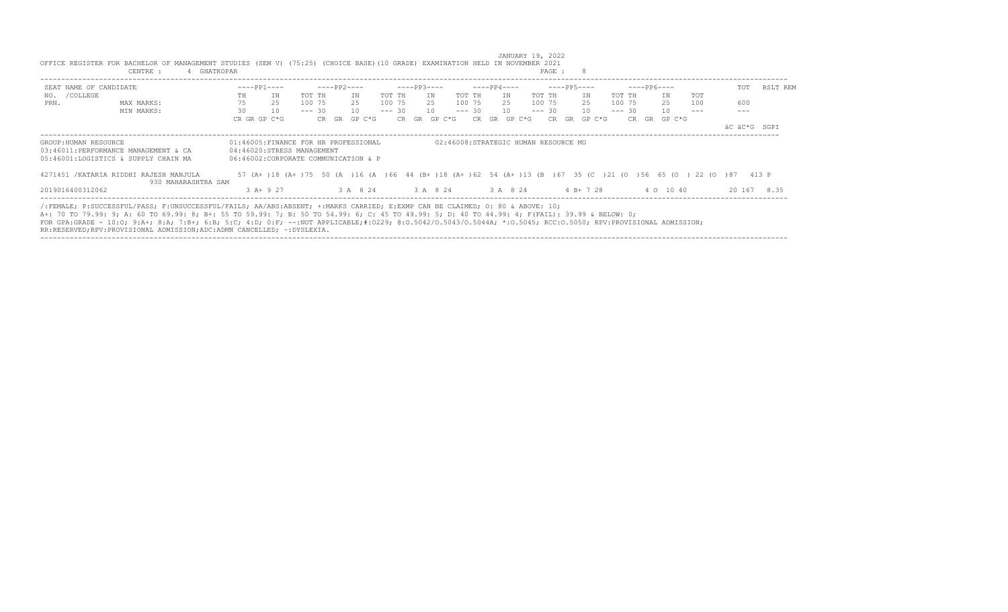|                        | CENTRE :                                | GHATKOPAR                                                                                                                                                                                                                                                                                                                                                                                                                                                                                                                  |          |             |          |          |             |          |                                      |    |             |          | PAGE : |             |          |             |     |              |             |
|------------------------|-----------------------------------------|----------------------------------------------------------------------------------------------------------------------------------------------------------------------------------------------------------------------------------------------------------------------------------------------------------------------------------------------------------------------------------------------------------------------------------------------------------------------------------------------------------------------------|----------|-------------|----------|----------|-------------|----------|--------------------------------------|----|-------------|----------|--------|-------------|----------|-------------|-----|--------------|-------------|
| SEAT NAME OF CANDIDATE |                                         | $---PP1---$                                                                                                                                                                                                                                                                                                                                                                                                                                                                                                                |          | $---PP2---$ |          |          | $---PP3---$ |          |                                      |    | $---PP4---$ |          |        | $---PP5---$ |          | $---PP6---$ |     | TOT          | RSLT REM    |
| NO. / COLLEGE          |                                         | TH<br>IN                                                                                                                                                                                                                                                                                                                                                                                                                                                                                                                   | TOT TH   |             | ΙN       | TOT TH   |             | IN       | TOT TH                               |    | IN          | TOT TH   |        | IN          | TOT TH   | IN          | TOT |              |             |
| PRN.                   | MAX MARKS:                              | 75<br>2.5                                                                                                                                                                                                                                                                                                                                                                                                                                                                                                                  | 100 75   |             | 2.5      | 100 75   |             | 2.5      | 100 75                               |    | 2.5         | 100 75   |        | 2.5         | 100 75   | 25          | 100 | 600          |             |
|                        | MIN MARKS:                              | 30<br>10                                                                                                                                                                                                                                                                                                                                                                                                                                                                                                                   | $--- 30$ |             | 10       | $--- 30$ |             | 10       | $--- 30$                             |    | 10          | $--- 30$ |        | 10          | $--- 30$ | 10          |     |              |             |
|                        |                                         | CR GR GP C*G                                                                                                                                                                                                                                                                                                                                                                                                                                                                                                               |          | CR GR       | GP C*G   |          | CR GR       | GP C*G   | CR.                                  | GR | GP C*G      | CR.      | GR     | GP C*G      | CR.      | GR GP C*G   |     |              |             |
|                        |                                         |                                                                                                                                                                                                                                                                                                                                                                                                                                                                                                                            |          |             |          |          |             |          |                                      |    |             |          |        |             |          |             |     | äC äC*G SGPI |             |
| GROUP: HUMAN RESOURCE  |                                         | 01:46005: FINANCE FOR HR PROFESSIONAL                                                                                                                                                                                                                                                                                                                                                                                                                                                                                      |          |             |          |          |             |          | 02:46008:STRATEGIC HUMAN RESOURCE MG |    |             |          |        |             |          |             |     |              |             |
|                        | 03:46011:PERFORMANCE MANAGEMENT & CA    | 04:46020:STRESS MANAGEMENT                                                                                                                                                                                                                                                                                                                                                                                                                                                                                                 |          |             |          |          |             |          |                                      |    |             |          |        |             |          |             |     |              |             |
|                        | 05:46001:LOGISTICS & SUPPLY CHAIN MA    | 06:46002:CORPORATE COMMUNICATION & P                                                                                                                                                                                                                                                                                                                                                                                                                                                                                       |          |             |          |          |             |          |                                      |    |             |          |        |             |          |             |     |              |             |
|                        | 4271451 / KATARIA RIDDHI RAJESH MANJULA | 57 (A+ )18 (A+ )75 50 (A )16 (A )66 44 (B+ )18 (A+ )62 54 (A+ )13 (B )67 35 (C )21 (O )56 65 (O ) 22 (O )87 413 P                                                                                                                                                                                                                                                                                                                                                                                                          |          |             |          |          |             |          |                                      |    |             |          |        |             |          |             |     |              |             |
|                        | 930 MAHARASHTRA SAM                     |                                                                                                                                                                                                                                                                                                                                                                                                                                                                                                                            |          |             |          |          |             |          |                                      |    |             |          |        |             |          |             |     |              |             |
| 2019016400312062       |                                         | $3$ A+ 9 27                                                                                                                                                                                                                                                                                                                                                                                                                                                                                                                |          |             | 3 A 8 24 |          |             | 3 A 8 24 |                                      |    | 3 A 8 24    |          |        | $4 B+ 7 28$ |          | 4 0 10 40   |     |              | 20 167 8.35 |
|                        |                                         | /:FEMALE; P:SUCCESSFUL/PASS; F:UNSUCCESSFUL/FAILS; AA/ABS:ABSENT; +:MARKS CARRIED; E:EXMP CAN BE CLAIMED; O: 80 & ABOVE: 10;<br>A+: 70 TO 79.99: 9; A: 60 TO 69.99: 8; B+: 55 TO 59.99: 7; B: 50 TO 54.99: 6; C: 45 TO 49.99: 5; D: 40 TO 44.99: 4; F(FAIL): 39.99 & BELOW: 0;<br>FOR GPA:GRADE - 10:0; 9:A+; 8:A; 7:B+; 6:B; 5:C; 4:D; 0:F; --:NOT APPLICABLE;#:0229; 0:0.5042/0.5043/0.5044A; *:0.5045; RCC:0.5050; RPV:PROVISIONAL ADMISSION;<br>RR:RESERVED;RPV:PROVISIONAL ADMISSION;ADC:ADMN CANCELLED; ~: DYSLEXIA. |          |             |          |          |             |          |                                      |    |             |          |        |             |          |             |     |              |             |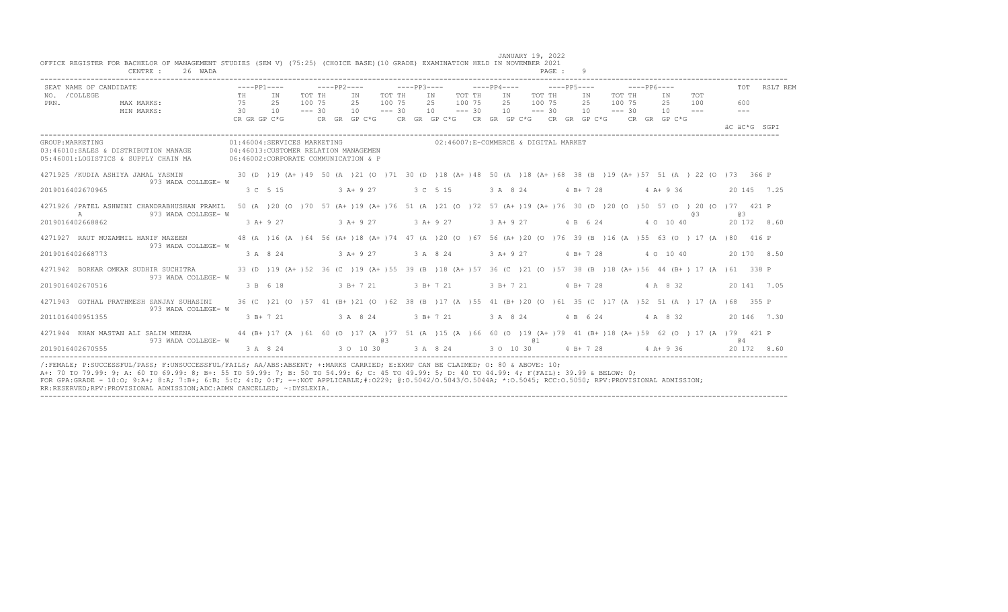| 26 WADA<br>CENTRE :                                                                                                                                |                 |                                                                                                                             |                  |                                                                                           |                  |             |                                      |                  |          |                       | PAGE: 9 |          |                               |                  |             |            |            |                      |              |
|----------------------------------------------------------------------------------------------------------------------------------------------------|-----------------|-----------------------------------------------------------------------------------------------------------------------------|------------------|-------------------------------------------------------------------------------------------|------------------|-------------|--------------------------------------|------------------|----------|-----------------------|---------|----------|-------------------------------|------------------|-------------|------------|------------|----------------------|--------------|
| SEAT NAME OF CANDIDATE                                                                                                                             |                 | $---PP1---$                                                                                                                 |                  | $---PP2---$                                                                               |                  | $---PP3---$ |                                      |                  |          | $---PP4-- ---PP5---$  |         |          |                               |                  | $---PP6---$ |            |            |                      | TOT RSLT REM |
| NO. / COLLEGE<br>MAX MARKS:<br>PRN.                                                                                                                | 75              | TH IN<br>25                                                                                                                 | TOT TH<br>100 75 | IN<br>25                                                                                  | TOT TH<br>100 75 |             | IN<br>25                             | TOT TH<br>100 75 | IN<br>25 | TOT TH<br>100 75      |         | IN<br>25 |                               | TOT TH<br>100 75 |             | IN<br>25   | TOT<br>100 | 600                  |              |
| MIN MARKS:                                                                                                                                         | $\overline{30}$ | 10                                                                                                                          | $--- 30$         | $10 = -230$                                                                               |                  |             | $10 - - - 30$                        |                  |          | $10 - - - 30$         |         |          | $10 - - - 30$                 |                  |             | $10 - - -$ |            | $\sim$ $\sim$ $\sim$ |              |
|                                                                                                                                                    |                 | CR GR GP C*G                                                                                                                |                  | CR GR GP C*G $\,$ CR GR GP C*G $\,$ CR GR GP C*G $\,$ CR GR GP C*G $\,$ CR GR GP C*G $\,$ |                  |             |                                      |                  |          |                       |         |          |                               |                  |             |            |            |                      |              |
|                                                                                                                                                    |                 |                                                                                                                             |                  |                                                                                           |                  |             |                                      |                  |          |                       |         |          |                               |                  |             |            |            | AC AC*G SGPT         |              |
| GROUP: MARKETING                                                                                                                                   |                 | 01:46004:SERVICES MARKETING                                                                                                 |                  |                                                                                           |                  |             | 02:46007:E-COMMERCE & DIGITAL MARKET |                  |          |                       |         |          |                               |                  |             |            |            |                      |              |
| 03:46010:SALES & DISTRIBUTION MANAGE 04:46013:CUSTOMER RELATION MANAGEMEN                                                                          |                 |                                                                                                                             |                  |                                                                                           |                  |             |                                      |                  |          |                       |         |          |                               |                  |             |            |            |                      |              |
| 05:46001:LOGISTICS & SUPPLY CHAIN MA                                                                                                               |                 | 06:46002:CORPORATE COMMUNICATION & P                                                                                        |                  |                                                                                           |                  |             |                                      |                  |          |                       |         |          |                               |                  |             |            |            |                      |              |
| 4271925 /KUDIA ASHIYA JAMAL YASMIN                                                                                                                 |                 | 30 (D)19 (A+)49 50 (A)21 (O)71 30 (D)18 (A+)48 50 (A)18 (A+)68 38 (B)19 (A+)57 51 (A) 22 (O)73 366 P                        |                  |                                                                                           |                  |             |                                      |                  |          |                       |         |          |                               |                  |             |            |            |                      |              |
| 973 WADA COLLEGE- W                                                                                                                                |                 |                                                                                                                             |                  |                                                                                           |                  |             |                                      |                  |          | 3 A 8 24 4 B + 7 28   |         |          |                               |                  |             |            |            |                      |              |
| 2019016402670965                                                                                                                                   |                 | 3 C 5 15                                                                                                                    |                  | $3A+927$                                                                                  |                  | 3 C 5 15    |                                      |                  |          |                       |         |          |                               |                  |             | $4A+936$   |            |                      | 20 145 7.25  |
| 4271926 / PATEL ASHWINI CHANDRABHUSHAN PRAMIL                                                                                                      |                 | 50 (A ) 20 (O ) 70 57 (A+ ) 19 (A+ ) 76 51 (A ) 21 (O ) 72 57 (A+ ) 19 (A+ ) 76 30 (D ) 20 (O ) 50 57 (O ) 20 (O ) 77 421 P |                  |                                                                                           |                  |             |                                      |                  |          |                       |         |          |                               |                  |             |            |            |                      |              |
| $\overline{A}$<br>973 WADA COLLEGE- W                                                                                                              |                 |                                                                                                                             |                  |                                                                                           |                  |             |                                      |                  |          |                       |         |          |                               |                  |             |            | 6.3        | <b>CB</b>            |              |
| 2019016402668862                                                                                                                                   |                 | 3 A+ 9 27                                                                                                                   |                  | $3 A+9 27$ $3 A+9 27$                                                                     |                  |             |                                      |                  |          |                       |         |          | 3 A + 9 27 4 B 6 24 4 0 10 40 |                  |             |            |            |                      | 20 172 8.60  |
| 4271927 RAUT MUZAMMIL HANIF MAZEEN 48 (A )16 (A )64 56 (A+ )18 (A+ )74 47 (A )20 (O )67 56 (A+ )20 (O )76 39 (B )16 (A )55 63 (O ) 17 (A )80 416 P |                 |                                                                                                                             |                  |                                                                                           |                  |             |                                      |                  |          |                       |         |          |                               |                  |             |            |            |                      |              |
| 973 WADA COLLEGE- W                                                                                                                                |                 |                                                                                                                             |                  |                                                                                           |                  |             |                                      |                  |          |                       |         |          |                               |                  |             |            |            |                      |              |
| 2019016402668773                                                                                                                                   |                 | 3 A 8 24                                                                                                                    |                  | $3 A+9 27$                                                                                |                  | 3 A 8 24    |                                      |                  |          | $3 A+9 27$ 4 B + 7 28 |         |          |                               |                  |             | 4 0 10 40  |            |                      | 20 170 8.50  |
| 4271942 BORKAR OMKAR SUDHIR SUCHITRA                                                                                                               |                 | 33 (D) 19 (A+) 52 36 (C) 19 (A+) 55 39 (B) 18 (A+) 57 36 (C) 21 (O) 57 38 (B) 18 (A+) 56 44 (B+) 17 (A) 61 338 P            |                  |                                                                                           |                  |             |                                      |                  |          |                       |         |          |                               |                  |             |            |            |                      |              |
| 973 WADA COLLEGE- W                                                                                                                                |                 |                                                                                                                             |                  |                                                                                           |                  |             |                                      |                  |          |                       |         |          |                               |                  |             |            |            |                      |              |
| 2019016402670516                                                                                                                                   |                 | 3 B 6 18                                                                                                                    |                  | $3 R + 7 21$                                                                              |                  | 3 B + 7 21  |                                      |                  |          | 3 B + 7 21 4 B + 7 28 |         |          |                               |                  |             | 4 A 8 32   |            |                      | 20 141 7.05  |
| 4271943 GOTHAL PRATHMESH SANJAY SUHASINI                                                                                                           |                 | 36 (C) 21 (O) 57 41 (B+) 21 (O) 62 38 (B) 17 (A) 55 41 (B+) 20 (O) 61 35 (C) 17 (A) 52 51 (A) 17 (A) 68 355 P               |                  |                                                                                           |                  |             |                                      |                  |          |                       |         |          |                               |                  |             |            |            |                      |              |
| 973 WADA COLLEGE- W                                                                                                                                |                 |                                                                                                                             |                  |                                                                                           |                  |             |                                      |                  |          |                       |         |          |                               |                  |             |            |            |                      |              |
| 2011016400951355                                                                                                                                   |                 | 3 B+ 7 21                                                                                                                   |                  | 3 A 8 24                                                                                  |                  |             | $3 B+ 7 21$                          |                  |          | 3 A 8 24 4 B 6 24     |         |          |                               |                  |             | 4 A 8 32   |            |                      | 20 146 7.30  |
| 4271944 KHAN MASTAN ALI SALIM MEENA 44 (B+)17 (A)61 60 (O)17 (A)77 51 (A)15 (A)66 60 (O)19 (A+)79 41 (B+)18 (A+)59 62 (O) 17 (A)79 421 P           |                 |                                                                                                                             |                  |                                                                                           |                  |             |                                      |                  |          |                       |         |          |                               |                  |             |            |            |                      |              |
| 973 WADA COLLEGE- W<br>2019016402670555                                                                                                            |                 |                                                                                                                             |                  |                                                                                           | @ 3              |             |                                      |                  |          | <b>a</b> 1            |         |          |                               |                  |             |            |            | @ 4                  |              |
|                                                                                                                                                    |                 | 3 A 8 24 3 O 10 30 3 A 8 24 3 O 10 30 4 B + 7 28 4 A + 9 36                                                                 |                  |                                                                                           |                  |             |                                      |                  |          |                       |         |          |                               |                  |             |            |            |                      | 20 172 8.60  |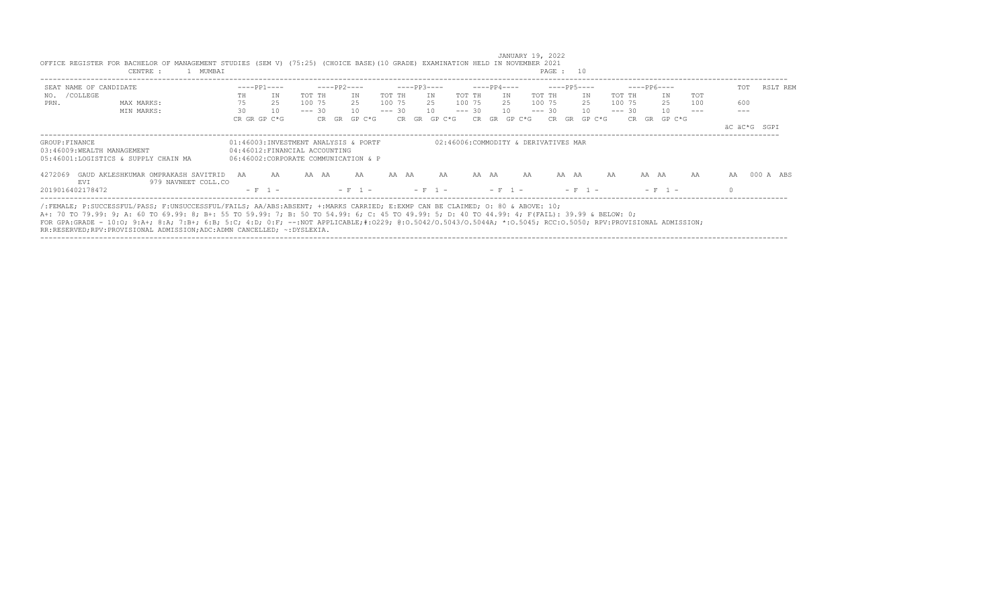|                                              | 1 MUMBAI<br>CENTRE :                                                                                                                                                                                                                                                                                                                                                                                                                                                                                                      |    |                                                                                                               |          |              |              |          |             |    |                                      |          |       |             |    | PAGE : 10 |       |             |    |          |             |           |        |     |              |     |           |
|----------------------------------------------|---------------------------------------------------------------------------------------------------------------------------------------------------------------------------------------------------------------------------------------------------------------------------------------------------------------------------------------------------------------------------------------------------------------------------------------------------------------------------------------------------------------------------|----|---------------------------------------------------------------------------------------------------------------|----------|--------------|--------------|----------|-------------|----|--------------------------------------|----------|-------|-------------|----|-----------|-------|-------------|----|----------|-------------|-----------|--------|-----|--------------|-----|-----------|
| SEAT NAME OF CANDIDATE                       |                                                                                                                                                                                                                                                                                                                                                                                                                                                                                                                           |    | $---PP1---$                                                                                                   |          | -----PP2---- |              |          | $---PP3---$ |    |                                      |          |       | $---PP4---$ |    |           |       | $---PP5---$ |    |          | $---PP6---$ |           |        |     |              | TOT | RSLT REM  |
| NO. / COLLEGE                                |                                                                                                                                                                                                                                                                                                                                                                                                                                                                                                                           | TH | IN                                                                                                            | TOT TH   |              | IN           | TOT TH   |             | IN |                                      | TOT TH   |       | IN          |    | TOT TH    |       | IN          |    | TOT TH   |             | ΙN        |        | TOT |              |     |           |
| PRN.                                         | MAX MARKS:                                                                                                                                                                                                                                                                                                                                                                                                                                                                                                                | 75 | 2.5                                                                                                           | 100 75   |              | - 2.5        | 100 75   |             | 25 |                                      | 100 75   |       | 2.5         |    | 100 75    |       | 25          |    | 100 75   |             | 25        |        | 100 |              | 600 |           |
|                                              | MIN MARKS:                                                                                                                                                                                                                                                                                                                                                                                                                                                                                                                | 30 | 10                                                                                                            | $--- 30$ |              | 10           | $--- 30$ |             | 10 |                                      | $--- 30$ |       | 10          |    | $--- 30$  |       | 10          |    | $--- 30$ |             | 10        |        |     |              | --- |           |
|                                              |                                                                                                                                                                                                                                                                                                                                                                                                                                                                                                                           |    | CR GR GP C*G                                                                                                  |          |              | CR GR GP C*G |          |             |    | CR GR GP C*G                         | CR.      | GR    | GP C*G      |    |           | CR GR | GP C*G      |    |          | CR GR       |           | GP C*G |     |              |     |           |
|                                              |                                                                                                                                                                                                                                                                                                                                                                                                                                                                                                                           |    |                                                                                                               |          |              |              |          |             |    |                                      |          |       |             |    |           |       |             |    |          |             |           |        |     | äC äC*G SGPI |     |           |
| GROUP: FINANCE<br>03:46009:WEALTH MANAGEMENT | 05:46001:LOGISTICS & SUPPLY CHAIN MA                                                                                                                                                                                                                                                                                                                                                                                                                                                                                      |    | 01:46003:INVESTMENT ANALYSIS & PORTF<br>04:46012:FINANCIAL ACCOUNTING<br>06:46002:CORPORATE COMMUNICATION & P |          |              |              |          |             |    | 02:46006:COMMODITY & DERIVATIVES MAR |          |       |             |    |           |       |             |    |          |             |           |        |     |              |     |           |
| 4272069<br><b>EVT</b>                        | GAUD AKLESHKUMAR OMPRAKASH SAVITRID AA<br>979 NAVNEET COLL.CO                                                                                                                                                                                                                                                                                                                                                                                                                                                             |    | AA                                                                                                            | AA AA    |              | AA           |          | AA AA       |    | AA                                   |          | AA AA |             | AA |           | AA AA |             | AA |          |             | AA AA     |        | AA  | AA           |     | 000 A ABS |
| 2019016402178472                             |                                                                                                                                                                                                                                                                                                                                                                                                                                                                                                                           |    | $- F 1 -$                                                                                                     |          |              |              |          |             |    |                                      |          |       |             |    |           |       | $- F - 1 -$ |    |          |             | $- F 1 -$ |        |     |              |     |           |
|                                              | /:FEMALE; P:SUCCESSFUL/PASS; F:UNSUCCESSFUL/FAILS; AA/ABS:ABSENT; +:MARKS CARRIED; E:EXMP CAN BE CLAIMED; O: 80 & ABOVE: 10;<br>A+: 70 TO 79.99: 9; A: 60 TO 69.99: 8; B+: 55 TO 59.99: 7; B: 50 TO 54.99: 6; C: 45 TO 49.99: 5; D: 40 TO 44.99: 4; F(FAIL): 39.99 & BELOW: 0;<br>FOR GPA:GRADE - 10:0; 9:A+; 8:A; 7:B+; 6:B; 5:C; 4:D; 0:F; --:NOT APPLICABLE;#:0229; 0:0.5042/0.5043/0.5044A; *:0.5045; RCC:0.5050; RPV:PROVISIONAL ADMISSION;<br>RR:RESERVED;RPV:PROVISIONAL ADMISSION;ADC:ADMN CANCELLED; ~:DYSLEXIA. |    |                                                                                                               |          |              |              |          |             |    |                                      |          |       |             |    |           |       |             |    |          |             |           |        |     |              |     |           |

 JANUARY 19, 2022 OFFICE REGISTER FOR BACHELOR OF MANAGEMENT STUDIES (SEM V) (75:25) (CHOICE BASE)(10 GRADE) EXAMINATION HELD IN NOVEMBER 2021 CENTRE : 1 MUMBAI PAGE : 10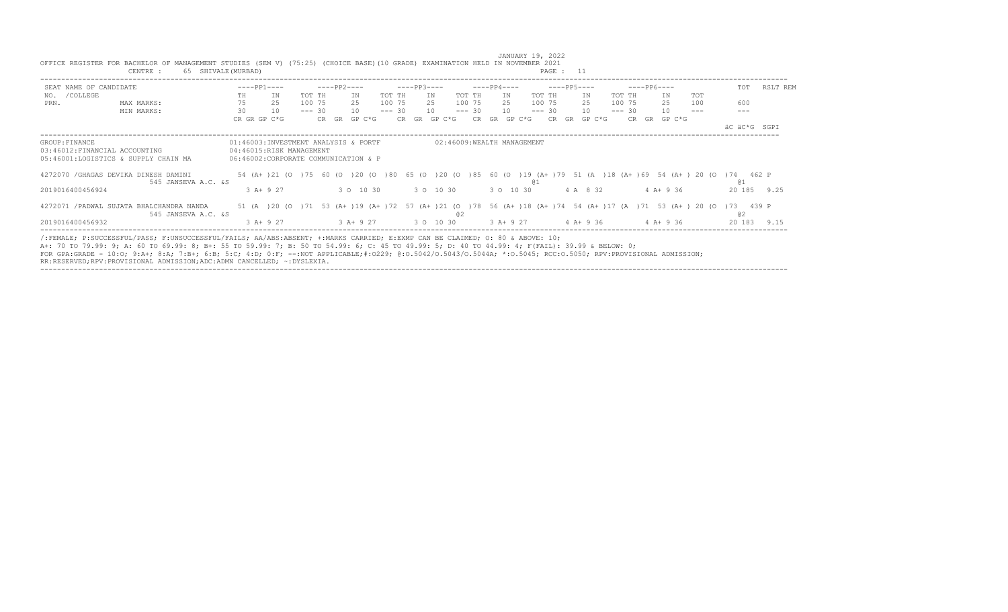|                        | CENTRE :<br>65 SHIVALE (MURBAD)                                       |                                      |                                                                  |          |             |             |          |             |              |          |             |                            |          | PAGE : 11   |              |          |             |              |                                                                                                              |                                                                                                                        |          |
|------------------------|-----------------------------------------------------------------------|--------------------------------------|------------------------------------------------------------------|----------|-------------|-------------|----------|-------------|--------------|----------|-------------|----------------------------|----------|-------------|--------------|----------|-------------|--------------|--------------------------------------------------------------------------------------------------------------|------------------------------------------------------------------------------------------------------------------------|----------|
| SEAT NAME OF CANDIDATE |                                                                       |                                      | $---PP1---$                                                      |          | $---PP2---$ |             |          | $---PP3---$ |              |          | $---PP4---$ |                            |          | $---PP5---$ |              |          | $---PP6---$ |              |                                                                                                              | TOT                                                                                                                    | RSLT REM |
| NO. / COLLEGE          |                                                                       | TH                                   | IN                                                               | TOT TH   |             | IN          | TOT TH   |             | IN           | TOT TH   |             | IN                         | TOT TH   |             | IN           | TOT TH   |             | IN           | <b>TOT</b>                                                                                                   |                                                                                                                        |          |
| PRN.                   | MAX MARKS:                                                            | 75                                   | 25                                                               | 100 75   |             | 2.5         | 100 75   |             | 2.5          | 100 75   |             | 2.5                        | 100 75   |             | 2.5          | 100 75   |             | 2.5          | 100                                                                                                          | 600                                                                                                                    |          |
|                        | MIN MARKS:                                                            | 30                                   | 10                                                               | $--- 30$ |             | 10          | $--- 30$ |             | 10           | $--- 30$ | 10          |                            | $--- 30$ |             | 10           | $--- 30$ |             | 10           |                                                                                                              |                                                                                                                        |          |
|                        |                                                                       | CR GR GP C*G                         |                                                                  |          | CR GR       | GP C*G      |          |             | CR GR GP C*G |          |             | CR GR GP C*G               |          |             | CR GR GP C*G |          |             | CR GR GP C*G |                                                                                                              | äC äC*G SGPI                                                                                                           |          |
| GROUP: FINANCE         | 03:46012:FINANCIAL ACCOUNTING<br>05:46001:LOGISTICS & SUPPLY CHAIN MA | 06:46002:CORPORATE COMMUNICATION & P | 01:46003:INVESTMENT ANALYSIS & PORTF<br>04:46015:RISK MANAGEMENT |          |             |             |          |             |              |          |             | 02:46009:WEALTH MANAGEMENT |          |             |              |          |             |              |                                                                                                              |                                                                                                                        |          |
|                        | 4272070 / GHAGAS DEVIKA DINESH DAMINI<br>545 JANSEVA A.C. &S          |                                      |                                                                  |          |             |             |          |             |              |          |             |                            |          |             |              |          |             |              |                                                                                                              | 54 (A+ )21 (0 )75 60 (0 )20 (0 )80 65 (0 )20 (0 )85 60 (0 )19 (A+ )79 51 (A )18 (A+ )69 54 (A+ )20 (0 )74 462 P<br>@ 1 |          |
| 2019016400456924       |                                                                       |                                      | $3 A+ 9 27$                                                      |          |             | 3 0 10 30   |          |             | 3 0 10 30    |          |             | 3 0 10 30                  |          |             | 4 A 8 32     |          |             | $4 A+9 36$   |                                                                                                              | 20 185                                                                                                                 | 9.25     |
|                        | 4272071 / PADWAL SUJATA BHALCHANDRA NANDA<br>545 JANSEVA A.C. &S      |                                      |                                                                  |          |             |             |          |             |              | @ 2      |             |                            |          |             |              |          |             |              | 51 (A) 20 (O) 71 53 (A+) 19 (A+) 72 57 (A+) 21 (O) 78 56 (A+) 18 (A+) 74 54 (A+) 17 (A) 71 53 (A+) 20 (O) 73 | <b>@2</b>                                                                                                              | 439 P    |
| 2019016400456932       |                                                                       |                                      | $3 A+ 9 27$                                                      |          |             | $3$ A+ 9 27 |          |             | 3 0 10 30    |          |             | 3 A+ 9 27                  |          |             | 4 A+ 9 36    |          |             | $4$ A + 9 36 |                                                                                                              | 20 183                                                                                                                 | 9.15     |

JANUARY 19, 2022<br>JANUARY 19, 2022<br>CENTRE : 65 SHIVALE(MURBAD) (75:25) (CHOICE BASE)(10 GRADE) EXAMINATION HELD IN NOVEMBER 2021

RR:RESERVED;RPV:PROVISIONAL ADMISSION;ADC:ADMN CANCELLED; ~:DYSLEXIA.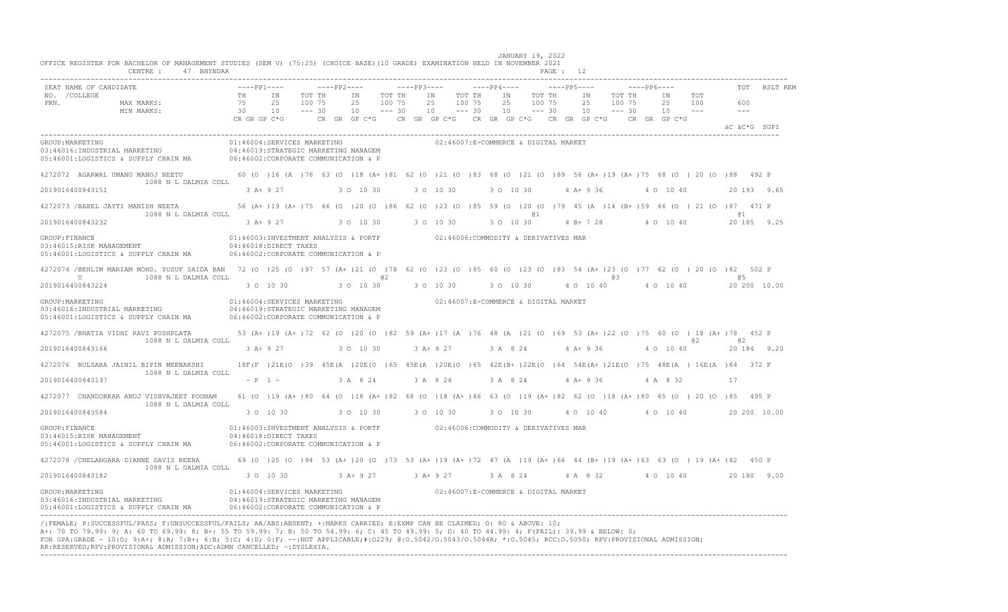| OFFICE REGISTER FOR BACHELOR OF MANAGEMENT STUDIES (SEM V) (75:25) (CHOICE BASE) (10 GRADE) EXAMINATION HELD IN NOVEMBER 2021<br>CENTRE : 47 BHYNDAR                                                                                                                                                                                                                                                                                                                                                                       |                                                                                                                                            |             |                      |                              |                |                              |                 |          |           |                                      | JANUARY 19, 2022          |                  | PAGE : 12   |          |          |               |                  |             |    |                                                                  |            |     |                                                                                                                                                                                        |          |
|----------------------------------------------------------------------------------------------------------------------------------------------------------------------------------------------------------------------------------------------------------------------------------------------------------------------------------------------------------------------------------------------------------------------------------------------------------------------------------------------------------------------------|--------------------------------------------------------------------------------------------------------------------------------------------|-------------|----------------------|------------------------------|----------------|------------------------------|-----------------|----------|-----------|--------------------------------------|---------------------------|------------------|-------------|----------|----------|---------------|------------------|-------------|----|------------------------------------------------------------------|------------|-----|----------------------------------------------------------------------------------------------------------------------------------------------------------------------------------------|----------|
| SEAT NAME OF CANDIDATE                                                                                                                                                                                                                                                                                                                                                                                                                                                                                                     |                                                                                                                                            | $---PP1---$ |                      |                              | $---PP2---$    | $---PP3---$                  |                 |          |           | $---PP4---$                          |                           |                  | $---PP5---$ |          |          |               |                  | $---PP6---$ |    |                                                                  |            |     |                                                                                                                                                                                        | RSLT REM |
| NO. / COLLEGE<br>PRN.<br>MAX MARKS:<br>MIN MARKS:                                                                                                                                                                                                                                                                                                                                                                                                                                                                          | 75<br>30 10                                                                                                                                | TH IN       | 25                   | TOT TH<br>100 75<br>$--- 30$ | IN<br>25<br>10 | TOT TH<br>100 75<br>$--- 30$ | IN <sub>1</sub> | 25<br>10 |           | TOT TH<br>100 75<br>$--- 30$         | IN<br>25<br>$10 - - - 30$ | TOT TH<br>100 75 |             |          | IN<br>25 | $10 - - - 30$ | TOT TH<br>100 75 |             | IN | 25<br>$10 - -$                                                   | TOT<br>100 |     | 600<br>$\frac{1}{2}$                                                                                                                                                                   |          |
|                                                                                                                                                                                                                                                                                                                                                                                                                                                                                                                            | CR GR GP C*G                                                                                                                               |             |                      |                              |                |                              |                 |          |           |                                      |                           |                  |             |          |          |               |                  |             |    | CR GR GP C*G CR GR GP C*G CR GR GP C*G CR GR GP C*G CR GR GP C*G |            |     | äC äC*G SGPI                                                                                                                                                                           |          |
| GROUP: MARKETING<br>03:46016:INDUSTRIAL MARKETING $04:46019:STRATEGIC MARKETING MANAGEM$<br>05:46001:LOGISTICS & SUPPLY CHAIN MA                                                                                                                                                                                                                                                                                                                                                                                           | 01:46004:SERVICES MARKETING<br>06:46002:CORPORATE COMMUNICATION & P                                                                        |             |                      |                              |                |                              |                 |          |           | 02:46007:E-COMMERCE & DIGITAL MARKET |                           |                  |             |          |          |               |                  |             |    |                                                                  |            |     |                                                                                                                                                                                        |          |
| 4272072 AGARWAL UMANG MANOJ NEETU 60 (0 )16 (A )76 63 (0 )18 (A+)81 62 (0 )21 (0 )83 68 (0 )21 (0 )89 56 (A+)19 (A+)75 68 (0 )20 (0 )88 492 P<br>1088 N L DALMIA COLL                                                                                                                                                                                                                                                                                                                                                      |                                                                                                                                            |             |                      |                              |                |                              |                 |          |           |                                      |                           |                  |             |          |          |               |                  |             |    |                                                                  |            |     |                                                                                                                                                                                        |          |
| 2019016400843151                                                                                                                                                                                                                                                                                                                                                                                                                                                                                                           |                                                                                                                                            | 3 A+ 9 27   |                      |                              | 3 0 10 30      |                              | 3 0 10 30       |          |           |                                      | 3 0 10 30                 |                  |             |          |          | 4 A+ 9 36     |                  |             |    | 4 0 10 40                                                        |            |     | 20 193 9.65                                                                                                                                                                            |          |
| 4272073 /BABEL JAYTI MANISH NEETA<br>1088 N L DALMIA COLL                                                                                                                                                                                                                                                                                                                                                                                                                                                                  |                                                                                                                                            |             |                      |                              |                |                              |                 |          |           |                                      |                           | @ 1              |             |          |          |               |                  |             |    |                                                                  |            |     | 56 (A+ )19 (A+ )75 66 (O )20 (O )86 62 (O )23 (O )85 59 (O )20 (O )79 45 (A )14 (B+ )59 66 (O )21 (O )87 471 P<br>@ 1                                                                  |          |
| 2019016400843232                                                                                                                                                                                                                                                                                                                                                                                                                                                                                                           |                                                                                                                                            | $3 A+9 27$  |                      |                              | 3 0 10 30      |                              | 3 0 10 30       |          |           |                                      | 3 0 10 30                 |                  |             |          |          |               |                  |             |    | 4 B + 7 28 4 0 10 40                                             |            |     | 20 185 9.25                                                                                                                                                                            |          |
| GROUP: FINANCE<br>03:46015:RISK MANAGEMENT<br>05:46001:LOGISTICS & SUPPLY CHAIN MA                                                                                                                                                                                                                                                                                                                                                                                                                                         | 01:46003:INVESTMENT ANALYSIS & PORTF 02:46006:COMMODITY & DERIVATIVES MAR<br>04:46018:DIRECT TAXES<br>06:46002:CORPORATE COMMUNICATION & P |             |                      |                              |                |                              |                 |          |           |                                      |                           |                  |             |          |          |               |                  |             |    |                                                                  |            |     |                                                                                                                                                                                        |          |
| 4272074 /BEHLIM MARIAM MOHD. YUSUF SAIDA BAN 72 (0 )25 (0 )97 57 (A+ )21 (0 )78 62 (0 )23 (0 )85 60 (0 )23 (0 )83 54 (A+ )23 (0 )77 62 (0 )20 (0 )82 502 P<br>U<br>1088 N L DALMIA COLL                                                                                                                                                                                                                                                                                                                                    |                                                                                                                                            |             |                      |                              |                | @ 2                          |                 |          |           |                                      |                           |                  |             |          |          |               | @3               |             |    |                                                                  |            |     | a 5                                                                                                                                                                                    |          |
| 2019016400843224                                                                                                                                                                                                                                                                                                                                                                                                                                                                                                           |                                                                                                                                            |             | 3 0 10 30            |                              | 3 0 10 30      |                              |                 |          | 3 0 10 30 |                                      | 3 0 10 30                 |                  |             |          |          | 4 0 10 40     |                  |             |    | 4 0 10 40                                                        |            |     | 20 200 10.00                                                                                                                                                                           |          |
| GROUP: MARKETING<br>03:46016: INDUSTRIAL MARKETING<br>05:46001:LOGISTICS & SUPPLY CHAIN MA 06:46002:CORPORATE COMMUNICATION & P                                                                                                                                                                                                                                                                                                                                                                                            | 01:46004:SERVICES MARKETING<br>04:46019:STRATEGIC MARKETING MANAGEM                                                                        |             |                      |                              |                |                              |                 |          |           | 02:46007:E-COMMERCE & DIGITAL MARKET |                           |                  |             |          |          |               |                  |             |    |                                                                  |            |     |                                                                                                                                                                                        |          |
| 4272075 /BHATIA VIDHI RAVI PUSHPLATA<br>1088 N L DALMIA COLL                                                                                                                                                                                                                                                                                                                                                                                                                                                               |                                                                                                                                            |             |                      |                              |                |                              |                 |          |           |                                      |                           |                  |             |          |          |               |                  |             |    |                                                                  |            | 0.2 | 53 (A+ )19 (A+ )72 62 (O )20 (O )82 59 (A+ )17 (A )76 48 (A )21 (O )69 53 (A+ )22 (O )75 60 (O ) 18 (A+ )78 452 P<br>a2                                                                |          |
| 2019016400843166                                                                                                                                                                                                                                                                                                                                                                                                                                                                                                           |                                                                                                                                            |             | 3 A + 9 27 3 0 10 30 |                              |                |                              |                 |          |           |                                      |                           |                  |             |          |          |               |                  |             |    | 3 A + 9 27 3 A 8 24 4 A + 9 36 4 0 10 40                         |            |     | 20 184 9.20                                                                                                                                                                            |          |
| 4272076 BULSARA JAINIL BIPIN MEENAKSHI<br>1088 N L DALMIA COLL                                                                                                                                                                                                                                                                                                                                                                                                                                                             |                                                                                                                                            |             |                      |                              |                |                              |                 |          |           |                                      |                           |                  |             |          |          |               |                  |             |    |                                                                  |            |     | 18F(F)21E(O)39 45E(A)20E(O)65 45E(A)20E(O)65 42E(B+)22E(O)64 54E(A+)21E(O)75 48E(A) 16E(A)64 372 F                                                                                     |          |
| 2019016400843197                                                                                                                                                                                                                                                                                                                                                                                                                                                                                                           |                                                                                                                                            | $- F 1 -$   |                      |                              | 3 A 8 24       |                              | 3 A 8 24        |          |           |                                      | 3 A 8 24                  |                  |             | $4A+936$ |          |               |                  |             |    | 4 A 8 32                                                         |            |     | 17                                                                                                                                                                                     |          |
| 4272077 CHANDORKAR ANUJ VISHVAJEET POONAM<br>1088 N L DALMIA COLL                                                                                                                                                                                                                                                                                                                                                                                                                                                          |                                                                                                                                            |             |                      |                              |                |                              |                 |          |           |                                      |                           |                  |             |          |          |               |                  |             |    |                                                                  |            |     | 61 (0 )19 (A+ )80 64 (0 )18 (A+ )82 68 (0 )18 (A+ )86 63 (0 )19 (A+ )82 62 (0 )18 (A+ )80 65 (0 )20 (0 )85 495 P                                                                       |          |
| 2019016400843584                                                                                                                                                                                                                                                                                                                                                                                                                                                                                                           |                                                                                                                                            | 3 0 10 30   |                      |                              |                | 3 0 10 30 30 10 30           |                 |          |           |                                      | 3 0 10 30                 |                  |             |          |          | 4 0 10 40     |                  |             |    | 4 0 10 40                                                        |            |     | 20 200 10.00                                                                                                                                                                           |          |
| GROUP: FINANCE<br>03:46015:RISK MANAGEMENT<br>05:46001:LOGISTICS & SUPPLY CHAIN MA 06:46002:CORPORATE COMMUNICATION & P                                                                                                                                                                                                                                                                                                                                                                                                    | 01:46003:INVESTMENT ANALYSIS & PORTF 02:46006:COMMODITY & DERIVATIVES MAR<br>04:46018:DIRECT TAXES                                         |             |                      |                              |                |                              |                 |          |           |                                      |                           |                  |             |          |          |               |                  |             |    |                                                                  |            |     |                                                                                                                                                                                        |          |
| 4272078 / CHELANGARA DIANNE DAVIS REENA<br>1088 N L DALMIA COLL                                                                                                                                                                                                                                                                                                                                                                                                                                                            | 69 (0 )25 (0 )94 53 (A+ )20 (0 )73 53 (A+ )19 (A+ )72 47 (A )19 (A+ )66 44 (B+ )19 (A+ )63 63 (0 )19 (A+ )82 450 P                         |             |                      |                              |                |                              |                 |          |           |                                      |                           |                  |             |          |          |               |                  |             |    |                                                                  |            |     |                                                                                                                                                                                        |          |
| 2019016400843182                                                                                                                                                                                                                                                                                                                                                                                                                                                                                                           |                                                                                                                                            | 3 0 10 30   |                      |                              |                |                              |                 |          |           |                                      |                           |                  |             |          |          |               |                  |             |    |                                                                  |            |     | $3 \text{ A} + 9 \text{ } 27$ $3 \text{ A} + 9 \text{ } 27$ $3 \text{ A} + 8 \text{ } 24$ $4 \text{ A} + 8 \text{ } 32$ $4 \text{ O} + 10 \text{ } 40$ $20 \text{ } 180 \text{ } 9.00$ |          |
| GROUP: MARKETING<br>03:46016: INDUSTRIAL MARKETING<br>05:46001:LOGISTICS & SUPPLY CHAIN MA                                                                                                                                                                                                                                                                                                                                                                                                                                 | 01:46004:SERVICES MARKETING<br>04:46019:STRATEGIC MARKETING MANAGEM<br>06:46002: CORPORATE COMMUNICATION & P                               |             |                      |                              |                |                              |                 |          |           | 02:46007:E-COMMERCE & DIGITAL MARKET |                           |                  |             |          |          |               |                  |             |    |                                                                  |            |     |                                                                                                                                                                                        |          |
| /:FEMALE; P:SUCCESSFUL/PASS; F:UNSUCCESSFUL/FAILS; AA/ABS:ABSENT; +:MARKS CARRIED; E:EXMP CAN BE CLAIMED; O: 80 & ABOVE: 10;<br>A+: 70 TO 79.99: 9; A: 60 TO 69.99: 8; B+: 55 TO 59.99: 7; B: 50 TO 54.99: 6; C: 45 TO 49.99: 5; D: 40 TO 44.99: 4; F(FAIL): 39.99 & BELOW: 0;<br>FOR GPA:GRADE - 10:0; 9:A+; 8:A; 7:B+; 6:B; 5:C; 4:D; 0:F; --:NOT APPLICABLE;#:0229; 0:0.5042/0.5043/0.5044A; *:0.5045; RCC:0.5050; RPV:PROVISIONAL ADMISSION;<br>RR:RESERVED;RPV:PROVISIONAL ADMISSION;ADC:ADMN CANCELLED; ~: DYSLEXIA. |                                                                                                                                            |             |                      |                              |                |                              |                 |          |           |                                      |                           |                  |             |          |          |               |                  |             |    |                                                                  |            |     |                                                                                                                                                                                        |          |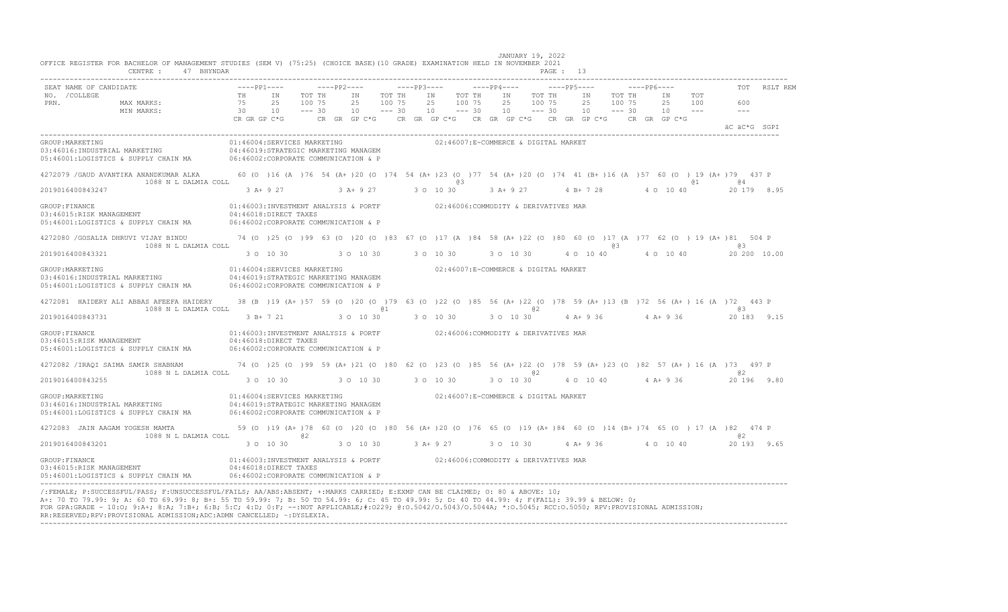| CENTRE :<br>47 BHYNDAR                                                                                                                                                                               |                                                                                                                                            |                                                                                                                                        |                 |        |                                      |                                      |             |                                            |        | PAGE: 13    |           |           |                                |        |                                                  |              |
|------------------------------------------------------------------------------------------------------------------------------------------------------------------------------------------------------|--------------------------------------------------------------------------------------------------------------------------------------------|----------------------------------------------------------------------------------------------------------------------------------------|-----------------|--------|--------------------------------------|--------------------------------------|-------------|--------------------------------------------|--------|-------------|-----------|-----------|--------------------------------|--------|--------------------------------------------------|--------------|
| SEAT NAME OF CANDIDATE<br>NO. / COLLEGE<br>PRN. MAX MARKS:                                                                                                                                           |                                                                                                                                            | $---pp1---$<br>TOT TH<br>100 75                                                                                                        | IN TOT TH<br>25 | 100 75 | IN TOT TH<br>25                      | 100 75                               | $---PP4---$ | IN TOT TH<br>25                            | 100 75 | $---PP5---$ | 25 100 75 | IN TOT TH | 25 100                         | IN TOT | 600                                              | TOT RSLT REM |
| TH IN<br>$75$ 25<br>$30$ 10<br>CR GR GP C*G<br>MIN MARKS:                                                                                                                                            |                                                                                                                                            | $--- 30$<br>CR GR GP C*G      CR GR GP C*G     CR GR GP C*G     CR GP C*G     CR GR GP C*G                                             | $10 - - - 30$   |        | $10 - - - 30$                        |                                      |             | $10 \qquad -- -30 \qquad 10 \qquad -- -30$ |        |             |           |           | $10 - -$                       |        | $- - -$<br>äC äC*G SGPI                          |              |
| GROUP: MARKETING<br>03:46016:INDUSTRIAL MARKETING $04:46019:STR\textrm{ATEGIC}$ MARKETING MANAGEM<br>05:46001:LOGISTICS & SUPPLY CHAIN MA 06:46002:CORPORATE COMMUNICATION & P                       |                                                                                                                                            | 01:46004:SERVICES MARKETING                                                                                                            |                 |        |                                      | 02:46007:E-COMMERCE & DIGITAL MARKET |             |                                            |        |             |           |           |                                |        |                                                  |              |
| 4272079 / GAUD AVANTIKA ANANDKUMAR ALKA 60 (0 )16 (A )76 54 (A+ )20 (0 )74 54 (A+ )23 (0 )77 54 (A+ )20 (0 )74 41 (B+ )16 (A )57 60 (0 )19 (A+ )79 437 P<br>1088 N L DALMIA COLL<br>2019016400843247 |                                                                                                                                            | 3 A+ 9 27 3 A+ 9 27 3 O 10 30                                                                                                          |                 |        |                                      | 63                                   |             |                                            |        |             |           |           |                                | @ 1    | a 4<br>3 A+ 9 27 4 B+ 7 28 4 0 10 40 20 179 8.95 |              |
| GROUP: FINANCE<br>03:46015:RISK MANAGEMENT<br>05:46001:LOGISTICS & SUPPLY CHAIN MA 06:46002:CORPORATE COMMUNICATION & P                                                                              | 01:46003:INVESTMENT ANALYSIS & PORTF 02:46006:COMMODITY & DERIVATIVES MAR<br>04:46018:DIRECT TAXES                                         |                                                                                                                                        |                 |        |                                      |                                      |             |                                            |        |             |           |           |                                |        |                                                  |              |
| 4272080 /GOSALIA DHRUVI VIJAY BINDU 74 (0 )25 (0 )99 63 (0 )20 (0 )83 67 (0 )17 (A )84 58 (A+ )22 (0 )80 60 (0 )17 (A )77 62 (0 )19 (A+ )81 504 P<br>1088 N L DALMIA COLL                            |                                                                                                                                            |                                                                                                                                        |                 |        |                                      |                                      |             |                                            |        |             | @ 3       |           |                                |        | 63                                               |              |
| 2019016400843321                                                                                                                                                                                     |                                                                                                                                            | $30\quad 10\quad 30$ $30\quad 10\quad 30$ $30\quad 10\quad 30$ $30\quad 10\quad 30$ $4\quad 0\quad 10\quad 40$ $4\quad 0$ $10\quad 40$ |                 |        |                                      |                                      |             |                                            |        |             |           |           |                                |        | 20 200 10.00                                     |              |
| GROUP: MARKETING<br>03:46016: INDUSTRIAL MARKETING<br>05:46001:LOGISTICS & SUPPLY CHAIN MA                                                                                                           | 01:46004:SERVICES MARKETING<br>06:46002:CORPORATE COMMUNICATION & P                                                                        | 04:46019:STRATEGIC MARKETING MANAGEM                                                                                                   |                 |        | 02:46007:E-COMMERCE & DIGITAL MARKET |                                      |             |                                            |        |             |           |           |                                |        |                                                  |              |
| 4272081 HAIDERY ALI ABBAS AFEEFA HAIDERY<br>1088 N L DALMIA COLL                                                                                                                                     |                                                                                                                                            | 38 (B) 19 (A+ ) 57 59 (O) 20 (O) 79 63 (O) 22 (O) 85 56 (A+ ) 22 (O) 78 59 (A+ ) 13 (B) 72 56 (A+ ) 16 (A) 72 443 P                    | @ 1             |        |                                      | a <sub>2</sub>                       |             |                                            |        |             |           |           |                                |        | G. 6                                             |              |
| 2019016400843731                                                                                                                                                                                     |                                                                                                                                            | $3 B+7 21$ 3 O 10 30 3 O 10 30 30 10 30 4 A + 9 36 4 A + 9 36 20 183 9.15                                                              |                 |        |                                      |                                      |             |                                            |        |             |           |           |                                |        |                                                  |              |
| GROUP: FINANCE<br>03:46015:RISK MANAGEMENT<br>05:46001:LOGISTICS & SUPPLY CHAIN MA                                                                                                                   | 04:46018:DIRECT TAXES<br>06:46002:CORPORATE COMMUNICATION & P                                                                              | 01:46003:INVESTMENT ANALYSIS & PORTF 02:46006:COMMODITY & DERIVATIVES MAR                                                              |                 |        |                                      |                                      |             |                                            |        |             |           |           |                                |        |                                                  |              |
| 4272082 / IRAQI SAIMA SAMIR SHABNAM 74 (0 ) 25 (0 ) 99 59 (A+ ) 21 (0 ) 80 62 (0 ) 23 (0 ) 85 56 (A+ ) 22 (0 ) 78 59 (A+ ) 23 (0 ) 82 57 (A+ ) 16 (A ) 73 497 P<br>1088 N L DALMIA COLL              |                                                                                                                                            |                                                                                                                                        |                 |        |                                      |                                      |             |                                            | a2     |             |           |           |                                |        | <b>02</b>                                        |              |
| 2019016400843255                                                                                                                                                                                     |                                                                                                                                            | 3 0 10 30 30 10 30 30 30 10 30                                                                                                         |                 |        |                                      |                                      |             |                                            |        |             |           |           | 3 O 10 30 4 O 10 40 4 A + 9 36 |        | 20 196 9.80                                      |              |
| GROUP: MARKETING<br>03:46016:INDUSTRIAL MARKETING<br>03:46016:INDUSTRIAL MARKETING 04:46019:STRATEGIC MARKETING MANAGEM<br>05:46001:LOGISTICS & SUPPLY CHAIN MA 06:46002:CORPORATE COMMUNICATION & P | 01:46004:SERVICES MARKETING 602:46007:E-COMMERCE & DIGITAL MARKET                                                                          |                                                                                                                                        |                 |        |                                      |                                      |             |                                            |        |             |           |           |                                |        |                                                  |              |
| 4272083 JAIN AAGAM YOGESH MAMTA<br>1088 N L DALMIA COLL                                                                                                                                              | 59 (0) 19 (A+)78 60 (0) 20 (0) 80 56 (A+) 20 (0) 76 65 (0) 19 (A+)84 60 (0) 14 (B+)74 65 (0) 17 (A)82 474 P                                | @ 2                                                                                                                                    |                 |        |                                      |                                      |             |                                            |        |             |           |           |                                |        | <b>a</b> 2                                       |              |
| 2019016400843201                                                                                                                                                                                     |                                                                                                                                            | 3 0 10 30 10 30 10 30 10 30 3 A+ 9 27 3 0 10 30 4 A+ 9 36 4 0 10 40 20 193 9 65                                                        |                 |        |                                      |                                      |             |                                            |        |             |           |           |                                |        |                                                  |              |
| GROUP:FINANCE<br>03:46015:RISK MANAGEMENT<br>05:46001:LOGISTICS & SUPPLY CHAIN MA                                                                                                                    | 01:46003:INVESTMENT ANALYSIS & PORTF 62:46006:COMMODITY & DERIVATIVES MAR<br>04:46018:DIRECT TAXES<br>06:46002:CORPORATE COMMUNICATION & P |                                                                                                                                        |                 |        |                                      |                                      |             |                                            |        |             |           |           |                                |        |                                                  |              |
|                                                                                                                                                                                                      |                                                                                                                                            |                                                                                                                                        |                 |        |                                      |                                      |             |                                            |        |             |           |           |                                |        |                                                  |              |

/:FEMALE; P:SUCCESSFUL/PASS; F:UNSUCCESSFUL/FAILS; AA/ABS:ABSENT; +:MARKS CARRIED; E:EXMP CAN BE CLAIMED; O: 80 & ABOVE: 10;<br>A+: 70 TO 79.99: 9; A: 60 TO 69.99: 8; B+: 55 TO 59.99: 7; B: 50 TO 54.99: 6; C: 45 TO 49.99: 5; FOR GPA:GRADE - 10:O; 9:A+; 8:A; 7:B+; 6:B; 5:C; 4:D; 0:F; --:NOT APPLICABLE;#:O229; @:O.5042/O.5043/O.5044A; \*:O.5045; RCC:O.5050; RPV:PROVISIONAL ADMISSION; RR:RESERVED;RPV:PROVISIONAL ADMISSION;ADC:ADMN CANCELLED; ~:DYSLEXIA. ----------------------------------------------------------------------------------------------------------------------------------------------------------------------------------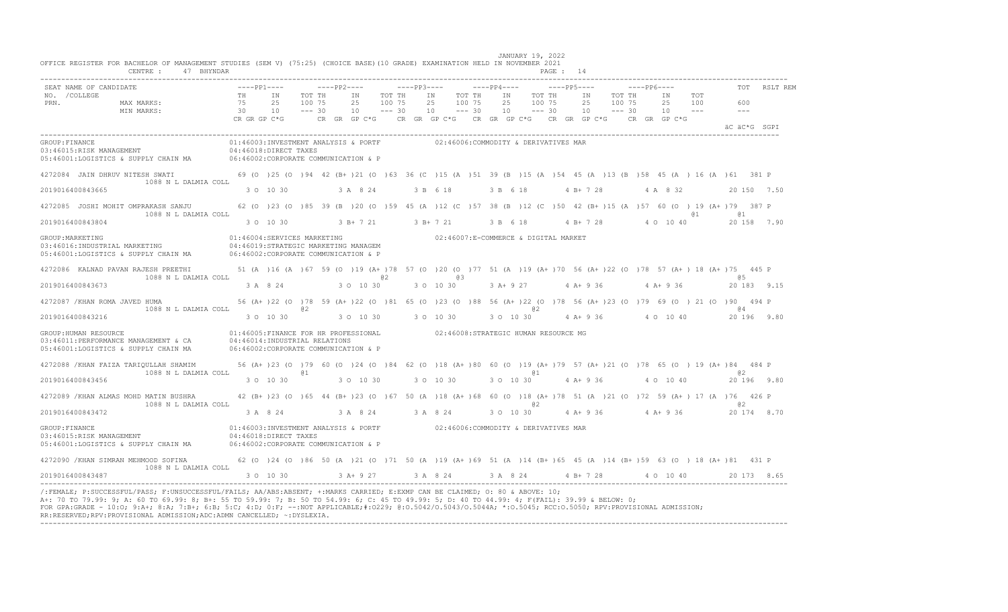|                       | SEAT NAME OF CANDIDATE                                                                                                                                                          |                                                                                                                                                                                                                              |             | $---PP1-- ---PP2-- ---PP3-- ---PP3-- ---PP4-- ---PP5---$                                                                                   |        |    |           |                  |                     |           |    |                  |    |                                      |  |           |        | $---PP6---$ |                                                                                                                                                                                    |                                                                                                                             |              | TOT RSLT REM                                                                        |
|-----------------------|---------------------------------------------------------------------------------------------------------------------------------------------------------------------------------|------------------------------------------------------------------------------------------------------------------------------------------------------------------------------------------------------------------------------|-------------|--------------------------------------------------------------------------------------------------------------------------------------------|--------|----|-----------|------------------|---------------------|-----------|----|------------------|----|--------------------------------------|--|-----------|--------|-------------|------------------------------------------------------------------------------------------------------------------------------------------------------------------------------------|-----------------------------------------------------------------------------------------------------------------------------|--------------|-------------------------------------------------------------------------------------|
| NO. / COLLEGE<br>PRN. | MAX MARKS: 75<br>MIN MARKS:                                                                                                                                                     |                                                                                                                                                                                                                              | TH IN<br>25 | 100 75                                                                                                                                     | TOT TH | IN | 2.5       | TOT TH<br>100 75 |                     | IN<br>2.5 |    | TOT TH<br>100 75 | IN | TOT TH<br>25 100 75                  |  | IN<br>2.5 | 100 75 | TOT TH      | IN<br>2.5 1.00<br>$10 - -$                                                                                                                                                         | TOT                                                                                                                         | 600<br>$---$ |                                                                                     |
|                       |                                                                                                                                                                                 | $30$ 10 --- $30$ 10 --- $30$ 10 --- $30$ 10 --- $30$ 10 --- $30$ 10 --- $30$ 10 --- $30$ 10 --- $30$ 10 --- $30$ 10 --- $30$ 10 --- $30$ 10 --- $30$ 10 --- $30$ 10 --- $30$ 10 --- $30$ 10 --- $30$ 10 --- $30$ 10 --- $30$ |             |                                                                                                                                            |        |    |           |                  |                     |           |    |                  |    |                                      |  |           |        |             |                                                                                                                                                                                    |                                                                                                                             | äC äC*G SGPI |                                                                                     |
| GROUP: FINANCE        | 03:46015:RISK MANAGEMENT 04:46018:DIRECT TAXES<br>05:46001:LOGISTICS & SUPPLY CHAIN MA 06:46002:CORPORATE COMMUNICATION & P                                                     |                                                                                                                                                                                                                              |             | 01:46003:INVESTMENT ANALYSIS & PORTF 02:46006:COMMODITY & DERIVATIVES MAR                                                                  |        |    |           |                  |                     |           |    |                  |    |                                      |  |           |        |             |                                                                                                                                                                                    |                                                                                                                             |              |                                                                                     |
|                       | 4272084 JAIN DHRUV NITESH SWATI 69 (0 )25 (0 )94 42 (B+ )21 (0 )63 36 (C )15 (A )51 39 (B )15 (A )54 45 (A )13 (B )58 45 (A )16 (A )61 381 P<br>1088 N L DALMIA COLL            |                                                                                                                                                                                                                              |             |                                                                                                                                            |        |    |           |                  |                     |           |    |                  |    |                                      |  |           |        |             |                                                                                                                                                                                    |                                                                                                                             |              |                                                                                     |
| 2019016400843665      |                                                                                                                                                                                 |                                                                                                                                                                                                                              | 3 0 10 30   |                                                                                                                                            |        |    | 3 A 8 24  |                  |                     | 3 B 6 18  |    |                  |    | 3 B 6 18                             |  | 4 B+ 7 28 |        |             | 4 A 8 32                                                                                                                                                                           |                                                                                                                             |              | 20 150 7.50                                                                         |
|                       | 4272085 JOSHI MOHIT OMPRAKASH SANJU 62 (0 )23 (0 )85 39 (B )20 (0 )59 45 (A )12 (C )57 38 (B )12 (C )50 42 (B+ )15 (A )57 60 (0 ) 19 (A+ )79 387 P<br>1088 N L DALMIA COLL      |                                                                                                                                                                                                                              |             |                                                                                                                                            |        |    |           |                  |                     |           |    |                  |    |                                      |  |           |        |             |                                                                                                                                                                                    | @ 1                                                                                                                         | <b>a</b> 1   |                                                                                     |
| 2019016400843804      |                                                                                                                                                                                 |                                                                                                                                                                                                                              |             |                                                                                                                                            |        |    |           |                  |                     |           |    |                  |    |                                      |  |           |        |             |                                                                                                                                                                                    | $3$ O 10 30 $3$ B + 7 21 $3$ B + 7 21 $3$ B + 6 18 $4$ B + 7 28 $4$ O 10 40                                                 |              | 20 158 7.90                                                                         |
| GROUP: MARKETING      | 03:46016:INDUSTRIAL MARKETING<br>05:46001:LOGISTICS & SUPPLY CHAIN MA 06:46002:CORPORATE COMMUNICATION & P                                                                      |                                                                                                                                                                                                                              |             | 01:46004:SERVICES MARKETING<br>04:46019:STRATEGIC MARKETING MANAGEM                                                                        |        |    |           |                  |                     |           |    |                  |    | 02:46007:E-COMMERCE & DIGITAL MARKET |  |           |        |             |                                                                                                                                                                                    |                                                                                                                             |              |                                                                                     |
|                       | 4272086 KALNAD PAVAN RAJESH PREETHI 51 (A) 16 (A) 67 59 (O) 19 (A+) 78 57 (O) 20 (O) 77 51 (A) 19 (A+) 70 56 (A+) 22 (O) 78 57 (A+) 18 (A+) 75 445 P<br>1088 N L DALMIA COLL    |                                                                                                                                                                                                                              |             |                                                                                                                                            |        |    |           | 0.2              |                     |           | eз |                  |    |                                      |  |           |        |             |                                                                                                                                                                                    |                                                                                                                             | <b>a</b> 5   |                                                                                     |
| 2019016400843673      |                                                                                                                                                                                 |                                                                                                                                                                                                                              | 3 A 8 24    | 3 0 10 30                                                                                                                                  |        |    |           |                  |                     |           |    |                  |    |                                      |  |           |        |             | 3 O 10 30 3 A + 9 27 4 A + 9 36 4 A + 9 36                                                                                                                                         |                                                                                                                             |              | 20 183 9.15                                                                         |
|                       | 4272087 /KHAN ROMA JAVED HUMA<br>1088 N L DALMIA COLL                                                                                                                           |                                                                                                                                                                                                                              |             | @ 2                                                                                                                                        |        |    |           |                  |                     |           |    |                  |    | @ 2                                  |  |           |        |             |                                                                                                                                                                                    | 56 (A+ ) 22 (0 ) 78 59 (A+ ) 22 (0 ) 81 65 (0 ) 23 (0 ) 88 56 (A+ ) 22 (0 ) 78 56 (A+ ) 23 (0 ) 79 69 (0 ) 21 (0 ) 90 494 P | <b>@4</b>    |                                                                                     |
| 2019016400843216      |                                                                                                                                                                                 |                                                                                                                                                                                                                              | 3 0 10 30   |                                                                                                                                            |        |    |           |                  | 3 0 10 30 3 0 10 30 |           |    | 3 0 10 30        |    |                                      |  |           |        |             | 4 A+ 9 36 4 0 10 40                                                                                                                                                                |                                                                                                                             |              | 20 196 9.80                                                                         |
|                       | GROUP: HUMAN RESOURCE<br>03:46011:PERFORMANCE MANAGEMENT & CA<br>05:46001:LOGISTICS & SUPPLY CHAIN MA                                                                           | 06:46002: CORPORATE COMMUNICATION & P                                                                                                                                                                                        |             | 01:46005:FINANCE FOR HR PROFESSIONAL 02:46008:STRATEGIC HUMAN RESOURCE MG<br>04:46014:INDUSTRIAL RELATIONS                                 |        |    |           |                  |                     |           |    |                  |    |                                      |  |           |        |             |                                                                                                                                                                                    |                                                                                                                             |              |                                                                                     |
|                       | 4272088 /KHAN FAIZA TARIQULLAH SHAMIM 56 (A+ )23 (0 )79 60 (0 )24 (0 )84 62 (0 )18 (A+ )80 60 (0 )19 (A+ )79 57 (A+ )21 (0 )78 65 (0 )19 (A+ )84 484 P<br>1088 N L DALMIA COLL  |                                                                                                                                                                                                                              |             | @ 1                                                                                                                                        |        |    |           |                  |                     |           |    |                  |    | 0 1                                  |  |           |        |             |                                                                                                                                                                                    |                                                                                                                             | 82.          |                                                                                     |
| 2019016400843456      |                                                                                                                                                                                 |                                                                                                                                                                                                                              | 3 0 10 30   |                                                                                                                                            |        |    | 3 0 10 30 |                  | 3 0 10 30           |           |    | 3 0 10 30        |    |                                      |  |           |        |             | 4 A + 9 36 4 0 10 40                                                                                                                                                               |                                                                                                                             |              | 20 196 9.80                                                                         |
|                       | 4272089 /KHAN ALMAS MOHD MATIN BUSHRA 42 (B+ )23 (0 )65 44 (B+ )23 (0 )67 50 (A )18 (A+ )68 60 (0 )18 (A+ )78 51 (A )21 (0 )72 59 (A+ ) 17 (A )76 426 P<br>1088 N L DALMIA COLL |                                                                                                                                                                                                                              |             |                                                                                                                                            |        |    |           |                  |                     |           |    |                  |    | @ 2                                  |  |           |        |             |                                                                                                                                                                                    |                                                                                                                             | @2           |                                                                                     |
| 2019016400843472      |                                                                                                                                                                                 |                                                                                                                                                                                                                              |             |                                                                                                                                            |        |    |           |                  |                     |           |    |                  |    |                                      |  |           |        |             | $3 \text{ A} \quad 8 \quad 24$ $3 \text{ A} \quad 8 \quad 24$ $3 \text{ A} \quad 8 \quad 24$ $3 \text{ O} \quad 10 \quad 30$ $4 \text{ A} + 9 \quad 36$ $4 \text{ A} + 9 \quad 36$ |                                                                                                                             |              | 20 174 8.70                                                                         |
| GROUP: FINANCE        | 03:46015:RISK MANAGEMENT<br>05:46001:LOGISTICS & SUPPLY CHAIN MA                                                                                                                |                                                                                                                                                                                                                              |             | 01:46003:INVESTMENT ANALYSIS & PORTF 02:46006:COMMODITY & DERIVATIVES MAR<br>04:46018:DIRECT TAXES<br>06:46002:CORPORATE COMMUNICATION & P |        |    |           |                  |                     |           |    |                  |    |                                      |  |           |        |             |                                                                                                                                                                                    |                                                                                                                             |              |                                                                                     |
|                       | 4272090 / KHAN SIMRAN MEHMOOD SOFINA<br>1088 N L DALMIA COLL                                                                                                                    |                                                                                                                                                                                                                              |             |                                                                                                                                            |        |    |           |                  |                     |           |    |                  |    |                                      |  |           |        |             |                                                                                                                                                                                    | 62 (0 )24 (0 )86 50 (A )21 (0 )71 50 (A )19 (A+)69 51 (A )14 (B+)65 45 (A )14 (B+)59 63 (0 )18 (A+)81 431 P                 |              |                                                                                     |
| 2019016400843487      |                                                                                                                                                                                 |                                                                                                                                                                                                                              |             |                                                                                                                                            |        |    |           |                  |                     |           |    |                  |    |                                      |  |           |        |             |                                                                                                                                                                                    |                                                                                                                             |              | $3$ O 10 30 $3$ A+ 9 27 $3$ A 8 24 $3$ A 8 24 $4$ B+ 7 28 $4$ O 10 40 $20$ 173 8.65 |

FOR GPA:GRADE - 10:O; 9:A+; 8:A; 7:B+; 6:B; 5:C; 4:D; 0:F; --:NOT APPLICABLE;#:O229; @:O.5042/O.5043/O.5044A; \*:O.5045; RCC:O.5050; RPV:PROVISIONAL ADMISSION; RR:RESERVED;RPV:PROVISIONAL ADMISSION;ADC:ADMN CANCELLED; ~:DYSLEXIA. ----------------------------------------------------------------------------------------------------------------------------------------------------------------------------------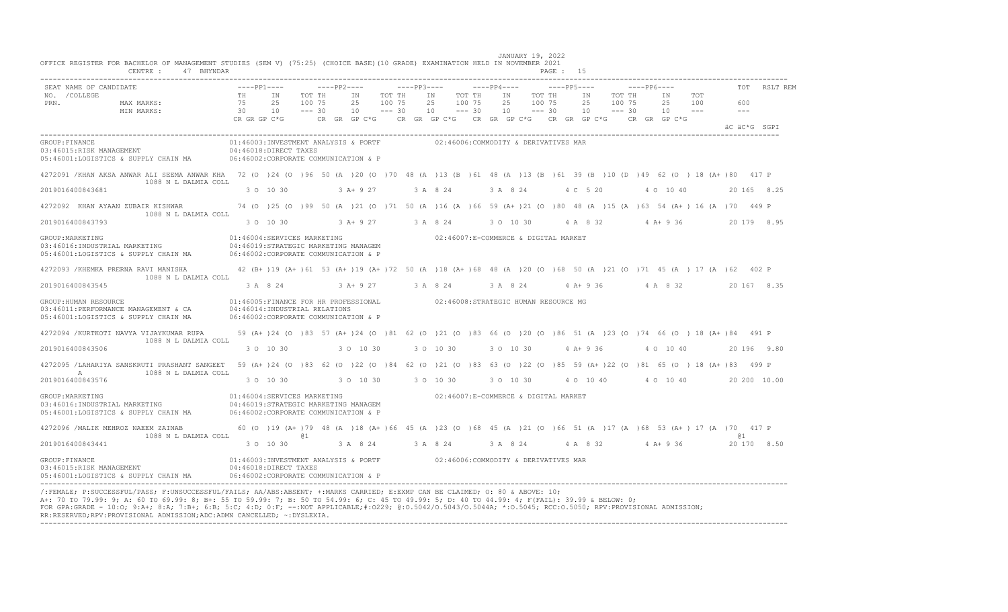|                        | CENTRE: 47 BHYNDAR                                                                                                                                                                   |           |                                                                                                                                                                                                                               |  |                                 |  |           |           |  |                        | PAGE : 15 |  |                        |  |                                                                                    |             |              |                      |              |
|------------------------|--------------------------------------------------------------------------------------------------------------------------------------------------------------------------------------|-----------|-------------------------------------------------------------------------------------------------------------------------------------------------------------------------------------------------------------------------------|--|---------------------------------|--|-----------|-----------|--|------------------------|-----------|--|------------------------|--|------------------------------------------------------------------------------------|-------------|--------------|----------------------|--------------|
| SEAT NAME OF CANDIDATE |                                                                                                                                                                                      |           |                                                                                                                                                                                                                               |  |                                 |  |           |           |  |                        |           |  |                        |  |                                                                                    | $---PP6---$ |              |                      | TOT RSLT REM |
| NO. / COLLEGE<br>PRN.  | ---- PP1----<br>ANDIDATE ---- PP1---- TH IN TOT TH<br>MAX MARKS: 75 25 100 75<br>MIN MARKS:                                                                                          |           | 30 10 --- 30 10 --- 30 10 --- 30 10 --- 30 10 --- 30 10 --- 30 10 --- 30 10 --- 30 10 --- 30 10 --- 30 10 --- 30 10 --- 30 10 --- 30 10 --- 30 10 --- 30 10 --- 30 10 --- 30 10 --- 30 10 --- 30 10 --- 30 10 --- 30 10 --- 3 |  | TOT THE IN TOT THE<br>25 100 75 |  | 25 100 75 | IN TOT TH |  | IN TOT TH<br>25 100 75 |           |  | IN TOT TH<br>25 100 75 |  | IN X<br>25 100<br>$10 \qquad -- -30 \qquad 10 \qquad -- -30 \qquad 10 \qquad -- -$ | TOT         | 600          | $\sim$ $\sim$ $\sim$ |              |
|                        |                                                                                                                                                                                      |           |                                                                                                                                                                                                                               |  |                                 |  |           |           |  |                        |           |  |                        |  |                                                                                    |             | äC äC*G SGPI |                      |              |
| GROUP: FINANCE         | 03:46015:RISK MANAGEMENT<br>05:46001:LOGISTICS & SUPPLY CHAIN MA 06:46002:CORPORATE COMMUNICATION & P                                                                                |           | 01:46003:INVESTMENT ANALYSIS & PORTF 02:46006:COMMODITY & DERIVATIVES MAR<br>$04:46018:$ DIRECT TAXES                                                                                                                         |  |                                 |  |           |           |  |                        |           |  |                        |  |                                                                                    |             |              |                      |              |
|                        | 4272091 /KHAN AKSA ANWAR ALI SEEMA ANWAR KHA 72 (0 )24 (0 )96 50 (A )20 (0 )70 48 (A )13 (B )61 48 (A )13 (B )61 39 (B )10 (D )49 62 (0 ) 18 (A+ )80 417 P<br>1088 N L DALMIA COLL   |           |                                                                                                                                                                                                                               |  |                                 |  |           |           |  |                        |           |  |                        |  |                                                                                    |             |              |                      |              |
| 2019016400843681       |                                                                                                                                                                                      |           | 3 0 10 30 3 A + 9 27 3 A 8 24 3 A 8 24 4 C 5 20 4 0 10 40 20 165 8.25                                                                                                                                                         |  |                                 |  |           |           |  |                        |           |  |                        |  |                                                                                    |             |              |                      |              |
|                        | 4272092 KHAN AYAAN ZUBAIR KISHWAR 74 (0 )25 (0 )99 50 (A )21 (0 )71 50 (A )16 (A )66 59 (A+ )21 (0 )80 48 (A )15 (A )63 54 (A+ )16 (A )70 449 P<br>1088 N L DALMIA COLL              |           |                                                                                                                                                                                                                               |  |                                 |  |           |           |  |                        |           |  |                        |  |                                                                                    |             |              |                      |              |
| 2019016400843793       |                                                                                                                                                                                      |           | $30\quad 10\quad 30$ $3A+9\quad 27$ $3A+8\quad 24$ $30\quad 10\quad 30$ $4A+8\quad 32$ $4A+9\quad 36$                                                                                                                         |  |                                 |  |           |           |  |                        |           |  |                        |  |                                                                                    |             |              |                      | 20 179 8.95  |
|                        | 05:46001:LOGISTICS & SUPPLY CHAIN MA 06:46002:CORPORATE COMMUNICATION & P                                                                                                            |           | $01:46004:SERVICES\  \, \texttt{MARKETING}\qquad \qquad 02:46007: {\texttt{E-COMMERCE}}\  \, \texttt{\&\,\,DiffIAL\  \, \texttt{MARKET}}$                                                                                     |  |                                 |  |           |           |  |                        |           |  |                        |  |                                                                                    |             |              |                      |              |
|                        | 4272093 / KHEMKA PRERNA RAVI MANISHA                                                                                                                                                 |           | 42 (B+)19 (A+)61 53 (A+)19 (A+)72 50 (A)18 (A+)68 48 (A)20 (O)68 50 (A)21 (O)71 45 (A) 17 (A)62 402 P                                                                                                                         |  |                                 |  |           |           |  |                        |           |  |                        |  |                                                                                    |             |              |                      |              |
| 2019016400843545       | 1088 N L DALMIA COLL                                                                                                                                                                 |           | 3 A 8 24 3 A + 9 27 3 A 8 24 3 A 8 24 4 A + 9 36 4 A 8 32 20 167 8.35                                                                                                                                                         |  |                                 |  |           |           |  |                        |           |  |                        |  |                                                                                    |             |              |                      |              |
| GROUP: HUMAN RESOURCE  | 03:46011:PERFORMANCE MANAGEMENT & CA<br>05:46001:LOGISTICS & SUPPLY CHAIN MA                                                                                                         |           | 01:46005:FINANCE FOR HR PROFESSIONAL 02:46008:STRATEGIC HUMAN RESOURCE MG<br>04:46014:INDUSTRIAL RELATIONS<br>06:46002:CORPORATE COMMUNICATION & P                                                                            |  |                                 |  |           |           |  |                        |           |  |                        |  |                                                                                    |             |              |                      |              |
|                        | 4272094 /KURTKOTI NAVYA VIJAYKUMAR RUPA<br>1088 N L DALMIA COLL                                                                                                                      |           | 59 (A+)24 (O)83 57 (A+)24 (O)81 62 (O)21 (O)83 66 (O)20 (O)86 51 (A)23 (O)74 66 (O) 18 (A+)84 491 P                                                                                                                           |  |                                 |  |           |           |  |                        |           |  |                        |  |                                                                                    |             |              |                      |              |
| 2019016400843506       |                                                                                                                                                                                      | 3 0 10 30 |                                                                                                                                                                                                                               |  |                                 |  |           |           |  |                        |           |  |                        |  |                                                                                    |             |              |                      |              |
| A                      | 4272095 /LAHARIYA SANSKRUTI PRASHANT SANGEET 59 (A+ )24 (0 )83 62 (0 )22 (0 )84 62 (0 )21 (0 )83 63 (0 )22 (0 )85 59 (A+ )22 (0 )81 65 (0 ) 18 (A+ )83 499 P<br>1088 N L DALMIA COLL |           |                                                                                                                                                                                                                               |  |                                 |  |           |           |  |                        |           |  |                        |  |                                                                                    |             |              |                      |              |
| 2019016400843576       |                                                                                                                                                                                      |           | 3 0 10 30 30 10 30 30 30 10 30 30 10 30 4 0 10 40 4 0 10 40 20 200 10 00                                                                                                                                                      |  |                                 |  |           |           |  |                        |           |  |                        |  |                                                                                    |             |              |                      |              |
| GROUP: MARKETING       | 03:46016:INDUSTRIAL MARKETING 04:46019:STRATEGIC MARKETING MANAGEM<br>05:46001:LOGISTICS & SUPPLY CHAIN MA 06:46002:CORPORATE COMMUNICATION & P                                      |           | $01:46004$ : SERVICES MARKETING $02:46007$ : E-COMMERCE & DIGITAL MARKET                                                                                                                                                      |  |                                 |  |           |           |  |                        |           |  |                        |  |                                                                                    |             |              |                      |              |
|                        | 4272096 / MALIK MEHROZ NAEEM ZAINAB<br>1088 N L DALMIA COLL                                                                                                                          |           | 60 (0 )19 (A+ )79 48 (A )18 (A+ )66 45 (A )23 (0 )68 45 (A )21 (0 )66 51 (A )17 (A )68 53 (A+ )17 (A )70 417 P<br>@ 1                                                                                                         |  |                                 |  |           |           |  |                        |           |  |                        |  |                                                                                    |             |              | <b>a</b> 1           |              |
| 2019016400843441       |                                                                                                                                                                                      |           | $3$ O $10$ $30$ $3$ A $8$ $24$ $3$ A $8$ $24$ $3$ A $8$ $24$ $4$ A $8$ $32$ $4$ A+ $9$ $36$ $20$ $170$ $8.50$                                                                                                                 |  |                                 |  |           |           |  |                        |           |  |                        |  |                                                                                    |             |              |                      |              |
|                        | GROUP:FINANCE<br>03:46015:RISK MANAGEMENT<br>05:46001:LOGISTICS & SUPPLY CHAIN MA                                                                                                    |           | 01:46003:INVESTMENT ANALYSIS & PORTF 02:46006:COMMODITY & DERIVATIVES MAR<br>$04:46018:\mathtt{DIFF}\xspace$ TAXES<br>06:46002:CORPORATE COMMUNICATION & P                                                                    |  |                                 |  |           |           |  |                        |           |  |                        |  |                                                                                    |             |              |                      |              |
|                        | $\ell$ , FEMAIE, D. CHOCECCEHI (DACC, E. HNOHOCECCEHI (FAIIC, AA (ADC, ADCENTE, L. MADICO CADIEDD, E. FVMD CAN DE CIAIMED, O. 80 ( ADOUE, 10,                                        |           |                                                                                                                                                                                                                               |  |                                 |  |           |           |  |                        |           |  |                        |  |                                                                                    |             |              |                      |              |

/:FEMALE; P:SUCCESSFUL/PASS; F:UNSUCCESSFUL/FAILS; AA/ABS:ABSENT; +:MARKS CARRIED; E:EXMP CAN BE CLAIMED; O: 80 & ABOVE: 10;<br>A+: 70 TO 79.99: 9; A: 60 TO 69.99: 8; B+: 55 TO 59.99: 7; B: 50 TO 54.99: 6; C: 45 TO 49.99: 5; FOR GPA:GRADE - 10:O; 9:A+; 8:A; 7:B+; 6:B; 5:C; 4:D; 0:F; --:NOT APPLICABLE;#:O229; @:O.5042/O.5043/O.5044A; \*:O.5045; RCC:O.5050; RPV:PROVISIONAL ADMISSION; RR:RESERVED;RPV:PROVISIONAL ADMISSION;ADC:ADMN CANCELLED; ~:DYSLEXIA. ----------------------------------------------------------------------------------------------------------------------------------------------------------------------------------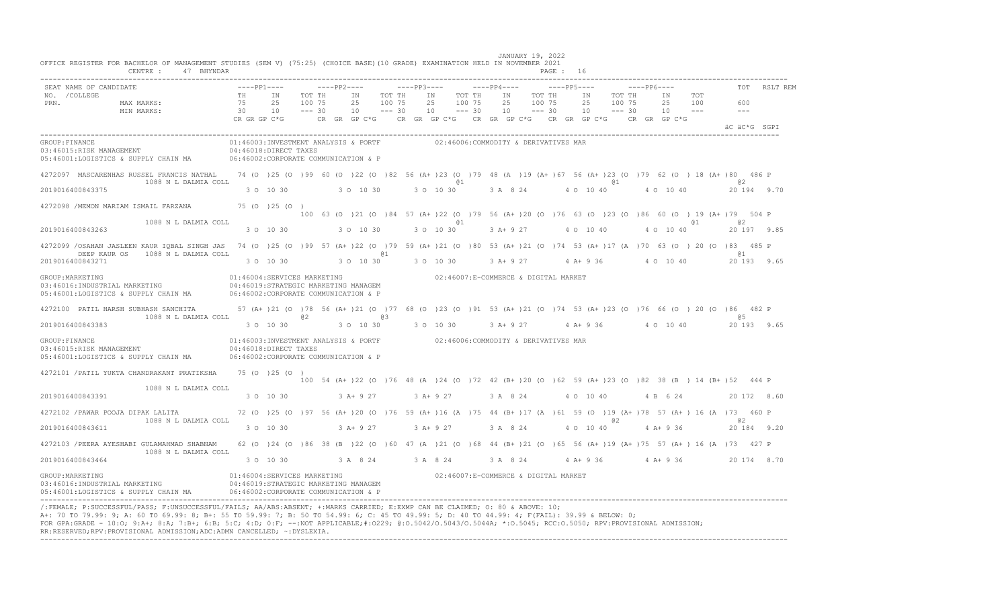| TOT RSLT REM<br>TOT<br>600<br>and the state of the state of<br>äC äC*G SGPI<br>05:46001:LOGISTICS & SUPPLY CHAIN MA 06:46002:CORPORATE COMMUNICATION & P<br>4272097 MASCARENHAS RUSSEL FRANCIS NATHAL 74 (0 )25 (0 )99 60 (0 )22 (0 )82 56 (A+ )23 (0 )79 48 (A )19 (A+ )67 56 (A+ )23 (0 )79 62 (0 ) 18 (A+ )80 486 P<br>1088 N L DALMIA COLL<br>$a_1$<br>@ 1<br>@ 2<br>3 0 10 30 3 0 10 30<br>2019016400843375<br>3 0 10 30 3 A 8 24 4 0 10 40 4 0 10 40<br>20 194 9.70<br>4272098 /MEMON MARIAM ISMAIL FARZANA 75 (0 )25 (0 )<br>100 63 (0 )21 (0 )84 57 (A+ )22 (0 )79 56 (A+ )20 (0 )76 63 (0 )23 (0 )86 60 (0 ) 19 (A+ )79 504 P<br>1088 N L DALMIA COLL<br>a2<br>@ 1<br>3 0 10 30 3 A+ 9 27 4 0 10 40 4 0 10 40 20 197 9.85<br>3 0 10 30 30 10 30<br>2019016400843263<br>4272099 /OSAHAN JASLEEN KAUR IOBAL SINGH JAS 74 (0 )25 (0 )99 57 (A+ )22 (0 )79 59 (A+ )21 (0 )80 53 (A+ )21 (0 )74 53 (A+ )17 (A )70 63 (0 )20 (0 )83 485 P<br>DEEP KAUR OS 1088 N L DALMIA COLL<br>01<br>61<br>3 0 10 30 3 0 10 30 3 A + 9 27 4 A + 9 36 4 0 10 40<br>3 0 10 30<br>20 193 9.65<br>2019016400843271<br>$01:46004: \texttt{SERVICES} \texttt{MARKETING} \texttt{02:46007:E-COMMERCE} \verb  & \verb DIGITAL MARKET  \texttt{02:46007:E-COMMERCE} \verb . $<br>GROUP: MARKETING<br>4272100 PATIL HARSH SUBHASH SANCHITA 57 (A+ )21 (0 )78 56 (A+ )21 (0 )77 68 (0 )23 (0 )91 53 (A+ )21 (0 )74 53 (A+ )23 (0 )76 66 (0 )20 (0 )86 482 P<br>1088 N L DALMIA COLL<br>$a2$ and $a3$<br><b>a</b> 5<br>2019016400843383<br>01:46003:INVESTMENT ANALYSIS & PORTF 02:46006:COMMODITY & DERIVATIVES MAR<br>GROUP: FINANCE<br>03:46015:RISK MANAGEMENT<br>$04:46018:$ DIRECT TAXES<br>05:46001:LOGISTICS & SUPPLY CHAIN MA 06:46002:CORPORATE COMMUNICATION & P<br>4272101 / PATIL YUKTA CHANDRAKANT PRATIKSHA 75 (0 ) 25 (0 )<br>100 54 (A+ ) 22 (0 ) 76 48 (A ) 24 (0 ) 72 42 (B+ ) 20 (0 ) 62 59 (A+ ) 23 (0 ) 82 38 (B ) 14 (B+ ) 52 444 P<br>1088 N L DALMIA COLL<br>$3$ O $10$ $30$ $3$ A+ $9$ $27$ $3$ A+ $9$ $27$ $3$ A $8$ $24$ $4$ O $10$ $40$ $4$ B $6$ $24$ $20$ $172$ $8.60$<br>2019016400843391<br>4272102 /PAWAR POOJA DIPAK LALITA 72 (0 )25 (0 )97 56 (A+ )20 (0 )76 59 (A+ )16 (A )75 44 (B+ )17 (A )61 59 (0 )19 (A+ )78 57 (A+ )16 (A )73 460 P<br>1088 N L DALMIA COLL<br>a <sub>2</sub><br>0.2<br>3 A+ 9 27 3 A 8 24 4 O 10 40 4 A+ 9 36 20 184 9.20<br>2019016400843611<br>3 0 10 30<br>$3A+927$<br>4272103 /PEERA AYESHABI GULAMAHMAD SHABNAM 62 (0 )24 (0 )86 38 (B )22 (0 )60 47 (A )21 (0 )68 44 (B+ )21 (0 )65 56 (A+ )19 (A+ )75 57 (A+ )16 (A )73 427 P<br>1088 N L DALMIA COLL<br>$3$ O $10$ $30$ $3$ A $8$ $24$ $3$ A $8$ $24$ $3$ A $8$ $24$ $4$ A+ $9$ $36$ $4$ A+ $9$ $36$ $20$ $174$ $8.70$<br>2019016400843464<br>$01:46004$ : SERVICES MARKETING $02:46007$ : E-COMMERCE & DIGITAL MARKET<br>GROUP: MARKETING<br>03:46016: INDUSTRIAL MARKETING<br>04:46019:STRATEGIC MARKETING MANAGEM<br>05:46001:LOGISTICS & SUPPLY CHAIN MA 06:46002:CORPORATE COMMUNICATION & P | CENTRE :<br>47 BHYNDAR |  |  |  |  |  |  | PAGE: 16 |  |  |  |  |
|--------------------------------------------------------------------------------------------------------------------------------------------------------------------------------------------------------------------------------------------------------------------------------------------------------------------------------------------------------------------------------------------------------------------------------------------------------------------------------------------------------------------------------------------------------------------------------------------------------------------------------------------------------------------------------------------------------------------------------------------------------------------------------------------------------------------------------------------------------------------------------------------------------------------------------------------------------------------------------------------------------------------------------------------------------------------------------------------------------------------------------------------------------------------------------------------------------------------------------------------------------------------------------------------------------------------------------------------------------------------------------------------------------------------------------------------------------------------------------------------------------------------------------------------------------------------------------------------------------------------------------------------------------------------------------------------------------------------------------------------------------------------------------------------------------------------------------------------------------------------------------------------------------------------------------------------------------------------------------------------------------------------------------------------------------------------------------------------------------------------------------------------------------------------------------------------------------------------------------------------------------------------------------------------------------------------------------------------------------------------------------------------------------------------------------------------------------------------------------------------------------------------------------------------------------------------------------------------------------------------------------------------------------------------------------------------------------------------------------------------------------------------------------------------------------------------------------------------------------------------------------------------------------------------------------------------------------------------------------------------------|------------------------|--|--|--|--|--|--|----------|--|--|--|--|
|                                                                                                                                                                                                                                                                                                                                                                                                                                                                                                                                                                                                                                                                                                                                                                                                                                                                                                                                                                                                                                                                                                                                                                                                                                                                                                                                                                                                                                                                                                                                                                                                                                                                                                                                                                                                                                                                                                                                                                                                                                                                                                                                                                                                                                                                                                                                                                                                                                                                                                                                                                                                                                                                                                                                                                                                                                                                                                                                                                                                  |                        |  |  |  |  |  |  |          |  |  |  |  |
|                                                                                                                                                                                                                                                                                                                                                                                                                                                                                                                                                                                                                                                                                                                                                                                                                                                                                                                                                                                                                                                                                                                                                                                                                                                                                                                                                                                                                                                                                                                                                                                                                                                                                                                                                                                                                                                                                                                                                                                                                                                                                                                                                                                                                                                                                                                                                                                                                                                                                                                                                                                                                                                                                                                                                                                                                                                                                                                                                                                                  |                        |  |  |  |  |  |  |          |  |  |  |  |
|                                                                                                                                                                                                                                                                                                                                                                                                                                                                                                                                                                                                                                                                                                                                                                                                                                                                                                                                                                                                                                                                                                                                                                                                                                                                                                                                                                                                                                                                                                                                                                                                                                                                                                                                                                                                                                                                                                                                                                                                                                                                                                                                                                                                                                                                                                                                                                                                                                                                                                                                                                                                                                                                                                                                                                                                                                                                                                                                                                                                  |                        |  |  |  |  |  |  |          |  |  |  |  |
|                                                                                                                                                                                                                                                                                                                                                                                                                                                                                                                                                                                                                                                                                                                                                                                                                                                                                                                                                                                                                                                                                                                                                                                                                                                                                                                                                                                                                                                                                                                                                                                                                                                                                                                                                                                                                                                                                                                                                                                                                                                                                                                                                                                                                                                                                                                                                                                                                                                                                                                                                                                                                                                                                                                                                                                                                                                                                                                                                                                                  |                        |  |  |  |  |  |  |          |  |  |  |  |
|                                                                                                                                                                                                                                                                                                                                                                                                                                                                                                                                                                                                                                                                                                                                                                                                                                                                                                                                                                                                                                                                                                                                                                                                                                                                                                                                                                                                                                                                                                                                                                                                                                                                                                                                                                                                                                                                                                                                                                                                                                                                                                                                                                                                                                                                                                                                                                                                                                                                                                                                                                                                                                                                                                                                                                                                                                                                                                                                                                                                  |                        |  |  |  |  |  |  |          |  |  |  |  |
|                                                                                                                                                                                                                                                                                                                                                                                                                                                                                                                                                                                                                                                                                                                                                                                                                                                                                                                                                                                                                                                                                                                                                                                                                                                                                                                                                                                                                                                                                                                                                                                                                                                                                                                                                                                                                                                                                                                                                                                                                                                                                                                                                                                                                                                                                                                                                                                                                                                                                                                                                                                                                                                                                                                                                                                                                                                                                                                                                                                                  |                        |  |  |  |  |  |  |          |  |  |  |  |
|                                                                                                                                                                                                                                                                                                                                                                                                                                                                                                                                                                                                                                                                                                                                                                                                                                                                                                                                                                                                                                                                                                                                                                                                                                                                                                                                                                                                                                                                                                                                                                                                                                                                                                                                                                                                                                                                                                                                                                                                                                                                                                                                                                                                                                                                                                                                                                                                                                                                                                                                                                                                                                                                                                                                                                                                                                                                                                                                                                                                  |                        |  |  |  |  |  |  |          |  |  |  |  |
|                                                                                                                                                                                                                                                                                                                                                                                                                                                                                                                                                                                                                                                                                                                                                                                                                                                                                                                                                                                                                                                                                                                                                                                                                                                                                                                                                                                                                                                                                                                                                                                                                                                                                                                                                                                                                                                                                                                                                                                                                                                                                                                                                                                                                                                                                                                                                                                                                                                                                                                                                                                                                                                                                                                                                                                                                                                                                                                                                                                                  |                        |  |  |  |  |  |  |          |  |  |  |  |
|                                                                                                                                                                                                                                                                                                                                                                                                                                                                                                                                                                                                                                                                                                                                                                                                                                                                                                                                                                                                                                                                                                                                                                                                                                                                                                                                                                                                                                                                                                                                                                                                                                                                                                                                                                                                                                                                                                                                                                                                                                                                                                                                                                                                                                                                                                                                                                                                                                                                                                                                                                                                                                                                                                                                                                                                                                                                                                                                                                                                  |                        |  |  |  |  |  |  |          |  |  |  |  |
|                                                                                                                                                                                                                                                                                                                                                                                                                                                                                                                                                                                                                                                                                                                                                                                                                                                                                                                                                                                                                                                                                                                                                                                                                                                                                                                                                                                                                                                                                                                                                                                                                                                                                                                                                                                                                                                                                                                                                                                                                                                                                                                                                                                                                                                                                                                                                                                                                                                                                                                                                                                                                                                                                                                                                                                                                                                                                                                                                                                                  |                        |  |  |  |  |  |  |          |  |  |  |  |
|                                                                                                                                                                                                                                                                                                                                                                                                                                                                                                                                                                                                                                                                                                                                                                                                                                                                                                                                                                                                                                                                                                                                                                                                                                                                                                                                                                                                                                                                                                                                                                                                                                                                                                                                                                                                                                                                                                                                                                                                                                                                                                                                                                                                                                                                                                                                                                                                                                                                                                                                                                                                                                                                                                                                                                                                                                                                                                                                                                                                  |                        |  |  |  |  |  |  |          |  |  |  |  |
|                                                                                                                                                                                                                                                                                                                                                                                                                                                                                                                                                                                                                                                                                                                                                                                                                                                                                                                                                                                                                                                                                                                                                                                                                                                                                                                                                                                                                                                                                                                                                                                                                                                                                                                                                                                                                                                                                                                                                                                                                                                                                                                                                                                                                                                                                                                                                                                                                                                                                                                                                                                                                                                                                                                                                                                                                                                                                                                                                                                                  |                        |  |  |  |  |  |  |          |  |  |  |  |
|                                                                                                                                                                                                                                                                                                                                                                                                                                                                                                                                                                                                                                                                                                                                                                                                                                                                                                                                                                                                                                                                                                                                                                                                                                                                                                                                                                                                                                                                                                                                                                                                                                                                                                                                                                                                                                                                                                                                                                                                                                                                                                                                                                                                                                                                                                                                                                                                                                                                                                                                                                                                                                                                                                                                                                                                                                                                                                                                                                                                  |                        |  |  |  |  |  |  |          |  |  |  |  |
|                                                                                                                                                                                                                                                                                                                                                                                                                                                                                                                                                                                                                                                                                                                                                                                                                                                                                                                                                                                                                                                                                                                                                                                                                                                                                                                                                                                                                                                                                                                                                                                                                                                                                                                                                                                                                                                                                                                                                                                                                                                                                                                                                                                                                                                                                                                                                                                                                                                                                                                                                                                                                                                                                                                                                                                                                                                                                                                                                                                                  |                        |  |  |  |  |  |  |          |  |  |  |  |
|                                                                                                                                                                                                                                                                                                                                                                                                                                                                                                                                                                                                                                                                                                                                                                                                                                                                                                                                                                                                                                                                                                                                                                                                                                                                                                                                                                                                                                                                                                                                                                                                                                                                                                                                                                                                                                                                                                                                                                                                                                                                                                                                                                                                                                                                                                                                                                                                                                                                                                                                                                                                                                                                                                                                                                                                                                                                                                                                                                                                  |                        |  |  |  |  |  |  |          |  |  |  |  |
|                                                                                                                                                                                                                                                                                                                                                                                                                                                                                                                                                                                                                                                                                                                                                                                                                                                                                                                                                                                                                                                                                                                                                                                                                                                                                                                                                                                                                                                                                                                                                                                                                                                                                                                                                                                                                                                                                                                                                                                                                                                                                                                                                                                                                                                                                                                                                                                                                                                                                                                                                                                                                                                                                                                                                                                                                                                                                                                                                                                                  |                        |  |  |  |  |  |  |          |  |  |  |  |
|                                                                                                                                                                                                                                                                                                                                                                                                                                                                                                                                                                                                                                                                                                                                                                                                                                                                                                                                                                                                                                                                                                                                                                                                                                                                                                                                                                                                                                                                                                                                                                                                                                                                                                                                                                                                                                                                                                                                                                                                                                                                                                                                                                                                                                                                                                                                                                                                                                                                                                                                                                                                                                                                                                                                                                                                                                                                                                                                                                                                  |                        |  |  |  |  |  |  |          |  |  |  |  |
|                                                                                                                                                                                                                                                                                                                                                                                                                                                                                                                                                                                                                                                                                                                                                                                                                                                                                                                                                                                                                                                                                                                                                                                                                                                                                                                                                                                                                                                                                                                                                                                                                                                                                                                                                                                                                                                                                                                                                                                                                                                                                                                                                                                                                                                                                                                                                                                                                                                                                                                                                                                                                                                                                                                                                                                                                                                                                                                                                                                                  |                        |  |  |  |  |  |  |          |  |  |  |  |
|                                                                                                                                                                                                                                                                                                                                                                                                                                                                                                                                                                                                                                                                                                                                                                                                                                                                                                                                                                                                                                                                                                                                                                                                                                                                                                                                                                                                                                                                                                                                                                                                                                                                                                                                                                                                                                                                                                                                                                                                                                                                                                                                                                                                                                                                                                                                                                                                                                                                                                                                                                                                                                                                                                                                                                                                                                                                                                                                                                                                  |                        |  |  |  |  |  |  |          |  |  |  |  |
|                                                                                                                                                                                                                                                                                                                                                                                                                                                                                                                                                                                                                                                                                                                                                                                                                                                                                                                                                                                                                                                                                                                                                                                                                                                                                                                                                                                                                                                                                                                                                                                                                                                                                                                                                                                                                                                                                                                                                                                                                                                                                                                                                                                                                                                                                                                                                                                                                                                                                                                                                                                                                                                                                                                                                                                                                                                                                                                                                                                                  |                        |  |  |  |  |  |  |          |  |  |  |  |

/:FEMALE; P:SUCCESSFUL/PASS; F:UNSUCCESSFUL/FAILS; AA/ABS:ABSENT; +:MARKS CARRIED; E:EXMP CAN BE CLAIMED; O: 80 & ABOVE: 10;<br>A+: 70 TO 79.99: 9; A: 60 TO 69.99: 8; B+: 55 TO 59.99: 7; B: 50 TO 54.99: 6; C: 45 TO 49.99: 5; FOR GPA:GRADE - 10:O; 9:A+; 8:A; 7:B+; 6:B; 5:C; 4:D; 0:F; --:NOT APPLICABLE;#:O229; @:O.5042/O.5043/O.5044A; \*:O.5045; RCC:O.5050; RPV:PROVISIONAL ADMISSION; RR:RESERVED;RPV:PROVISIONAL ADMISSION;ADC:ADMN CANCELLED; ~:DYSLEXIA. ----------------------------------------------------------------------------------------------------------------------------------------------------------------------------------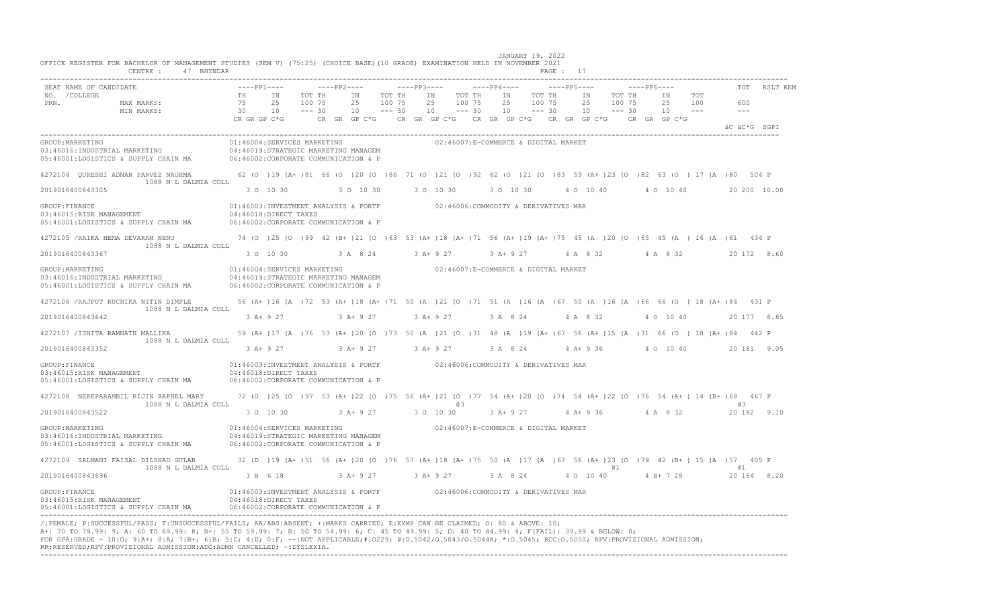| OFFICE REGISTER FOR BACHELOR OF MANAGEMENT STUDIES (SEM V) (75:25) (CHOICE BASE) (10 GRADE) EXAMINATION HELD IN NOVEMBER 2021<br>CENTRE: 47 BHYNDAR                                                                                                                                                                                                                                                                                                                                                                        |                                                                                                                                            |                                                                                                                              |                    |                                       |                    |            |                                                                                                                        |        |           |         |                                    | $PAGF.$ 17 |          |           |        |                                                                                                            |  |                                |              |
|----------------------------------------------------------------------------------------------------------------------------------------------------------------------------------------------------------------------------------------------------------------------------------------------------------------------------------------------------------------------------------------------------------------------------------------------------------------------------------------------------------------------------|--------------------------------------------------------------------------------------------------------------------------------------------|------------------------------------------------------------------------------------------------------------------------------|--------------------|---------------------------------------|--------------------|------------|------------------------------------------------------------------------------------------------------------------------|--------|-----------|---------|------------------------------------|------------|----------|-----------|--------|------------------------------------------------------------------------------------------------------------|--|--------------------------------|--------------|
| SEAT NAME OF CANDIDATE<br>NO. / COLLEGE<br>PRN.<br>MAX MARKS:<br>MIN MARKS:                                                                                                                                                                                                                                                                                                                                                                                                                                                | $---PP1---$<br>TH IN<br>75<br>30 10<br>CR GR GP C*G                                                                                        | 25                                                                                                                           | 100 75<br>$--- 30$ | $---PP2---$<br>TOT THE IN<br>25<br>10 | 100 75<br>$--- 30$ | TOT THE IN | $---PP3-- ---PP4---$<br>25 100 75<br>$10 - - - 30$<br>CR GR GP C*G CR GR GP C*G CR GR GP C*G CR GR GP C*G CR GR GP C*G | TOT TH |           | IN 1999 | $---PP5---$<br>TOT TH<br>25 100 75 |            | IN<br>25 | 100 75    | TOT TH | $---PP6---$<br>IN TOT<br>25 100<br>$10 \qquad \qquad -- -30 \qquad 10 \qquad -- -30 \qquad 10 \qquad -- -$ |  | 600<br>$- - -$<br>äC äC*G SGPI | TOT RSLT REM |
| GROUP: MARKETING<br>03:46016:INDUSTRIAL MARKETING<br>05:46001:LOGISTICS & SUPPLY CHAIN MA 06:46002:CORPORATE COMMUNICATION & P                                                                                                                                                                                                                                                                                                                                                                                             | 04:46019:STRATEGIC MARKETING MANAGEM                                                                                                       | 01:46004:SERVICES MARKETING                                                                                                  |                    |                                       |                    |            | 02:46007:E-COMMERCE & DIGITAL MARKET                                                                                   |        |           |         |                                    |            |          |           |        |                                                                                                            |  |                                |              |
| 4272104 OURESHI ADNAN PARVEZ NAGHMA 62 (0 )19 (A+ )81 66 (0 )20 (0 )86 71 (0 )21 (0 )92 62 (0 )21 (0 )83 59 (A+ )23 (0 )82 63 (0 )17 (A )80 504 P<br>1088 N L DALMIA COLL                                                                                                                                                                                                                                                                                                                                                  |                                                                                                                                            |                                                                                                                              |                    |                                       |                    |            |                                                                                                                        |        |           |         |                                    |            |          |           |        |                                                                                                            |  |                                |              |
| 2019016400843305                                                                                                                                                                                                                                                                                                                                                                                                                                                                                                           |                                                                                                                                            | 3 0 10 30                                                                                                                    |                    | 3 0 10 30                             |                    |            | 3 0 10 30                                                                                                              |        | 3 0 10 30 |         |                                    |            |          | 4 0 10 40 |        | 4 0 10 40                                                                                                  |  | 20 200 10.00                   |              |
| GROUP: FINANCE<br>03:46015:RISK MANAGEMENT<br>05:46001:LOGISTICS & SUPPLY CHAIN MA                                                                                                                                                                                                                                                                                                                                                                                                                                         | 04:46018:DIRECT TAXES<br>06:46002:CORPORATE COMMUNICATION & P                                                                              | 01:46003:INVESTMENT ANALYSIS & PORTF 02:46006:COMMODITY & DERIVATIVES MAR                                                    |                    |                                       |                    |            |                                                                                                                        |        |           |         |                                    |            |          |           |        |                                                                                                            |  |                                |              |
| 4272105 /RAIKA HEMA DEVARAM NENU 74 (0 )25 (0 )99 42 (B+ )21 (0 )63 53 (A+ )18 (A+ )71 56 (A+ )19 (A+ )75 45 (A )20 (0 )65 45 (A )16 (A )61 434 P                                                                                                                                                                                                                                                                                                                                                                          |                                                                                                                                            |                                                                                                                              |                    |                                       |                    |            |                                                                                                                        |        |           |         |                                    |            |          |           |        |                                                                                                            |  |                                |              |
| 1088 N L DALMIA COLL<br>2019016400843367                                                                                                                                                                                                                                                                                                                                                                                                                                                                                   |                                                                                                                                            | 3 0 10 30                                                                                                                    |                    |                                       |                    |            | 3 A 8 24 3 A + 9 27                                                                                                    |        |           |         |                                    |            |          |           |        | 3 A + 9 27 4 A 8 32 4 A 8 32                                                                               |  | 20 172 8.60                    |              |
| GROUP: MARKETING<br>03:46016:INDUSTRIAL MARKETING<br>05:46001:LOGISTICS & SUPPLY CHAIN MA                                                                                                                                                                                                                                                                                                                                                                                                                                  | 01:46004:SERVICES MARKETING<br>04:46019:STRATEGIC MARKETING MANAGEM<br>06:46002:CORPORATE COMMUNICATION & P                                |                                                                                                                              |                    |                                       |                    |            | 02:46007:E-COMMERCE & DIGITAL MARKET                                                                                   |        |           |         |                                    |            |          |           |        |                                                                                                            |  |                                |              |
| 4272106 /RAJPUT RUCHIKA NITIN DIMPLE 56 (A+ )16 (A )72 53 (A+ )18 (A+ )71 50 (A )21 (O )71 51 (A )16 (A )67 50 (A )16 (A )66 66 (O ) 18 (A+ )84 431 P<br>1088 N L DALMIA COLL                                                                                                                                                                                                                                                                                                                                              |                                                                                                                                            |                                                                                                                              |                    |                                       |                    |            |                                                                                                                        |        |           |         |                                    |            |          |           |        |                                                                                                            |  |                                |              |
| 2019016400843642                                                                                                                                                                                                                                                                                                                                                                                                                                                                                                           |                                                                                                                                            | 3 A + 9 27 3 A + 9 27 3 A + 9 27                                                                                             |                    |                                       |                    |            |                                                                                                                        |        |           |         | 3 A 8 24 4 A 8 32                  |            |          |           |        | 4 0 10 40                                                                                                  |  | 20 177 8.85                    |              |
| 4272107 / ISHITA RAMNATH MALLIKA<br>1088 N L DALMIA COLL                                                                                                                                                                                                                                                                                                                                                                                                                                                                   |                                                                                                                                            | 59 (A+ ) 17 (A ) 76 53 (A+ ) 20 (O ) 73 50 (A ) 21 (O ) 71 48 (A ) 19 (A+ ) 67 56 (A+ ) 15 (A ) 71 66 (O ) 18 (A+ ) 84 442 P |                    |                                       |                    |            |                                                                                                                        |        |           |         |                                    |            |          |           |        |                                                                                                            |  |                                |              |
| 2019016400843352                                                                                                                                                                                                                                                                                                                                                                                                                                                                                                           |                                                                                                                                            | 3 A + 9 27                                                                                                                   |                    |                                       |                    |            | 3 A + 9 27 3 A + 9 27                                                                                                  |        |           |         | 3 A 8 24                           |            |          |           |        | 4 A + 9 36 4 0 10 40                                                                                       |  | 20 181 9.05                    |              |
| GROUP: FINANCE<br>03:46015:RISK MANAGEMENT<br>05:46001:LOGISTICS & SUPPLY CHAIN MA                                                                                                                                                                                                                                                                                                                                                                                                                                         | 01:46003:INVESTMENT ANALYSIS & PORTF 02:46006:COMMODITY & DERIVATIVES MAR<br>04:46018:DIRECT TAXES<br>06:46002:CORPORATE COMMUNICATION & P |                                                                                                                              |                    |                                       |                    |            |                                                                                                                        |        |           |         |                                    |            |          |           |        |                                                                                                            |  |                                |              |
| 4272108 NEREPARAMBIL RIJIN RAPHEL MARY                                                                                                                                                                                                                                                                                                                                                                                                                                                                                     |                                                                                                                                            | 72 (0 )25 (0 )97 53 (A+ )22 (0 )75 56 (A+ )21 (0 )77 54 (A+ )20 (0 )74 54 (A+ )22 (0 )76 54 (A+ )14 (B+ )68 467 P            |                    |                                       |                    |            |                                                                                                                        |        |           |         |                                    |            |          |           |        |                                                                                                            |  |                                |              |
| 1088 N L DALMIA COLL<br>2019016400843522                                                                                                                                                                                                                                                                                                                                                                                                                                                                                   |                                                                                                                                            | 3 0 10 30                                                                                                                    |                    | 3 A + 9 27 3 0 10 30                  |                    |            | 6.3                                                                                                                    |        |           |         |                                    |            |          |           |        | 3 A + 9 27 4 A + 9 36 4 A 8 32                                                                             |  | 6.3<br>20 182 9.10             |              |
| GROUP: MARKETING<br>03:46016:INDUSTRIAL MARKETING<br>05:46001:LOGISTICS & SUPPLY CHAIN MA                                                                                                                                                                                                                                                                                                                                                                                                                                  | 01:46004:SERVICES MARKETING<br>04:46019:STRATEGIC MARKETING MANAGEM<br>06:46002:CORPORATE COMMUNICATION & P                                |                                                                                                                              |                    |                                       |                    |            | 02:46007:E-COMMERCE & DIGITAL MARKET                                                                                   |        |           |         |                                    |            |          |           |        |                                                                                                            |  |                                |              |
| 4272109 SALMANI FAISAL DILSHAD GULAB 32 (D)19 (A+)51 56 (A+)20 (O)76 57 (A+)18 (A+)75 50 (A)17 (A)67 56 (A+)23 (O)79 42 (B+)15 (A)57 405 P<br>1088 N L DALMIA COLL                                                                                                                                                                                                                                                                                                                                                         |                                                                                                                                            |                                                                                                                              |                    |                                       |                    |            |                                                                                                                        |        |           |         |                                    |            |          | @ 1       |        |                                                                                                            |  | <b>a</b> 1                     |              |
| 2019016400843696                                                                                                                                                                                                                                                                                                                                                                                                                                                                                                           |                                                                                                                                            | 3 B 6 18                                                                                                                     |                    |                                       |                    |            | 3 A + 9 27 3 A + 9 27 3 A 8 24                                                                                         |        |           |         |                                    | 4 0 10 40  |          |           |        | 4 B+ 7 28                                                                                                  |  | 20 164 8.20                    |              |
| GROUP: FINANCE<br>03:46015:RISK MANAGEMENT<br>05:46001:LOGISTICS & SUPPLY CHAIN MA                                                                                                                                                                                                                                                                                                                                                                                                                                         | 06:46002:CORPORATE COMMUNICATION & P                                                                                                       | 01:46003:INVESTMENT ANALYSIS & PORTF 02:46006:COMMODITY & DERIVATIVES MAR<br>04:46018:DIRECT TAXES                           |                    |                                       |                    |            |                                                                                                                        |        |           |         |                                    |            |          |           |        |                                                                                                            |  |                                |              |
| /:FEMALE; P:SUCCESSFUL/PASS; F:UNSUCCESSFUL/FAILS; AA/ABS:ABSENT; +:MARKS CARRIED; E:EXMP CAN BE CLAIMED; 0: 80 & ABOVE: 10;<br>A+: 70 TO 79.99: 9; A: 60 TO 69.99: 8; B+: 55 TO 59.99: 7; B: 50 TO 54.99: 6; C: 45 TO 49.99: 5; D: 40 TO 44.99: 4; F(FAIL): 39.99 & BELOW: 0;<br>FOR GPA:GRADE - 10:0; 9:A+; 8:A; 7:B+; 6:B; 5:C; 4:D; 0:F; --:NOT APPLICABLE;#:0229; 0:0.5042/0.5043/0.5044A; *:0.5045; RCC:0.5050; RPV:PROVISIONAL ADMISSION;<br>RR:RESERVED;RPV:PROVISIONAL ADMISSION;ADC:ADMN CANCELLED; ~: DYSLEXIA. |                                                                                                                                            |                                                                                                                              |                    |                                       |                    |            |                                                                                                                        |        |           |         |                                    |            |          |           |        |                                                                                                            |  |                                |              |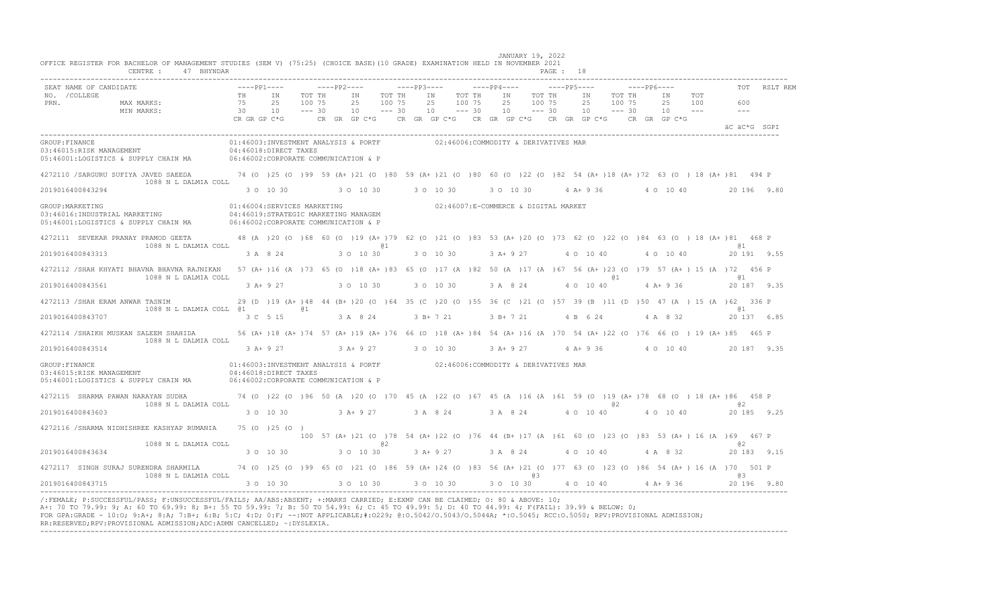| SEAT NAME OF CANDIDATE                                                                                                                                                                                                                                                                                                                                                                                                                                                                                                     |                                                                                                                                                                                           | $---pp1-- ---pp2-- ---pp3-- ---pp3---$                                                                              |        |                                                                |           |                                         |                  |                 |    |        |    |                      |        | $---PP6---$                                                   |                                                                                                              | TOT RSLT REM |
|----------------------------------------------------------------------------------------------------------------------------------------------------------------------------------------------------------------------------------------------------------------------------------------------------------------------------------------------------------------------------------------------------------------------------------------------------------------------------------------------------------------------------|-------------------------------------------------------------------------------------------------------------------------------------------------------------------------------------------|---------------------------------------------------------------------------------------------------------------------|--------|----------------------------------------------------------------|-----------|-----------------------------------------|------------------|-----------------|----|--------|----|----------------------|--------|---------------------------------------------------------------|--------------------------------------------------------------------------------------------------------------|--------------|
| NO. / COLLEGE<br>PRN.<br>MAX MARKS:<br>MIN MARKS:                                                                                                                                                                                                                                                                                                                                                                                                                                                                          | 75<br>. 20 10 −−− 30 10 −−− 30 10 −−− 30 10 −−− 30 10 −−− 30 −−− 30 10 −−− 30 −−− 30 −−− 30 −−− 30 −−− 30 −−−<br>CR GR GP C*G − CR GR GP C*G − CR GR GP C*G − CR GR GP C*G − CR GR GP C*G | TH IN<br>25 100 75                                                                                                  | TOT TH | IN TOT TH                                                      | 25 100 75 | IN<br>25                                | TOT TH<br>100 75 | IN<br>25 100 75 |    | TOT TH | IN | 25 100 75            | TOT TH | IN TOT<br>25 100<br>$10 \t--- 30 \t10 \t--- 30 \t10 \t--- 30$ | 600<br>$  -$                                                                                                 |              |
|                                                                                                                                                                                                                                                                                                                                                                                                                                                                                                                            |                                                                                                                                                                                           |                                                                                                                     |        |                                                                |           |                                         |                  |                 |    |        |    |                      |        |                                                               | äC äC*G SGPI                                                                                                 |              |
| GROUP: FINANCE<br>03:46015:RISK MANAGEMENT<br>03:46015:RISK MANAGEMENT<br>05:46001:LOGISTICS & SUPPLY CHAIN MA 06:46002:CORPORATE COMMUNICATION & P                                                                                                                                                                                                                                                                                                                                                                        |                                                                                                                                                                                           | 01:46003:INVESTMENT ANALYSIS & PORTF 602:46006:COMMODITY & DERIVATIVES MAR                                          |        |                                                                |           |                                         |                  |                 |    |        |    |                      |        |                                                               |                                                                                                              |              |
| 4272110 /SARGURU SUFIYA JAVED SAEEDA 74 (0 )25 (0 )99 59 (A+ )21 (0 )80 59 (A+ )21 (0 )80 60 (0 )22 (0 )82 54 (A+ )18 (A+ )72 63 (0 )18 (A+ )81 494 P                                                                                                                                                                                                                                                                                                                                                                      |                                                                                                                                                                                           |                                                                                                                     |        |                                                                |           |                                         |                  |                 |    |        |    |                      |        |                                                               |                                                                                                              |              |
| 1088 N L DALMIA COLL<br>2019016400843294                                                                                                                                                                                                                                                                                                                                                                                                                                                                                   |                                                                                                                                                                                           | 3 0 10 30                                                                                                           |        | 3 0 10 30 30 10 30                                             |           |                                         |                  |                 |    |        |    |                      |        |                                                               | 3 0 10 30 4 A+ 9 36 4 0 10 40 20 196 9 80                                                                    |              |
| GROUP: MARKETING<br>03:46016: INDUSTRIAL MARKETING<br>05:46001:LOGISTICS & SUPPLY CHAIN MA 06:46002:CORPORATE COMMUNICATION & P                                                                                                                                                                                                                                                                                                                                                                                            |                                                                                                                                                                                           | 01:46004:SERVICES MARKETING<br>04:46019:STRATEGIC MARKETING MANAGEM                                                 |        |                                                                |           | 02:46007:E-COMMERCE & DIGITAL MARKET    |                  |                 |    |        |    |                      |        |                                                               |                                                                                                              |              |
| 4272111 SEVEKAR PRANAY PRAMOD GEETA 48 (A) 20 (O) 68 60 (O) 19 (A+) 79 62 (O) 21 (O) 83 53 (A+) 20 (O) 73 62 (O) 22 (O) 84 63 (O) 18 (A+) 81 468 P<br>1088 N L DALMIA COLL                                                                                                                                                                                                                                                                                                                                                 |                                                                                                                                                                                           |                                                                                                                     |        |                                                                | @ 1       |                                         |                  |                 |    |        |    |                      |        |                                                               | <b>Q</b> 1                                                                                                   |              |
| 2019016400843313                                                                                                                                                                                                                                                                                                                                                                                                                                                                                                           |                                                                                                                                                                                           | 3 A 8 24                                                                                                            |        | 3 0 10 30                                                      |           | 3 0 10 30                               |                  |                 |    |        |    | 3 A + 9 27 4 0 10 40 |        | 4 0 10 40                                                     |                                                                                                              | 20 191 9.55  |
| 4272112 / SHAH KHYATI BHAVNA BHAVNA RAJNIKAN 57 (A+ )16 (A )73 65 (O )18 (A+ )83 65 (O )17 (A )82 50 (A )17 (A )67 56 (A+ )23 (O )79 57 (A+ )15 (A )72 456 P                                                                                                                                                                                                                                                                                                                                                               |                                                                                                                                                                                           |                                                                                                                     |        |                                                                |           |                                         |                  |                 |    |        |    | @ 1                  |        |                                                               | @ 1                                                                                                          |              |
| 1088 N L DALMIA COLL<br>2019016400843561                                                                                                                                                                                                                                                                                                                                                                                                                                                                                   |                                                                                                                                                                                           | 3 A + 9 27 3 0 10 30 3 0 10 30                                                                                      |        |                                                                |           |                                         |                  |                 |    |        |    |                      |        |                                                               | 3 A 8 24 4 O 10 40 4 A + 9 36 20 187 9 35                                                                    |              |
| 4272113 / SHAH ERAM ANWAR TASNIM                                                                                                                                                                                                                                                                                                                                                                                                                                                                                           |                                                                                                                                                                                           | 29 (D) 19 (A+) 48 44 (B+) 20 (O) 64 35 (C) 20 (O) 55 36 (C) 21 (O) 57 39 (B) 11 (D) 50 47 (A) 15 (A) 62 336 P       |        |                                                                |           |                                         |                  |                 |    |        |    |                      |        |                                                               |                                                                                                              |              |
| 1088 N L DALMIA COLL @1 61<br>2019016400843707                                                                                                                                                                                                                                                                                                                                                                                                                                                                             |                                                                                                                                                                                           | 3 C 5 15                                                                                                            |        | 3 A 8 24                                                       |           | 3 B + 7 21 3 B + 7 21 4 B 6 24 4 A 8 32 |                  |                 |    |        |    |                      |        |                                                               | @ 1                                                                                                          | 20 137 6.85  |
| 4272114 /SHAIKH MUSKAN SALEEM SHAHIDA                                                                                                                                                                                                                                                                                                                                                                                                                                                                                      |                                                                                                                                                                                           | 56 (A+ )18 (A+ )74 57 (A+ )19 (A+ )76 66 (O )18 (A+ )84 54 (A+ )16 (A )70 54 (A+ )22 (O )76 66 (O )19 (A+ )85 465 P |        |                                                                |           |                                         |                  |                 |    |        |    |                      |        |                                                               |                                                                                                              |              |
| 1088 N L DALMIA COLL<br>2019016400843514                                                                                                                                                                                                                                                                                                                                                                                                                                                                                   |                                                                                                                                                                                           | 3 A+ 9 27 3 A+ 9 27 3 0 10 30 3 A+ 9 27 4 A+ 9 36 4 0 10 40 20 187 9.35                                             |        |                                                                |           |                                         |                  |                 |    |        |    |                      |        |                                                               |                                                                                                              |              |
| GROUP: FINANCE<br>03:46015:RISK MANAGEMENT<br>05:46001:LOGISTICS & SUPPLY CHAIN MA 06:46002:CORPORATE COMMUNICATION & P                                                                                                                                                                                                                                                                                                                                                                                                    | 01:46003:INVESTMENT ANALYSIS & PORTF 602:46006:COMMODITY & DERIVATIVES MAR<br>04:46018:DIRECT TAXES                                                                                       |                                                                                                                     |        |                                                                |           |                                         |                  |                 |    |        |    |                      |        |                                                               |                                                                                                              |              |
| 4272115 SHARMA PAWAN NARAYAN SUDHA                                                                                                                                                                                                                                                                                                                                                                                                                                                                                         | 74 (0 )22 (0 )96 50 (A )20 (0 )70 45 (A )22 (0 )67 45 (A )16 (A )61 59 (0 )19 (A+)78 68 (0 )18 (A+)86 458 P                                                                               |                                                                                                                     |        |                                                                |           |                                         |                  |                 |    |        |    |                      |        |                                                               |                                                                                                              |              |
| 1088 N L DALMIA COLL<br>2019016400843603                                                                                                                                                                                                                                                                                                                                                                                                                                                                                   |                                                                                                                                                                                           | $3$ O $10$ $30$ $3$ A+ $9$ $27$ $3$ A $8$ $24$ $3$ A $8$ $24$ $4$ O $10$ $40$                                       |        |                                                                |           |                                         |                  |                 |    |        |    | @ 2                  |        | 4 0 10 40                                                     | a 2<br>20 185 9.25                                                                                           |              |
| 4272116 / SHARMA NIDHISHREE KASHYAP RUMANIA 75 (0 ) 25 (0 )                                                                                                                                                                                                                                                                                                                                                                                                                                                                |                                                                                                                                                                                           |                                                                                                                     |        |                                                                |           |                                         |                  |                 |    |        |    |                      |        |                                                               | 100 57 (A+ ) 21 (0 ) 78 54 (A+ ) 22 (0 ) 76 44 (B+ ) 17 (A ) 61 60 (0 ) 23 (0 ) 83 53 (A+ ) 16 (A ) 69 467 P |              |
| 1088 N L DALMIA COLL<br>2019016400843634                                                                                                                                                                                                                                                                                                                                                                                                                                                                                   |                                                                                                                                                                                           | 3 0 10 30                                                                                                           |        | $3$ O 10 30 $3$ A + 9 27 $3$ A $8$ 24 $4$ O 10 40 $4$ A $8$ 32 | @ 2       |                                         |                  |                 |    |        |    |                      |        |                                                               | a2<br>20 183 9.15                                                                                            |              |
| 4272117 SINGH SURAJ SURENDRA SHARMILA 74 (0 )25 (0 )99 65 (0 )21 (0 )86 59 (A+ )24 (0 )83 56 (A+ )21 (0 )77 63 (0 )23 (0 )86 54 (A+ )16 (A )70 501 P                                                                                                                                                                                                                                                                                                                                                                       |                                                                                                                                                                                           |                                                                                                                     |        |                                                                |           |                                         |                  |                 |    |        |    |                      |        |                                                               |                                                                                                              |              |
| 1088 N L DALMIA COLL<br>2019016400843715                                                                                                                                                                                                                                                                                                                                                                                                                                                                                   | $30\quad 10\quad 30$ $30\quad 10\quad 30$ $30\quad 10\quad 30$ $30\quad 10\quad 30$ $4\quad 0\quad 10\quad 40$ $4\quad 4\quad 4\quad 9\quad 36$                                           |                                                                                                                     |        |                                                                |           |                                         |                  |                 | @3 |        |    |                      |        |                                                               | 03                                                                                                           | 20 196 9.80  |
| /:FEMALE; P:SUCCESSFUL/PASS; F:UNSUCCESSFUL/FAILS; AA/ABS:ABSENT; +:MARKS CARRIED; E:EXMP CAN BE CLAIMED; 0: 80 & ABOVE: 10;<br>A+: 70 TO 79.99: 9; A: 60 TO 69.99: 8; B+: 55 TO 59.99: 7; B: 50 TO 54.99: 6; C: 45 TO 49.99: 5; D: 40 TO 44.99: 4; F(FAIL): 39.99 & BELOW: 0;<br>FOR GPA:GRADE - 10:0; 9:A+; 8:A; 7:B+; 6:B; 5:C; 4:D; 0:F; --:NOT APPLICABLE;#:0229; 0:0.5042/0.5043/0.5044A; *:0.5045; RCC:0.5050; RPV:PROVISIONAL ADMISSION;<br>RR:RESERVED;RPV:PROVISIONAL ADMISSION;ADC:ADMN CANCELLED; ~: DYSLEXIA. |                                                                                                                                                                                           |                                                                                                                     |        |                                                                |           |                                         |                  |                 |    |        |    |                      |        |                                                               |                                                                                                              |              |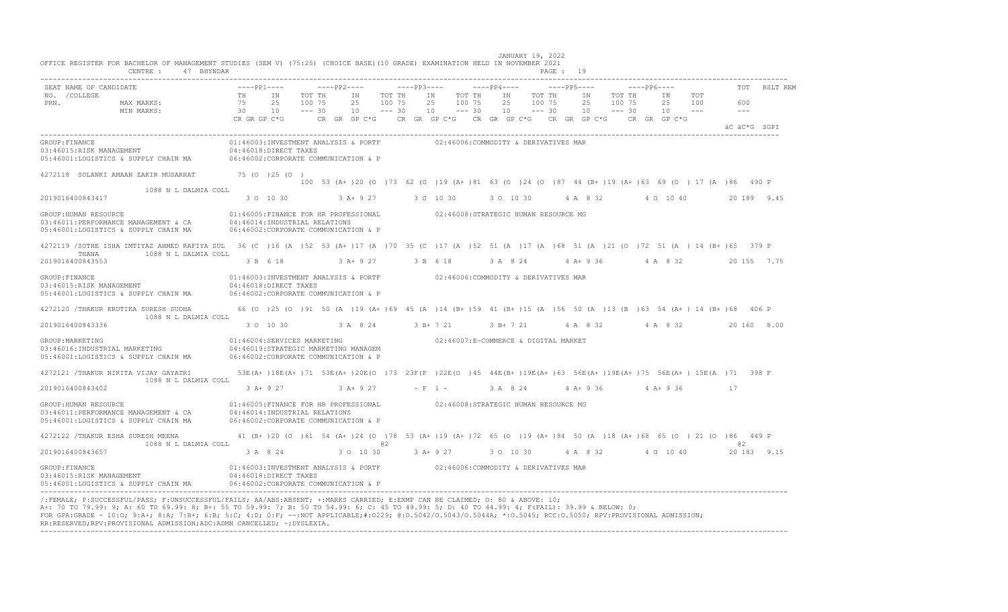|                                                                                                                                                                         | CENTRE : 47 BHYNDAR  |                      |                                                                                                                                                                      |                    |                   |         |        |                                      |                                      |          |    |                         | PAGE : 19 |                     |        |             |                                         |                                                                                                              |    |              |              |
|-------------------------------------------------------------------------------------------------------------------------------------------------------------------------|----------------------|----------------------|----------------------------------------------------------------------------------------------------------------------------------------------------------------------|--------------------|-------------------|---------|--------|--------------------------------------|--------------------------------------|----------|----|-------------------------|-----------|---------------------|--------|-------------|-----------------------------------------|--------------------------------------------------------------------------------------------------------------|----|--------------|--------------|
| SEAT NAME OF CANDIDATE<br>NO. / COLLEGE                                                                                                                                 |                      | $---PP1---$<br>TH IN |                                                                                                                                                                      | TOT TH             | $---PP2---$<br>ΙN |         | TOT TH | IN                                   | TOT TH                               |          |    | IN TOT TH               |           | ΙN                  | TOT TH | $---PP6---$ | IN TOT                                  |                                                                                                              |    |              | TOT RSLT REM |
| PRN.<br>MAX MARKS:<br>MIN MARKS:                                                                                                                                        |                      | 75<br>30             | 25<br>10<br>CR GR GP C*G $\phantom{1}$ CR GR GP C*G $\phantom{1}$ CR GP C*G $\phantom{1}$ CR GR GP C*G $\phantom{1}$ CR GP C*G $\phantom{1}$ CR GP C*G $\phantom{1}$ | 100 75<br>$--- 30$ | 25<br>10          | $---30$ | 100 75 | 25<br>$10 - - - 30$                  | 100 75                               |          | 25 | 100 75<br>$10 - - - 30$ |           | 25<br>$10 - - - 30$ | 100 75 |             | 25 100<br>$10 - -$                      |                                                                                                              |    | 600<br>$  -$ |              |
|                                                                                                                                                                         |                      |                      |                                                                                                                                                                      |                    |                   |         |        |                                      |                                      |          |    |                         |           |                     |        |             |                                         |                                                                                                              |    | äC äC*G SGPI |              |
| GROUP: FINANCE<br>03:46015:RISK MANAGEMENT<br>05:46001:LOGISTICS & SUPPLY CHAIN MA                                                                                      |                      |                      | 01:46003:INVESTMENT ANALYSIS & PORTF<br>04:46018:DIRECT TAXES<br>06:46002:CORPORATE COMMUNICATION & P                                                                |                    |                   |         |        |                                      | 02:46006:COMMODITY & DERIVATIVES MAR |          |    |                         |           |                     |        |             |                                         |                                                                                                              |    |              |              |
| 4272118 SOLANKI AMAAN ZAKIR MUSARRAT 75 (0 )25 (0 )                                                                                                                     |                      |                      |                                                                                                                                                                      |                    |                   |         |        |                                      |                                      |          |    |                         |           |                     |        |             |                                         | 100 53 (A+ ) 20 (0 ) 73 62 (0 ) 19 (A+ ) 81 63 (0 ) 24 (0 ) 87 44 (B+ ) 19 (A+ ) 63 69 (0 ) 17 (A ) 86 490 P |    |              |              |
|                                                                                                                                                                         | 1088 N L DALMIA COLL |                      |                                                                                                                                                                      |                    |                   |         |        |                                      |                                      |          |    |                         |           |                     |        |             |                                         |                                                                                                              |    |              |              |
| 2019016400843417                                                                                                                                                        |                      |                      | 3 0 10 30                                                                                                                                                            |                    |                   |         |        | $3 A+9 27$ $3 O 10 30$               |                                      |          |    |                         |           |                     |        |             | 3 O 10 30 4 A 8 32 4 O 10 40            |                                                                                                              |    |              | 20 189 9.45  |
| GROUP: HUMAN RESOURCE<br>03:46011:PERFORMANCE MANAGEMENT & CA<br>05:46001:LOGISTICS & SUPPLY CHAIN MA                                                                   |                      |                      | 01:46005:FINANCE FOR HR PROFESSIONAL 02:46008:STRATEGIC HUMAN RESOURCE MG<br>04:46014:INDUSTRIAL RELATIONS<br>06:46002:CORPORATE COMMUNICATION & P                   |                    |                   |         |        |                                      |                                      |          |    |                         |           |                     |        |             |                                         |                                                                                                              |    |              |              |
| 4272119 /SOTHE ISHA IMTIYAZ AHMED RAFIYA SUL 36 (C)16 (A)52 53 (A+)17 (A)70 35 (C)17 (A)52 51 (A)17 (A)68 51 (A)21 (O)72 51 (A)14 (B+)65 379 P                          |                      |                      |                                                                                                                                                                      |                    |                   |         |        |                                      |                                      |          |    |                         |           |                     |        |             |                                         |                                                                                                              |    |              |              |
| 1088 N L DALMIA COLL<br>THANA<br>2019016400843553                                                                                                                       |                      |                      | 3 B 6 18                                                                                                                                                             |                    | $3$ A + 9 27      |         |        | 3 B 6 18                             |                                      |          |    |                         |           |                     |        |             |                                         | 3 A 8 24 4 A + 9 36 4 A 8 32 20 155 7.75                                                                     |    |              |              |
| GROUP: FINANCE<br>03:46015:RISK MANAGEMENT<br>05:46001:LOGISTICS & SUPPLY CHAIN MA                                                                                      |                      |                      | 01:46003:INVESTMENT ANALYSIS & PORTF 02:46006:COMMODITY & DERIVATIVES MAR<br>04:46018:DIRECT TAXES<br>06:46002:CORPORATE COMMUNICATION & P                           |                    |                   |         |        |                                      |                                      |          |    |                         |           |                     |        |             |                                         |                                                                                                              |    |              |              |
| 4272120 / THAKUR KRUTIKA SURESH SUDHA                                                                                                                                   | 1088 N L DALMIA COLL |                      | 66 (0 )25 (0 )91 50 (A )19 (A+ )69 45 (A )14 (B+ )59 41 (B+ )15 (A )56 50 (A )13 (B )63 54 (A+ )14 (B+ )68 406 P                                                     |                    |                   |         |        |                                      |                                      |          |    |                         |           |                     |        |             |                                         |                                                                                                              |    |              |              |
| 2019016400843336                                                                                                                                                        |                      |                      | 3 O 10 30 3 A 8 24 3 B + 7 21                                                                                                                                        |                    |                   |         |        |                                      |                                      |          |    | 3 B+ 7 21               |           |                     |        |             | 4 A 8 32 4 A 8 32                       |                                                                                                              |    |              | 20 160 8.00  |
| GROUP: MARKETING<br>03:46016: INDUSTRIAL MARKETING<br>05:46001:LOGISTICS & SUPPLY CHAIN MA                                                                              |                      |                      | 01:46004:SERVICES MARKETING<br>04:46019:STRATEGIC MARKETING MANAGEM<br>06:46002:CORPORATE COMMUNICATION & P                                                          |                    |                   |         |        |                                      | 02:46007:E-COMMERCE & DIGITAL MARKET |          |    |                         |           |                     |        |             |                                         |                                                                                                              |    |              |              |
| 4272121 /THAKUR NIKITA VIJAY GAYATRI 53E (A+) 18E (A+) 71 53E (A+) 20E (O ) 73 23F (F) 22E (O ) 45 44E (B+) 19E (A+) 63 56E (A+) 19E (A+) 75 56E (A+) 15E (A+) 71 398 F | 1088 N L DALMIA COLL |                      |                                                                                                                                                                      |                    |                   |         |        |                                      |                                      |          |    |                         |           |                     |        |             |                                         |                                                                                                              |    |              |              |
| 2019016400843402                                                                                                                                                        |                      |                      | 3 A + 9 27 3 A + 9 27 - F 1 -                                                                                                                                        |                    |                   |         |        |                                      |                                      | 3 A 8 24 |    |                         |           |                     |        |             | 4 A + 9 36 4 A + 9 36                   |                                                                                                              | 17 |              |              |
| GROUP: HUMAN RESOURCE<br>03:46011:PERFORMANCE MANAGEMENT & CA<br>05:46001:LOGISTICS & SUPPLY CHAIN MA                                                                   |                      |                      | 01:46005: FINANCE FOR HR PROFESSIONAL<br>04:46014:INDUSTRIAL RELATIONS<br>06:46002:CORPORATE COMMUNICATION & P                                                       |                    |                   |         |        | 02:46008:STRATEGIC HUMAN RESOURCE MG |                                      |          |    |                         |           |                     |        |             |                                         |                                                                                                              |    |              |              |
| 4272122 /THAKUR ESHA SURESH MEENA 44 (B+)20 (0 )61 54 (A+)24 (0 )78 53 (A+)19 (A+)72 65 (0 )19 (A+)84 50 (A )18 (A+)68 65 (0 )21 (0 )86 449 P                           | 1088 N L DALMIA COLL |                      |                                                                                                                                                                      |                    |                   | 02      |        |                                      |                                      |          |    |                         |           |                     |        |             |                                         |                                                                                                              |    | @ 2          |              |
| 2019016400843657                                                                                                                                                        |                      |                      | 3 A 8 24 3 O 10 30                                                                                                                                                   |                    |                   |         |        |                                      |                                      |          |    |                         |           |                     |        |             | 3 A + 9 27 3 O 10 30 4 A 8 32 4 O 10 40 |                                                                                                              |    |              | 20 183 9.15  |
| GROUP: FINANCE<br>03:46015:RISK MANAGEMENT<br>05:46001:LOGISTICS & SUPPLY CHAIN MA                                                                                      |                      |                      | 01:46003:INVESTMENT ANALYSIS & PORTF 602:46006:COMMODITY & DERIVATIVES MAR<br>04:46018:DIRECT TAXES<br>06:46002:CORPORATE COMMUNICATION & P                          |                    |                   |         |        |                                      |                                      |          |    |                         |           |                     |        |             |                                         |                                                                                                              |    |              |              |

JANUARY 19, 2022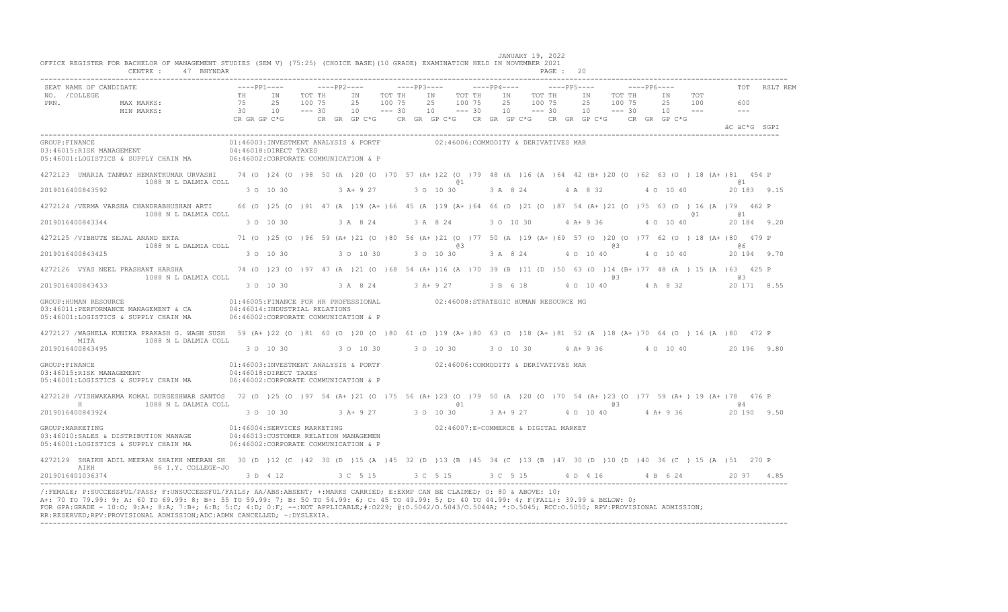|                       | SEAT NAME OF CANDIDATE                                                                                                                                                                  |                                                                                                                                                                    | $---PP1---$                                                                   |  | $---PP2---$ |                                                  | $---PP3---$      |                                       |    |    |                                      |  | $---PP4---$                                                                                                                                                                                                                                                                                                                      |  |  |  | $---PP6---$                                                                                                          |            |                                                                                                                                                                                                                                                                                                             | TOT RSLT REM |
|-----------------------|-----------------------------------------------------------------------------------------------------------------------------------------------------------------------------------------|--------------------------------------------------------------------------------------------------------------------------------------------------------------------|-------------------------------------------------------------------------------|--|-------------|--------------------------------------------------|------------------|---------------------------------------|----|----|--------------------------------------|--|----------------------------------------------------------------------------------------------------------------------------------------------------------------------------------------------------------------------------------------------------------------------------------------------------------------------------------|--|--|--|----------------------------------------------------------------------------------------------------------------------|------------|-------------------------------------------------------------------------------------------------------------------------------------------------------------------------------------------------------------------------------------------------------------------------------------------------------------|--------------|
| NO. / COLLEGE<br>PRN. | MAX MARKS:<br>MIN MARKS: 75 25 100 75<br>MIN MARKS: 30 10 --- 30                                                                                                                        |                                                                                                                                                                    | TH IN                                                                         |  | TOT TH IN   | 25<br>$10 - - - 30$                              | TOT TH<br>100 75 |                                       | IN |    | TOT TH<br>25 100 75<br>$10 - - - 30$ |  | 25 100 75                                                                                                                                                                                                                                                                                                                        |  |  |  | IN TOT THE IN TOT THE IN TOT<br>25 100 75 25 100<br>$10 \qquad -- -30 \qquad 10 \qquad -- -30 \qquad 10 \qquad -- -$ |            | 600<br>$  -$                                                                                                                                                                                                                                                                                                |              |
|                       |                                                                                                                                                                                         |                                                                                                                                                                    | CRIGRIGPIC*G CRIGRIGPIC*G CRIGRIGPIC*G CRIGRIGPIC*G CRIGRIGPIC*G CRIGRIGPIC*G |  |             |                                                  |                  |                                       |    |    |                                      |  |                                                                                                                                                                                                                                                                                                                                  |  |  |  |                                                                                                                      |            | äC äC*G SGPI                                                                                                                                                                                                                                                                                                |              |
| GROUP: FINANCE        | 03:46015:RISK MANAGEMENT<br>05:46001:LOGISTICS & SUPPLY CHAIN MA 06:46002:CORPORATE COMMUNICATION & P                                                                                   | $04:46018:$ DIRECT TAXES                                                                                                                                           | 01:46003:INVESTMENT ANALYSIS & PORTF 02:46006:COMMODITY & DERIVATIVES MAR     |  |             |                                                  |                  |                                       |    |    |                                      |  |                                                                                                                                                                                                                                                                                                                                  |  |  |  |                                                                                                                      |            |                                                                                                                                                                                                                                                                                                             |              |
|                       | 4272123 UMARIA TANMAY HEMANTKUMAR URVASHI 74 (0 )24 (0 )98 50 (A )20 (0 )70 57 (A+ )22 (0 )79 48 (A )16 (A )64 42 (B+ )20 (0 )62 63 (0 ) 18 (A+ )81 454 P<br>1088 N L DALMIA COLL       |                                                                                                                                                                    |                                                                               |  |             |                                                  |                  | $\mathfrak{g}_1$ and $\mathfrak{g}_2$ |    |    |                                      |  |                                                                                                                                                                                                                                                                                                                                  |  |  |  |                                                                                                                      |            | a <sub>1</sub>                                                                                                                                                                                                                                                                                              |              |
|                       | 2019016400843592                                                                                                                                                                        |                                                                                                                                                                    |                                                                               |  |             |                                                  |                  |                                       |    |    |                                      |  |                                                                                                                                                                                                                                                                                                                                  |  |  |  |                                                                                                                      |            | $30 \t 10 \t 30$ $30 + 9 \t 27$ $30 \t 10 \t 30$ $3 \t A$ $8 \t 24$ $4 \t A$ $8 \t 32$ $4 \t 0 \t 10 \t 40$ $20 \t 183 \t 9.15$                                                                                                                                                                             |              |
|                       | 4272124 /VERMA VARSHA CHANDRABHUSHAN ARTI<br>1088 N L DALMIA COLL                                                                                                                       |                                                                                                                                                                    |                                                                               |  |             |                                                  |                  |                                       |    |    |                                      |  |                                                                                                                                                                                                                                                                                                                                  |  |  |  |                                                                                                                      | <b>a</b> 1 | 66 (0 ) 25 (0 ) 91 47 (A ) 19 (A+ ) 66 45 (A ) 19 (A+ ) 64 66 (0 ) 21 (0 ) 87 54 (A+ ) 21 (0 ) 75 63 (0 ) 16 (A ) 79 462 P<br>61                                                                                                                                                                            |              |
|                       | 2019016400843344                                                                                                                                                                        |                                                                                                                                                                    | 3 0 10 30                                                                     |  |             | 3 A 8 24 3 A 8 24 3 O 10 30 4 A + 9 36 4 O 10 40 |                  |                                       |    |    |                                      |  |                                                                                                                                                                                                                                                                                                                                  |  |  |  |                                                                                                                      |            | 20 184 9.20                                                                                                                                                                                                                                                                                                 |              |
|                       | 4272125 /VIBHUTE SEJAL ANAND EKTA 71 (0 )25 (0 )96 59 (A+ )21 (0 )80 56 (A+ )21 (0 )77 50 (A )19 (A+ )69 57 (0 )20 (0 )77 62 (0 )18 (A+ )80 479 P<br>1088 N L DALMIA COLL               |                                                                                                                                                                    |                                                                               |  |             |                                                  |                  |                                       |    | 63 |                                      |  | $\alpha$ and $\alpha$ and $\alpha$ and $\alpha$ and $\alpha$ and $\alpha$ and $\alpha$ and $\alpha$ and $\alpha$ and $\alpha$ and $\alpha$ and $\alpha$ and $\alpha$ and $\alpha$ and $\alpha$ and $\alpha$ and $\alpha$ and $\alpha$ and $\alpha$ and $\alpha$ and $\alpha$ and $\alpha$ and $\alpha$ and $\alpha$ and $\alpha$ |  |  |  |                                                                                                                      |            | $\alpha$ 6                                                                                                                                                                                                                                                                                                  |              |
|                       | 2019016400843425                                                                                                                                                                        |                                                                                                                                                                    | 3 0 10 30 30 10 30 30 30 10 30                                                |  |             |                                                  |                  |                                       |    |    |                                      |  | 3 A 8 24 4 O 10 40                                                                                                                                                                                                                                                                                                               |  |  |  |                                                                                                                      |            | 4 0 10 40 20 194 9.70                                                                                                                                                                                                                                                                                       |              |
|                       | 4272126 VYAS NEEL PRASHANT HARSHA 74 (0 )23 (0 )97 47 (A )21 (0 )68 54 (A+ )16 (A )70 39 (B )11 (D )50 63 (0 )14 (B+ )77 48 (A ) 15 (A )63 425 P<br>1088 N L DALMIA COLL                |                                                                                                                                                                    |                                                                               |  |             |                                                  |                  |                                       |    |    |                                      |  |                                                                                                                                                                                                                                                                                                                                  |  |  |  |                                                                                                                      |            | $\alpha$ 3 and $\alpha$ 3 and $\alpha$ 3 and $\alpha$ 3 and $\alpha$ 3 and $\alpha$ 3 and $\alpha$ 3 and $\alpha$ 3 and $\alpha$ 3 and $\alpha$ 3 and $\alpha$ 3 and $\alpha$ 3 and $\alpha$ 3 and $\alpha$ 3 and $\alpha$ 3 and $\alpha$ 3 and $\alpha$ 3 and $\alpha$ 3 and $\alpha$ 3 and $\alpha$ 3 and |              |
|                       | 2019016400843433                                                                                                                                                                        |                                                                                                                                                                    | $30$ 10 30 $3$ A $8$ 24 $3$ A + 9 27 $3$ B 6 18                               |  |             |                                                  |                  |                                       |    |    |                                      |  |                                                                                                                                                                                                                                                                                                                                  |  |  |  |                                                                                                                      |            | 4 0 10 40 4 A 8 32 20 171 8.55                                                                                                                                                                                                                                                                              |              |
|                       | GROUP: HUMAN RESOURCE<br>$03:46011: \texttt{PERFORMANCE MANAGENT} \& \texttt{CA} \qquad 04:46014: \texttt{INDUSTRIAL RELATIONS}$<br>05:46001:LOGISTICS & SUPPLY CHAIN MA                | 01:46005:FINANCE FOR HR PROFESSIONAL 602:46008:STRATEGIC HUMAN RESOURCE MG<br>06:46002:CORPORATE COMMUNICATION & P                                                 |                                                                               |  |             |                                                  |                  |                                       |    |    |                                      |  |                                                                                                                                                                                                                                                                                                                                  |  |  |  |                                                                                                                      |            |                                                                                                                                                                                                                                                                                                             |              |
|                       | 4272127 /WAGHELA KUNIKA PRAKASH G. WAGH SUSH 59 (A+)22 (0)81 60 (0)20 (0)80 61 (0)19 (A+)80 63 (0)18 (A+)81 52 (A)18 (A+)70 64 (0) 16 (A)80 472 P<br>MITA 1088 N L DALMIA COLL          |                                                                                                                                                                    |                                                                               |  |             |                                                  |                  |                                       |    |    |                                      |  |                                                                                                                                                                                                                                                                                                                                  |  |  |  |                                                                                                                      |            |                                                                                                                                                                                                                                                                                                             |              |
|                       | 2019016400843495                                                                                                                                                                        |                                                                                                                                                                    |                                                                               |  |             |                                                  |                  |                                       |    |    |                                      |  |                                                                                                                                                                                                                                                                                                                                  |  |  |  |                                                                                                                      |            | $30\quad 10\quad 30$ $30\quad 10\quad 30$ $30\quad 10\quad 30$ $30\quad 10\quad 30$ $4\quad 10\quad 36$ $4\quad 4\quad 9\quad 36$ $4\quad 0\quad 10\quad 40$ $20\quad 196\quad 9.80$                                                                                                                        |              |
|                       | GROUP:FINANCE<br>03:46015:RISK MANAGEMENT<br>05:46001:LOGISTICS & SUPPLY CHAIN MA                                                                                                       | 01:46003:INVESTMENT ANALYSIS & PORTF 602:46006:COMMODITY & DERIVATIVES MAR<br>04:46018:DIRECT TAXES<br>06:46002:CORPORATE COMMUNICATION & P                        |                                                                               |  |             |                                                  |                  |                                       |    |    |                                      |  |                                                                                                                                                                                                                                                                                                                                  |  |  |  |                                                                                                                      |            |                                                                                                                                                                                                                                                                                                             |              |
|                       | 4272128 /VISHWAKARMA KOMAL DURGESHWAR SANTOS 72 (0 )25 (0 )97 54 (A+ )21 (0 )75 56 (A+ )23 (0 )79 50 (A )20 (0 )70 54 (A+ )23 (0 )77 59 (A+ )19 (A+ )78 476 P<br>H 1088 N L DALMIA COLL |                                                                                                                                                                    |                                                                               |  |             |                                                  |                  |                                       |    |    | @1                                   |  | $\mathfrak{g}_3$ and $\mathfrak{g}_4$ and $\mathfrak{g}_5$ and $\mathfrak{g}_6$ and $\mathfrak{g}_7$ and $\mathfrak{g}_8$ and $\mathfrak{g}_8$ and $\mathfrak{g}_9$ and $\mathfrak{g}_9$ and $\mathfrak{g}_9$ and $\mathfrak{g}_9$ and $\mathfrak{g}_9$ and $\mathfrak{g}_9$ and $\mathfrak{g}_9$ and $\mathfrak{g}_9$           |  |  |  |                                                                                                                      |            | 64                                                                                                                                                                                                                                                                                                          |              |
|                       | 2019016400843924                                                                                                                                                                        |                                                                                                                                                                    |                                                                               |  |             |                                                  |                  |                                       |    |    |                                      |  |                                                                                                                                                                                                                                                                                                                                  |  |  |  |                                                                                                                      |            | 3 0 10 30 3 A+ 9 27 3 0 10 30 3 A+ 9 27 4 0 10 40 4 A+ 9 36 20 190 9.50                                                                                                                                                                                                                                     |              |
| GROUP: MARKETING      | 03:46010:SALES & DISTRIBUTION MANAGE<br>04:46013:CUSTOMER RELATION MANAGEMEN<br>05:46001:LOGISTICS & SUPPLY CHAIN MA                                                                    | $02:46004: \texttt{SERVICES} \texttt{MARKETING} \texttt{02:46007:E-COMMERCE} \texttt{ & \texttt{DiffIAL} \texttt{MARKET}}$<br>06:46002:CORPORATE COMMUNICATION & P |                                                                               |  |             |                                                  |                  |                                       |    |    |                                      |  |                                                                                                                                                                                                                                                                                                                                  |  |  |  |                                                                                                                      |            |                                                                                                                                                                                                                                                                                                             |              |
|                       | 4272129 SHAIKH ADIL MEERAN SHAIKH MEERAN SH 30 (D)12 (C)42 30 (D)15 (A)45 32 (D)13 (B)45 34 (C)13 (B)47 30 (D)10 (D)40 36 (C)15 (A)51 270 P<br>AIKH 86 I.Y. COLLEGE-JO                  |                                                                                                                                                                    |                                                                               |  |             |                                                  |                  |                                       |    |    |                                      |  |                                                                                                                                                                                                                                                                                                                                  |  |  |  |                                                                                                                      |            |                                                                                                                                                                                                                                                                                                             |              |
|                       | 2019016401036374                                                                                                                                                                        |                                                                                                                                                                    |                                                                               |  |             |                                                  |                  |                                       |    |    |                                      |  |                                                                                                                                                                                                                                                                                                                                  |  |  |  |                                                                                                                      |            | $3 D 4 12$ $3 C 5 15$ $3 C 5 15$ $3 C 5 15$ $4 D 4 16$ $4 B 6 24$ $20 97$ $4.85$                                                                                                                                                                                                                            |              |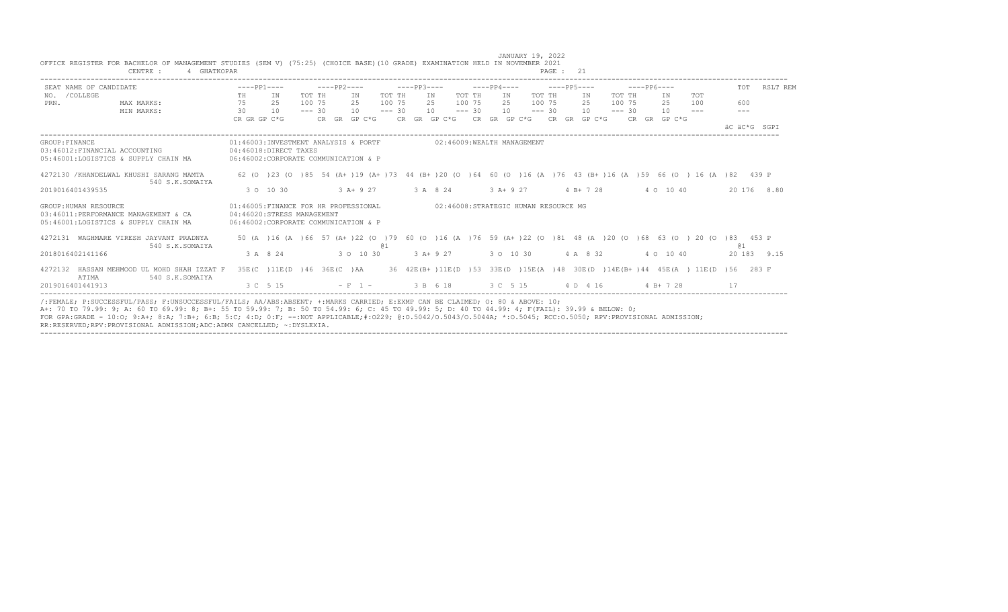|                | SEAT NAME OF CANDIDATE                                                                                | $---PP1---$                                                                                                 |                            |          | $---PP2---$ |              |          | $---PP3---$ |            |          | $---PP4---$ |                                              |          | $---PP5---$ |          | $---PP6---$                                                       |               | TOT                                                                                                                               | RSLT REM    |
|----------------|-------------------------------------------------------------------------------------------------------|-------------------------------------------------------------------------------------------------------------|----------------------------|----------|-------------|--------------|----------|-------------|------------|----------|-------------|----------------------------------------------|----------|-------------|----------|-------------------------------------------------------------------|---------------|-----------------------------------------------------------------------------------------------------------------------------------|-------------|
| NO. / COLLEGE  |                                                                                                       | TH                                                                                                          | IN                         | TOT TH   |             | ΙN           | TOT TH   |             | IN         | TOT TH   | IN          |                                              | TOT TH   | IN          | TOT TH   | IN                                                                | TOT           |                                                                                                                                   |             |
| PRN.           | MAX MARKS:                                                                                            | 75                                                                                                          | 25                         | 100 75   |             | 2.5          | 100 75   | 2.5         |            | 100 75   | 2.5         |                                              | 100 75   | 2.5         | 100 75   | 2.5                                                               | 100           | 600                                                                                                                               |             |
|                | MIN MARKS:                                                                                            | 30                                                                                                          | 10                         | $--- 30$ |             | 10           | $--- 30$ |             | 10         | $--- 30$ | 10          |                                              | $--- 30$ | 10          | $--- 30$ | 10                                                                | $\frac{1}{2}$ | $- - - -$                                                                                                                         |             |
|                |                                                                                                       | CR GR GP C*G                                                                                                |                            |          |             | CR GR GP C*G |          |             |            |          |             | CR GR GP $C*G$ CR GR GP $C*G$ CR GR GP $C*G$ |          |             |          | CR GR GP C*G                                                      |               |                                                                                                                                   |             |
|                |                                                                                                       |                                                                                                             |                            |          |             |              |          |             |            |          |             |                                              |          |             |          |                                                                   |               | äC äC*G SGPI                                                                                                                      |             |
| GROUP: FINANCE |                                                                                                       | 01:46003:INVESTMENT ANALYSIS & PORTF                                                                        |                            |          |             |              |          |             |            |          |             | 02:46009:WEALTH MANAGEMENT                   |          |             |          |                                                                   |               |                                                                                                                                   |             |
|                | 03:46012:FINANCIAL ACCOUNTING                                                                         | 04:46018:DIRECT TAXES                                                                                       |                            |          |             |              |          |             |            |          |             |                                              |          |             |          |                                                                   |               |                                                                                                                                   |             |
|                | 05:46001:LOGISTICS & SUPPLY CHAIN MA                                                                  | 06:46002:CORPORATE COMMUNICATION & P                                                                        |                            |          |             |              |          |             |            |          |             |                                              |          |             |          |                                                                   |               |                                                                                                                                   |             |
|                | 4272130 / KHANDELWAL KHUSHI SARANG MAMTA<br>540 S.K.SOMAIYA                                           |                                                                                                             |                            |          |             |              |          |             |            |          |             |                                              |          |             |          |                                                                   |               | 62 (0 ) 23 (0 ) 85 54 (A+ ) 19 (A+ ) 73 44 (B+ ) 20 (0 ) 64 60 (0 ) 16 (A ) 76 43 (B+ ) 16 (A ) 59 66 (0 ) 16 (A ) 82 439 P       |             |
|                | 2019016401439535                                                                                      |                                                                                                             | 3 0 10 30                  |          |             | $3 A+ 9 27$  |          |             | 3 A 8 24   |          | $3 A+9 27$  |                                              |          | $4 B+ 7 28$ |          | 4 0 10 40                                                         |               |                                                                                                                                   | 20 176 8.80 |
|                | GROUP: HUMAN RESOURCE<br>03:46011:PERFORMANCE MANAGEMENT & CA<br>05:46001:LOGISTICS & SUPPLY CHAIN MA | 01:46005:FINANCE FOR HR PROFESSIONAL<br>04:46020:STRESS MANAGEMENT<br>06:46002: CORPORATE COMMUNICATION & P |                            |          |             |              |          |             |            |          |             | 02:46008:STRATEGIC HUMAN RESOURCE MG         |          |             |          |                                                                   |               |                                                                                                                                   |             |
|                | 4272131 WAGHMARE VIRESH JAYVANT PRADNYA<br>540 S.K.SOMAIYA                                            |                                                                                                             |                            |          |             |              | @ 1      |             |            |          |             |                                              |          |             |          |                                                                   |               | 50 (A ) 16 (A ) 66 57 (A+ ) 22 (O ) 79 60 (O ) 16 (A ) 76 59 (A+ ) 22 (O ) 81 48 (A ) 20 (O ) 68 63 (O ) 20 (O ) 83 453 P<br>(d 1 |             |
|                | 2018016402141166                                                                                      |                                                                                                             | 3 A 8 24                   |          |             | 3 0 10 30    |          |             | $3 A+9 27$ |          |             | 3 0 10 30                                    |          | 4 A 8 32    |          | 4 0 10 40                                                         |               |                                                                                                                                   | 20 183 9.15 |
|                | 4272132 HASSAN MEHMOOD UL MOHD SHAH IZZAT F<br>ATTMA<br>540 S.K.SOMAIYA                               |                                                                                                             | 35E(C) 11E(D) 46 36E(C) AA |          |             |              |          |             |            |          |             |                                              |          |             |          | 36 42E(B+)11E(D)53 33E(D)15E(A)48 30E(D)14E(B+)44 45E(A) 11E(D)56 |               |                                                                                                                                   | 283 F       |
|                | 2019016401441913                                                                                      |                                                                                                             | 3 C 5 15                   |          |             | $- F 1 -$    |          | 3 B 6 18    |            |          |             | 3 C 5 15                                     |          | 4 D 4 16    |          | $4 B+ 7 28$                                                       |               | 17                                                                                                                                |             |

JANUARY 19, 2022

OFFICE REGISTER FOR BACHELOR OF MANAGEMENT STUDIES (SEM V) (75:25) (CHOICE BASE)(10 GRADE) EXAMINATION HELD IN NOVEMBER 2021

FOR GPA:GRADE - 10:O; 9:A+; 8:A; 7:B+; 6:B; 5:C; 4:D; 0:F; --:NOT APPLICABLE;#:O229; @:O.5042/O.5043/O.5044A; \*:O.5045; RCC:O.5050; RPV:PROVISIONAL ADMISSION;

RR:RESERVED;RPV:PROVISIONAL ADMISSION;ADC:ADMN CANCELLED; ~:DYSLEXIA.